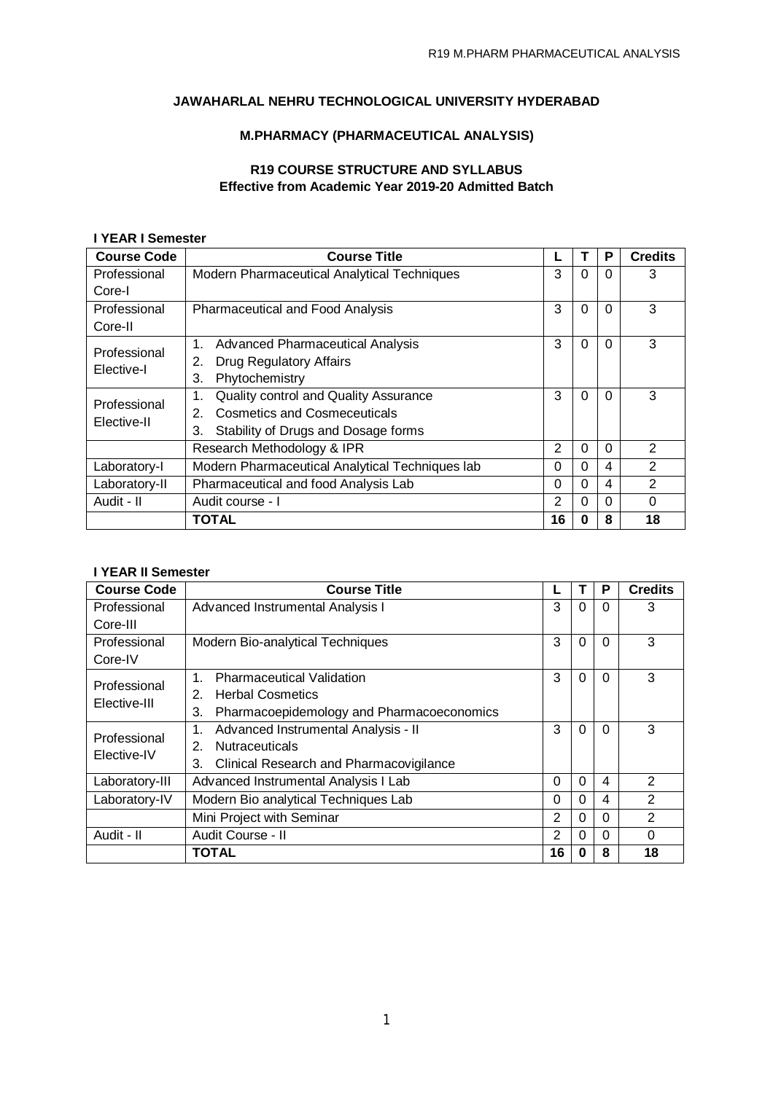### **JAWAHARLAL NEHRU TECHNOLOGICAL UNIVERSITY HYDERABAD**

### **M.PHARMACY (PHARMACEUTICAL ANALYSIS)**

# **R19 COURSE STRUCTURE AND SYLLABUS Effective from Academic Year 2019-20 Admitted Batch**

### **I YEAR I Semester**

| <b>Course Code</b>          | <b>Course Title</b>                                |                |          | P        | <b>Credits</b> |
|-----------------------------|----------------------------------------------------|----------------|----------|----------|----------------|
| Professional                | Modern Pharmaceutical Analytical Techniques        | 3              | 0        | $\Omega$ | 3              |
| Core-I                      |                                                    |                |          |          |                |
| Professional                | <b>Pharmaceutical and Food Analysis</b>            | 3              | 0        | $\Omega$ | 3              |
| Core-II                     |                                                    |                |          |          |                |
| Professional<br>Elective-I  | <b>Advanced Pharmaceutical Analysis</b><br>1.      | 3              | 0        | $\Omega$ | 3              |
|                             | Drug Regulatory Affairs<br>2.                      |                |          |          |                |
|                             | Phytochemistry<br>З.                               |                |          |          |                |
| Professional<br>Elective-II | <b>Quality control and Quality Assurance</b><br>1. | 3              | $\Omega$ | $\Omega$ | 3              |
|                             | <b>Cosmetics and Cosmeceuticals</b><br>2.          |                |          |          |                |
|                             | Stability of Drugs and Dosage forms<br>3.          |                |          |          |                |
|                             | Research Methodology & IPR                         | $\overline{2}$ | $\Omega$ | $\Omega$ | 2              |
| Laboratory-I                | Modern Pharmaceutical Analytical Techniques lab    | 0              | 0        | 4        | $\mathcal{P}$  |
| Laboratory-II               | Pharmaceutical and food Analysis Lab               | $\Omega$       | $\Omega$ | 4        | 2              |
| Audit - II                  | Audit course - I                                   | 2              | 0        | $\Omega$ | 0              |
|                             | TOTAL                                              | 16             | 0        | 8        | 18             |

### **I YEAR II Semester**

| <b>Course Code</b>           | <b>Course Title</b>                               |          |          | P        | <b>Credits</b> |
|------------------------------|---------------------------------------------------|----------|----------|----------|----------------|
| Professional                 | Advanced Instrumental Analysis I                  | 3        | $\Omega$ | 0        | 3              |
| Core-III                     |                                                   |          |          |          |                |
| Professional                 | Modern Bio-analytical Techniques                  | 3        | $\Omega$ | 0        | 3              |
| Core-IV                      |                                                   |          |          |          |                |
| Professional<br>Elective-III | <b>Pharmaceutical Validation</b><br>$\mathbf 1$ . | 3        | $\Omega$ | 0        | 3              |
|                              | <b>Herbal Cosmetics</b><br>2.                     |          |          |          |                |
|                              | Pharmacoepidemology and Pharmacoeconomics<br>З.   |          |          |          |                |
| Professional<br>Elective-IV  | Advanced Instrumental Analysis - II<br>1.         | 3        | $\Omega$ | $\Omega$ | 3              |
|                              | <b>Nutraceuticals</b><br>2.                       |          |          |          |                |
|                              | Clinical Research and Pharmacovigilance<br>З.     |          |          |          |                |
| Laboratory-III               | Advanced Instrumental Analysis I Lab              | $\Omega$ | 0        | 4        | 2              |
| Laboratory-IV                | Modern Bio analytical Techniques Lab              | $\Omega$ | $\Omega$ | 4        | 2              |
|                              | Mini Project with Seminar                         | 2        | $\Omega$ | 0        | 2              |
| Audit - II                   | Audit Course - II                                 | 2        | 0        | 0        | 0              |
|                              | TOTAL                                             | 16       | 0        | 8        | 18             |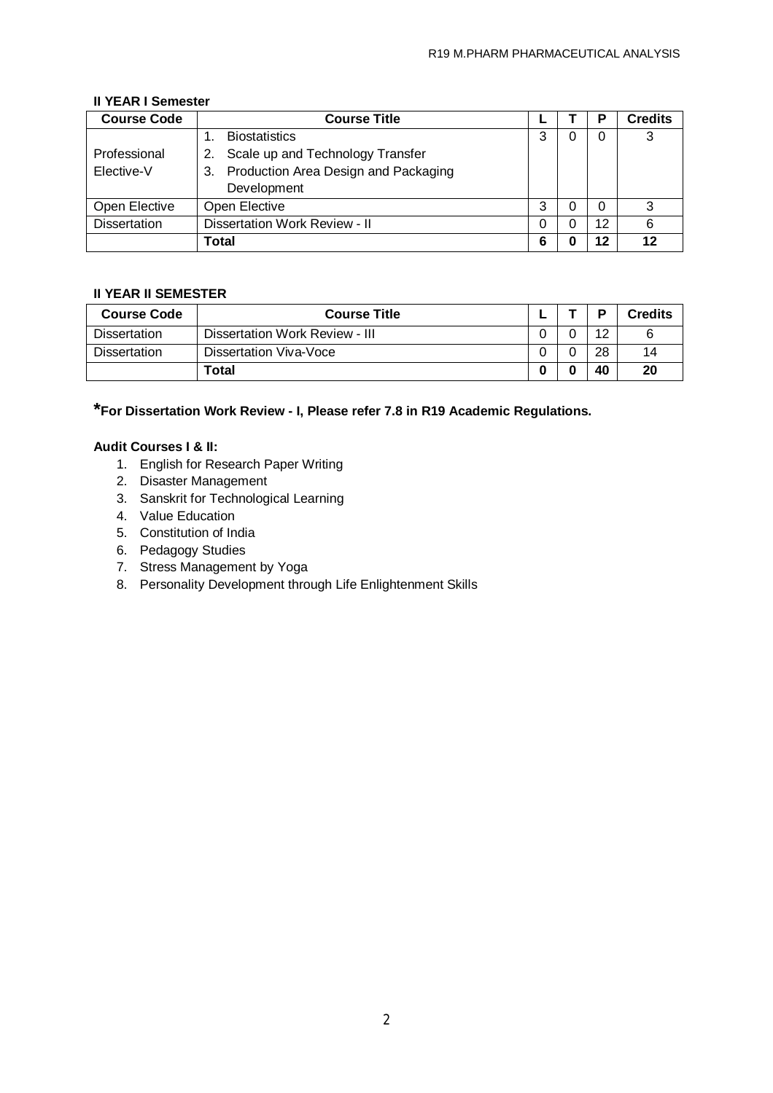| <b>Course Code</b>  | <b>Course Title</b>                        |   | P  | <b>Credits</b> |
|---------------------|--------------------------------------------|---|----|----------------|
|                     | <b>Biostatistics</b>                       | 3 | 0  | 3              |
| Professional        | Scale up and Technology Transfer<br>2.     |   |    |                |
| Elective-V          | Production Area Design and Packaging<br>3. |   |    |                |
|                     | Development                                |   |    |                |
| Open Elective       | Open Elective                              | 3 | 0  | 3              |
| <b>Dissertation</b> | Dissertation Work Review - II              | 0 | 12 | 6              |
|                     | Total                                      | 6 | 12 | 12             |

# **II YEAR I Semester**

# **II YEAR II SEMESTER**

| <b>Course Code</b>  | <b>Course Title</b>            |  | D  | <b>Credits</b> |
|---------------------|--------------------------------|--|----|----------------|
| <b>Dissertation</b> | Dissertation Work Review - III |  | 12 | h              |
| <b>Dissertation</b> | Dissertation Viva-Voce         |  | 28 | 14             |
|                     | Total                          |  | 40 | 20             |

**\*For Dissertation Work Review - I, Please refer 7.8 in R19 Academic Regulations.**

### **Audit Courses I & II:**

- 1. English for Research Paper Writing
- 2. Disaster Management
- 3. Sanskrit for Technological Learning
- 4. Value Education
- 5. Constitution of India
- 6. Pedagogy Studies
- 7. Stress Management by Yoga
- 8. Personality Development through Life Enlightenment Skills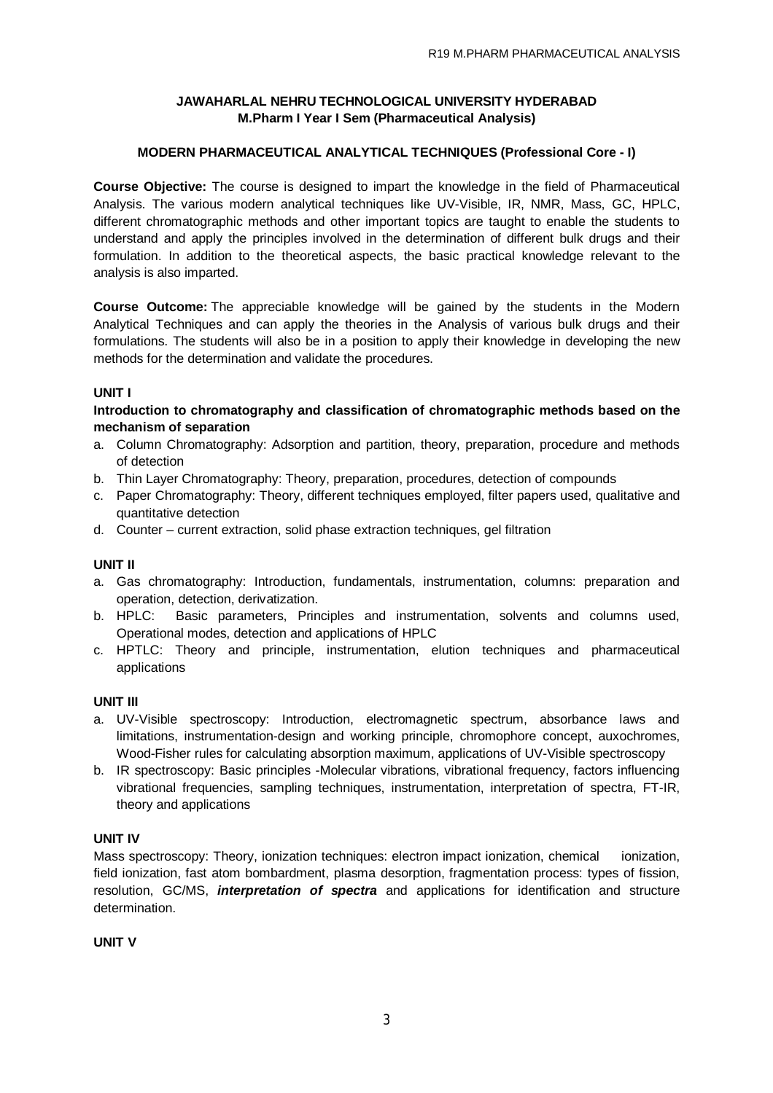## **MODERN PHARMACEUTICAL ANALYTICAL TECHNIQUES (Professional Core - I)**

**Course Objective:** The course is designed to impart the knowledge in the field of Pharmaceutical Analysis. The various modern analytical techniques like UV-Visible, IR, NMR, Mass, GC, HPLC, different chromatographic methods and other important topics are taught to enable the students to understand and apply the principles involved in the determination of different bulk drugs and their formulation. In addition to the theoretical aspects, the basic practical knowledge relevant to the analysis is also imparted.

**Course Outcome:** The appreciable knowledge will be gained by the students in the Modern Analytical Techniques and can apply the theories in the Analysis of various bulk drugs and their formulations. The students will also be in a position to apply their knowledge in developing the new methods for the determination and validate the procedures.

## **UNIT I**

**Introduction to chromatography and classification of chromatographic methods based on the mechanism of separation**

- a. Column Chromatography: Adsorption and partition, theory, preparation, procedure and methods of detection
- b. Thin Layer Chromatography: Theory, preparation, procedures, detection of compounds
- c. Paper Chromatography: Theory, different techniques employed, filter papers used, qualitative and quantitative detection
- d. Counter current extraction, solid phase extraction techniques, gel filtration

#### **UNIT II**

- a. Gas chromatography: Introduction, fundamentals, instrumentation, columns: preparation and operation, detection, derivatization.
- b. HPLC: Basic parameters, Principles and instrumentation, solvents and columns used, Operational modes, detection and applications of HPLC
- c. HPTLC: Theory and principle, instrumentation, elution techniques and pharmaceutical applications

#### **UNIT III**

- a. UV-Visible spectroscopy: Introduction, electromagnetic spectrum, absorbance laws and limitations, instrumentation-design and working principle, chromophore concept, auxochromes, Wood-Fisher rules for calculating absorption maximum, applications of UV-Visible spectroscopy
- b. IR spectroscopy: Basic principles -Molecular vibrations, vibrational frequency, factors influencing vibrational frequencies, sampling techniques, instrumentation, interpretation of spectra, FT-IR, theory and applications

#### **UNIT IV**

Mass spectroscopy: Theory, ionization techniques: electron impact ionization, chemical ionization, field ionization, fast atom bombardment, plasma desorption, fragmentation process: types of fission, resolution, GC/MS, *interpretation of spectra* and applications for identification and structure determination.

#### **UNIT V**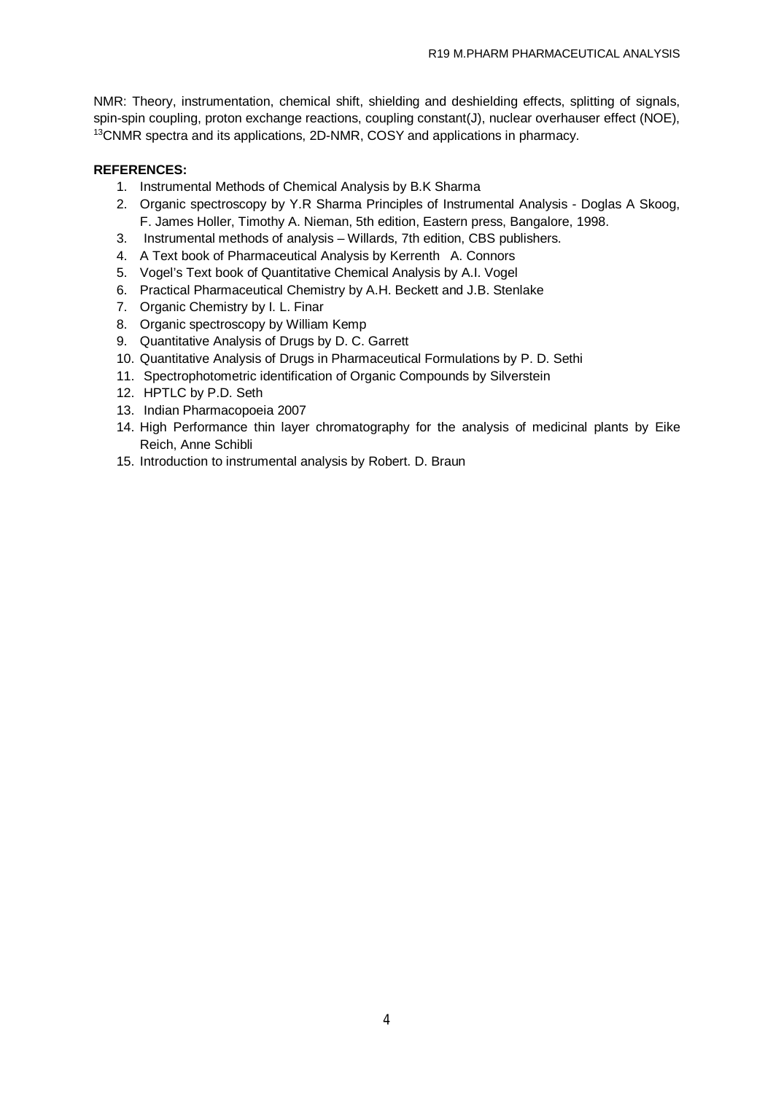NMR: Theory, instrumentation, chemical shift, shielding and deshielding effects, splitting of signals, spin-spin coupling, proton exchange reactions, coupling constant(J), nuclear overhauser effect (NOE), <sup>13</sup>CNMR spectra and its applications, 2D-NMR, COSY and applications in pharmacy.

- 1. Instrumental Methods of Chemical Analysis by B.K Sharma
- 2. Organic spectroscopy by Y.R Sharma Principles of Instrumental Analysis Doglas A Skoog, F. James Holler, Timothy A. Nieman, 5th edition, Eastern press, Bangalore, 1998.
- 3. Instrumental methods of analysis Willards, 7th edition, CBS publishers.
- 4. A Text book of Pharmaceutical Analysis by Kerrenth A. Connors
- 5. Vogel's Text book of Quantitative Chemical Analysis by A.I. Vogel
- 6. Practical Pharmaceutical Chemistry by A.H. Beckett and J.B. Stenlake
- 7. Organic Chemistry by I. L. Finar
- 8. Organic spectroscopy by William Kemp
- 9. Quantitative Analysis of Drugs by D. C. Garrett
- 10. Quantitative Analysis of Drugs in Pharmaceutical Formulations by P. D. Sethi
- 11. Spectrophotometric identification of Organic Compounds by Silverstein
- 12. HPTLC by P.D. Seth
- 13. Indian Pharmacopoeia 2007
- 14. High Performance thin layer chromatography for the analysis of medicinal plants by Eike Reich, Anne Schibli
- 15. Introduction to instrumental analysis by Robert. D. Braun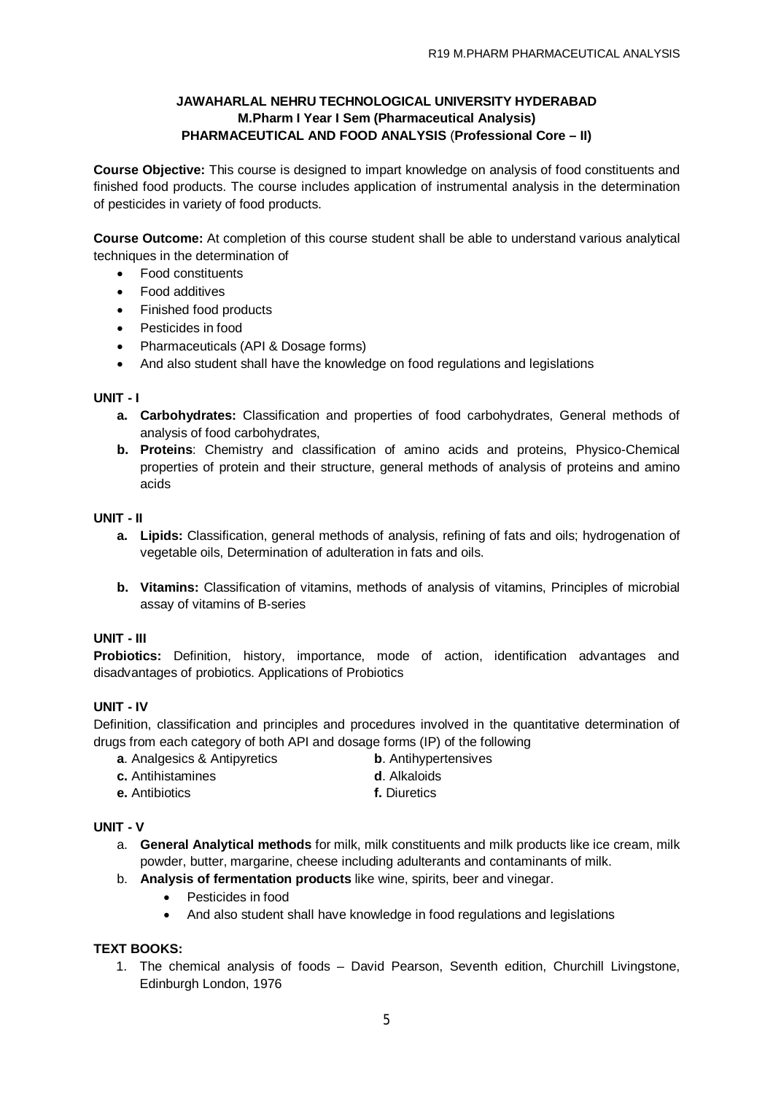# **JAWAHARLAL NEHRU TECHNOLOGICAL UNIVERSITY HYDERABAD M.Pharm I Year I Sem (Pharmaceutical Analysis) PHARMACEUTICAL AND FOOD ANALYSIS** (**Professional Core – II)**

**Course Objective:** This course is designed to impart knowledge on analysis of food constituents and finished food products. The course includes application of instrumental analysis in the determination of pesticides in variety of food products.

**Course Outcome:** At completion of this course student shall be able to understand various analytical techniques in the determination of

- Food constituents
- Food additives
- Finished food products
- Pesticides in food
- Pharmaceuticals (API & Dosage forms)
- And also student shall have the knowledge on food regulations and legislations

### **UNIT - I**

- **a. Carbohydrates:** Classification and properties of food carbohydrates, General methods of analysis of food carbohydrates,
- **b. Proteins**: Chemistry and classification of amino acids and proteins, Physico-Chemical properties of protein and their structure, general methods of analysis of proteins and amino acids

### **UNIT - II**

- **a. Lipids:** Classification, general methods of analysis, refining of fats and oils; hydrogenation of vegetable oils, Determination of adulteration in fats and oils.
- **b. Vitamins:** Classification of vitamins, methods of analysis of vitamins, Principles of microbial assay of vitamins of B-series

# **UNIT - III**

**Probiotics:** Definition, history, importance, mode of action, identification advantages and disadvantages of probiotics. Applications of Probiotics

# **UNIT - IV**

Definition, classification and principles and procedures involved in the quantitative determination of drugs from each category of both API and dosage forms (IP) of the following

- **a**. Analgesics & Antipyretics **b**. Antihypertensives
- **c.** Antihistamines **d**. Alkaloids
- **e.** Antibiotics **f.** Diuretics

#### **UNIT - V**

- a. **General Analytical methods** for milk, milk constituents and milk products like ice cream, milk powder, butter, margarine, cheese including adulterants and contaminants of milk.
- b. **Analysis of fermentation products** like wine, spirits, beer and vinegar.
	- Pesticides in food
	- And also student shall have knowledge in food regulations and legislations

# **TEXT BOOKS:**

1. The chemical analysis of foods – David Pearson, Seventh edition, Churchill Livingstone, Edinburgh London, 1976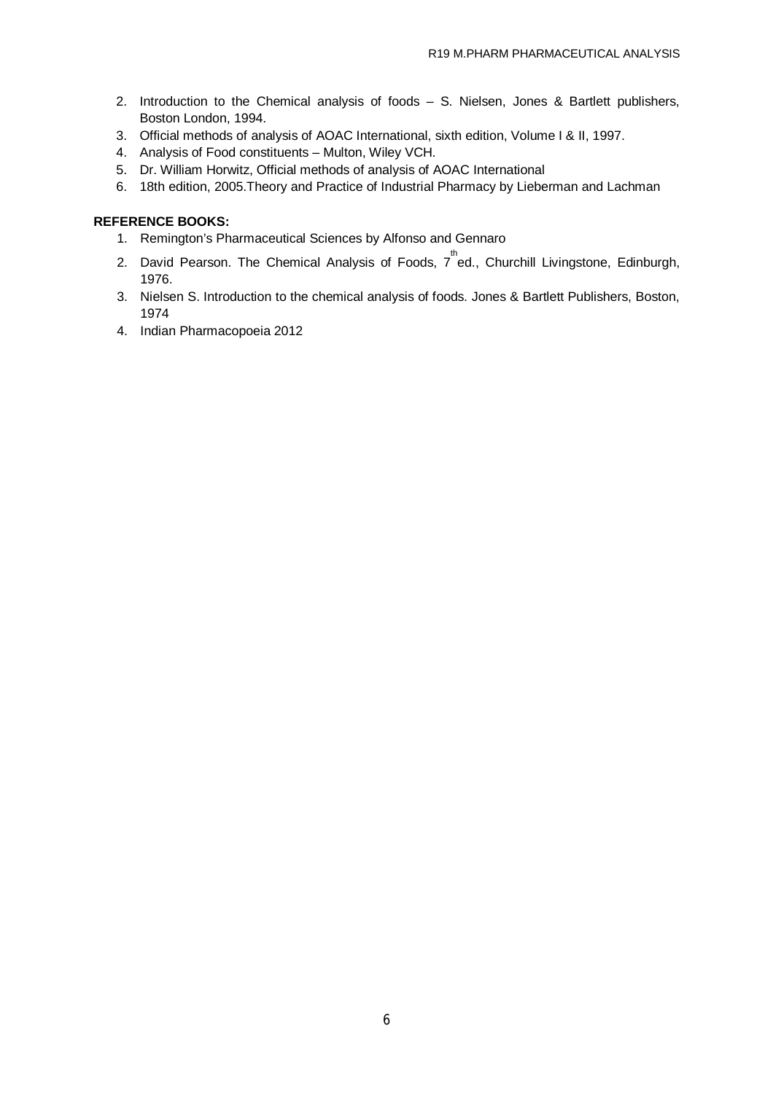- 2. Introduction to the Chemical analysis of foods S. Nielsen, Jones & Bartlett publishers, Boston London, 1994.
- 3. Official methods of analysis of AOAC International, sixth edition, Volume I & II, 1997.
- 4. Analysis of Food constituents Multon, Wiley VCH.
- 5. Dr. William Horwitz, Official methods of analysis of AOAC International
- 6. 18th edition, 2005.Theory and Practice of Industrial Pharmacy by Lieberman and Lachman

# **REFERENCE BOOKS:**

- 1. Remington's Pharmaceutical Sciences by Alfonso and Gennaro
- 2. David Pearson. The Chemical Analysis of Foods,  $7^{th}$ ed., Churchill Livingstone, Edinburgh, 1976.
- 3. Nielsen S. Introduction to the chemical analysis of foods. Jones & Bartlett Publishers, Boston, 1974
- 4. Indian Pharmacopoeia 2012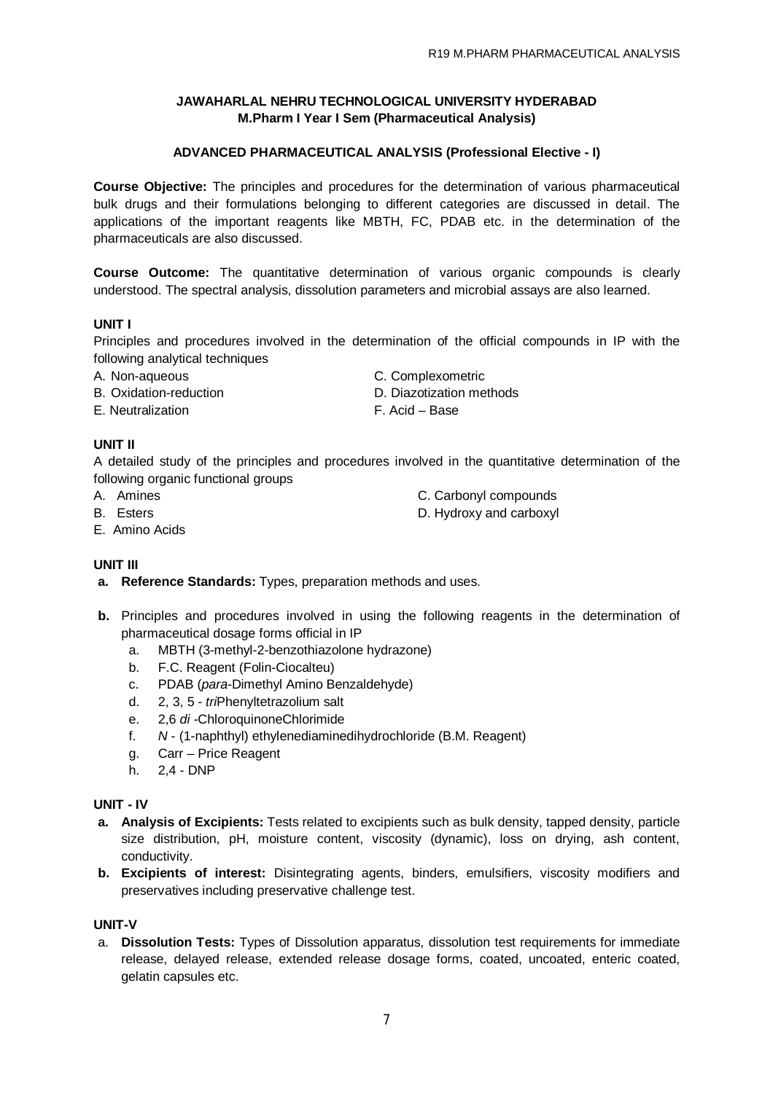## **ADVANCED PHARMACEUTICAL ANALYSIS (Professional Elective - I)**

**Course Objective:** The principles and procedures for the determination of various pharmaceutical bulk drugs and their formulations belonging to different categories are discussed in detail. The applications of the important reagents like MBTH, FC, PDAB etc. in the determination of the pharmaceuticals are also discussed.

**Course Outcome:** The quantitative determination of various organic compounds is clearly understood. The spectral analysis, dissolution parameters and microbial assays are also learned.

#### **UNIT I**

Principles and procedures involved in the determination of the official compounds in IP with the following analytical techniques

- A. Non-aqueous C. Complexometric
- B. Oxidation-reduction D. Diazotization methods
- E. Neutralization F. Acid Base
- **UNIT II**

A detailed study of the principles and procedures involved in the quantitative determination of the following organic functional groups

- 
- 

A. Amines C. Carbonyl compounds

- B. Esters **D. Hydroxy and carboxyl**
- E. Amino Acids

#### **UNIT III**

- **a. Reference Standards:** Types, preparation methods and uses.
- **b.** Principles and procedures involved in using the following reagents in the determination of pharmaceutical dosage forms official in IP
	- a. MBTH (3-methyl-2-benzothiazolone hydrazone)
	- b. F.C. Reagent (Folin-Ciocalteu)
	- c. PDAB (*para-*Dimethyl Amino Benzaldehyde)
	- d. 2, 3, 5 *tri*Phenyltetrazolium salt
	- e. 2,6 *di -*ChloroquinoneChlorimide
	- f. *N* (1-naphthyl) ethylenediaminedihydrochloride (B.M. Reagent)
	- g. Carr Price Reagent
	- h. 2,4 DNP

#### **UNIT - IV**

- **a. Analysis of Excipients:** Tests related to excipients such as bulk density, tapped density, particle size distribution, pH, moisture content, viscosity (dynamic), loss on drying, ash content, conductivity.
- **b. Excipients of interest:** Disintegrating agents, binders, emulsifiers, viscosity modifiers and preservatives including preservative challenge test.

#### **UNIT-V**

a. **Dissolution Tests:** Types of Dissolution apparatus, dissolution test requirements for immediate release, delayed release, extended release dosage forms, coated, uncoated, enteric coated, gelatin capsules etc.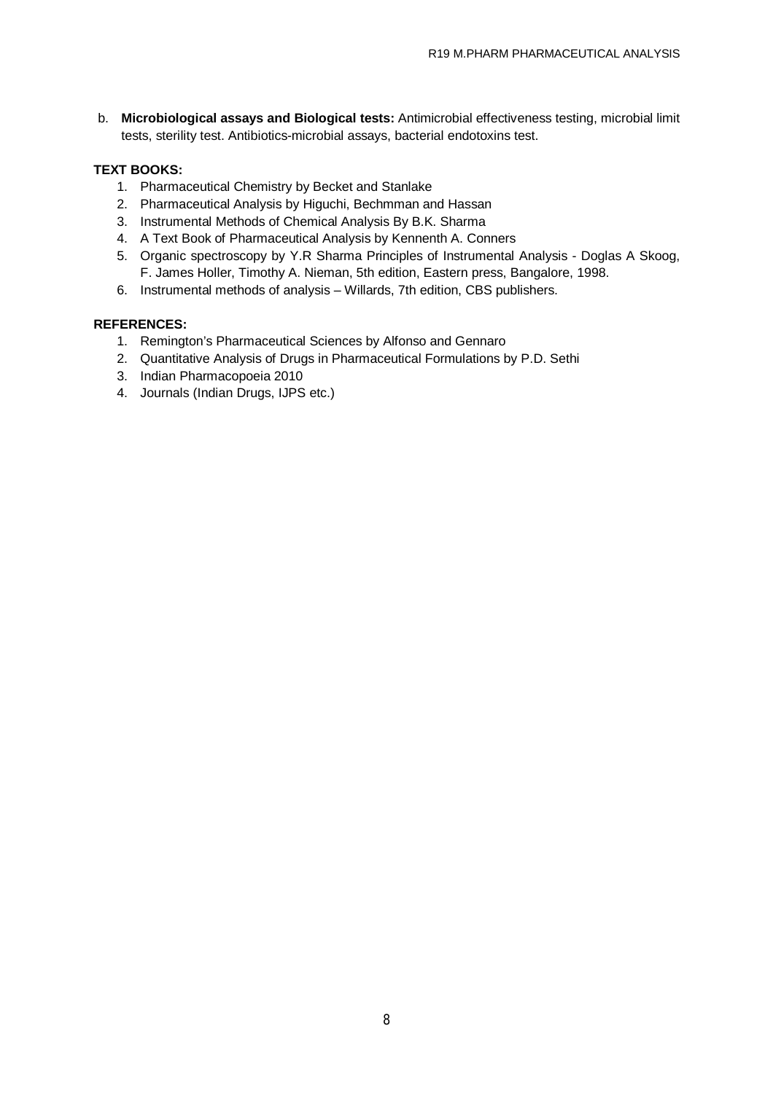b. **Microbiological assays and Biological tests:** Antimicrobial effectiveness testing, microbial limit tests, sterility test. Antibiotics-microbial assays, bacterial endotoxins test.

# **TEXT BOOKS:**

- 1. Pharmaceutical Chemistry by Becket and Stanlake
- 2. Pharmaceutical Analysis by Higuchi, Bechmman and Hassan
- 3. Instrumental Methods of Chemical Analysis By B.K. Sharma
- 4. A Text Book of Pharmaceutical Analysis by Kennenth A. Conners
- 5. Organic spectroscopy by Y.R Sharma Principles of Instrumental Analysis Doglas A Skoog, F. James Holler, Timothy A. Nieman, 5th edition, Eastern press, Bangalore, 1998.
- 6. Instrumental methods of analysis Willards, 7th edition, CBS publishers.

- 1. Remington's Pharmaceutical Sciences by Alfonso and Gennaro
- 2. Quantitative Analysis of Drugs in Pharmaceutical Formulations by P.D. Sethi
- 3. Indian Pharmacopoeia 2010
- 4. Journals (Indian Drugs, IJPS etc.)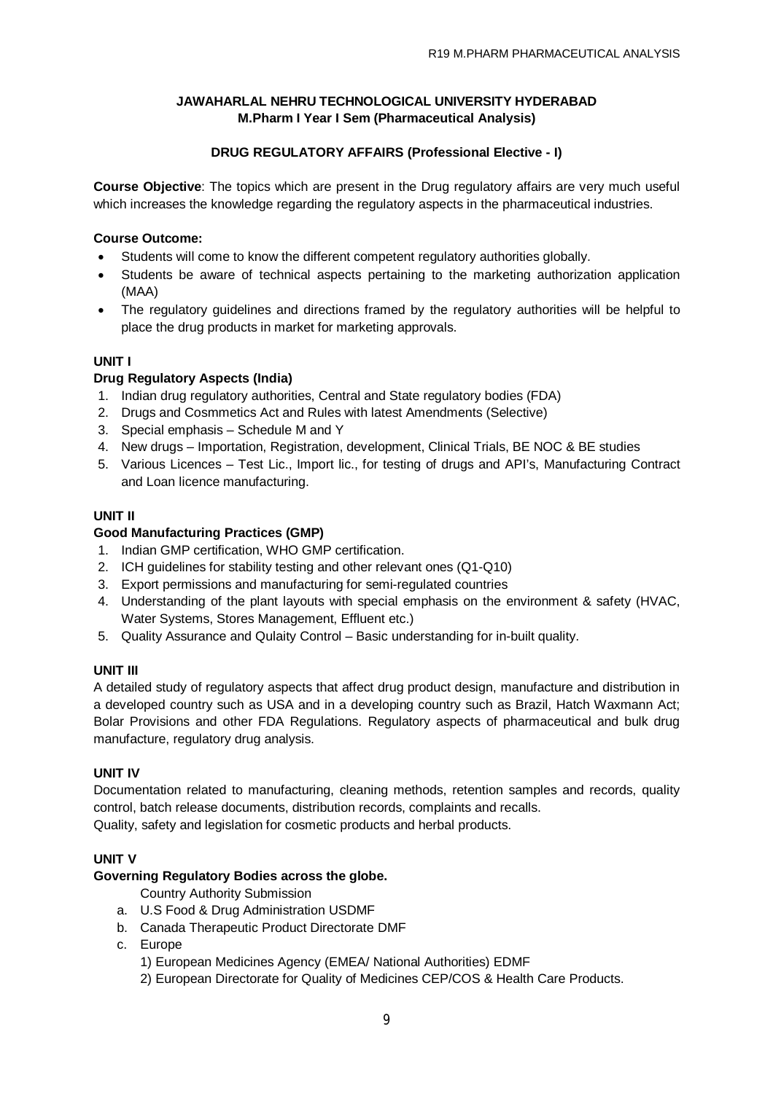# **DRUG REGULATORY AFFAIRS (Professional Elective - I)**

**Course Objective**: The topics which are present in the Drug regulatory affairs are very much useful which increases the knowledge regarding the regulatory aspects in the pharmaceutical industries.

### **Course Outcome:**

- Students will come to know the different competent regulatory authorities globally.
- Students be aware of technical aspects pertaining to the marketing authorization application (MAA)
- The regulatory guidelines and directions framed by the regulatory authorities will be helpful to place the drug products in market for marketing approvals.

# **UNIT I**

### **Drug Regulatory Aspects (India)**

- 1. Indian drug regulatory authorities, Central and State regulatory bodies (FDA)
- 2. Drugs and Cosmmetics Act and Rules with latest Amendments (Selective)
- 3. Special emphasis Schedule M and Y
- 4. New drugs Importation, Registration, development, Clinical Trials, BE NOC & BE studies
- 5. Various Licences Test Lic., Import lic., for testing of drugs and API's, Manufacturing Contract and Loan licence manufacturing.

### **UNIT II**

### **Good Manufacturing Practices (GMP)**

- 1. Indian GMP certification, WHO GMP certification.
- 2. ICH guidelines for stability testing and other relevant ones (Q1-Q10)
- 3. Export permissions and manufacturing for semi-regulated countries
- 4. Understanding of the plant layouts with special emphasis on the environment & safety (HVAC, Water Systems, Stores Management, Effluent etc.)
- 5. Quality Assurance and Qulaity Control Basic understanding for in-built quality.

#### **UNIT III**

A detailed study of regulatory aspects that affect drug product design, manufacture and distribution in a developed country such as USA and in a developing country such as Brazil, Hatch Waxmann Act; Bolar Provisions and other FDA Regulations. Regulatory aspects of pharmaceutical and bulk drug manufacture, regulatory drug analysis.

#### **UNIT IV**

Documentation related to manufacturing, cleaning methods, retention samples and records, quality control, batch release documents, distribution records, complaints and recalls. Quality, safety and legislation for cosmetic products and herbal products.

#### **UNIT V**

### **Governing Regulatory Bodies across the globe.**

Country Authority Submission

- a. U.S Food & Drug Administration USDMF
- b. Canada Therapeutic Product Directorate DMF
- c. Europe
	- 1) European Medicines Agency (EMEA/ National Authorities) EDMF
	- 2) European Directorate for Quality of Medicines CEP/COS & Health Care Products.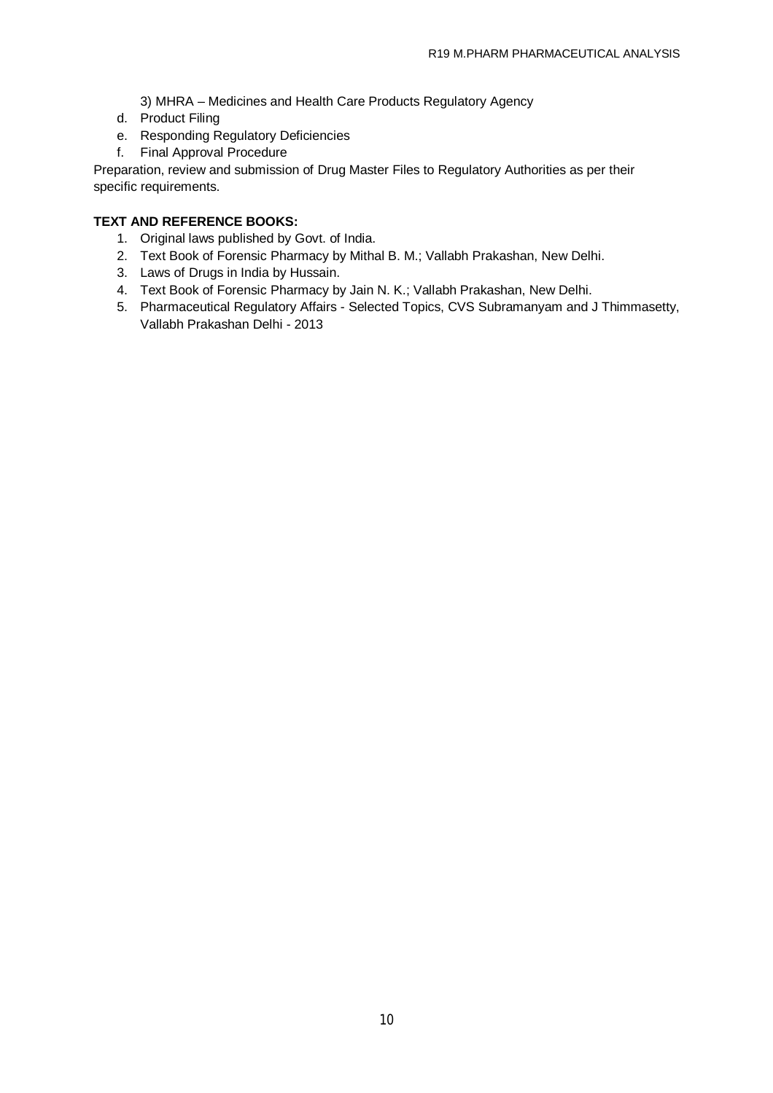- 3) MHRA Medicines and Health Care Products Regulatory Agency
- d. Product Filing
- e. Responding Regulatory Deficiencies
- f. Final Approval Procedure

Preparation, review and submission of Drug Master Files to Regulatory Authorities as per their specific requirements.

# **TEXT AND REFERENCE BOOKS:**

- 1. Original laws published by Govt. of India.
- 2. Text Book of Forensic Pharmacy by Mithal B. M.; Vallabh Prakashan, New Delhi.
- 3. Laws of Drugs in India by Hussain.
- 4. Text Book of Forensic Pharmacy by Jain N. K.; Vallabh Prakashan, New Delhi.
- 5. Pharmaceutical Regulatory Affairs Selected Topics, CVS Subramanyam and J Thimmasetty, Vallabh Prakashan Delhi - 2013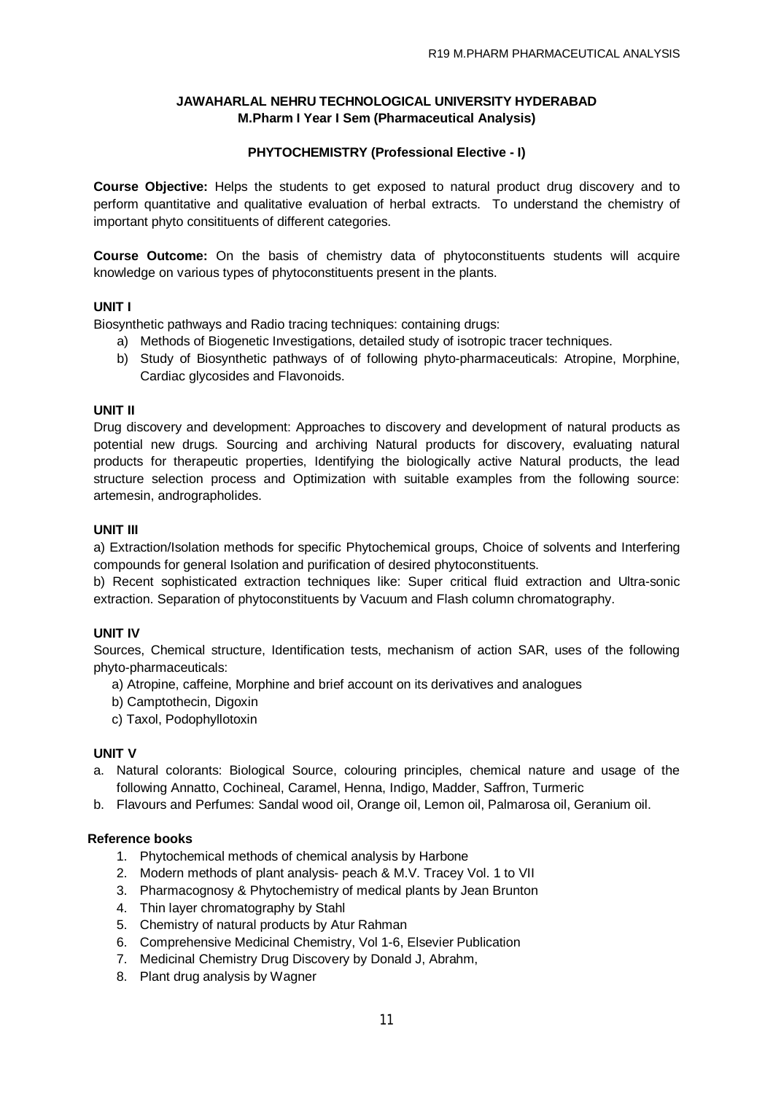### **PHYTOCHEMISTRY (Professional Elective - I)**

**Course Objective:** Helps the students to get exposed to natural product drug discovery and to perform quantitative and qualitative evaluation of herbal extracts. To understand the chemistry of important phyto consitituents of different categories.

**Course Outcome:** On the basis of chemistry data of phytoconstituents students will acquire knowledge on various types of phytoconstituents present in the plants.

#### **UNIT I**

Biosynthetic pathways and Radio tracing techniques: containing drugs:

- a) Methods of Biogenetic Investigations, detailed study of isotropic tracer techniques.
- b) Study of Biosynthetic pathways of of following phyto-pharmaceuticals: Atropine, Morphine, Cardiac glycosides and Flavonoids.

#### **UNIT II**

Drug discovery and development: Approaches to discovery and development of natural products as potential new drugs. Sourcing and archiving Natural products for discovery, evaluating natural products for therapeutic properties, Identifying the biologically active Natural products, the lead structure selection process and Optimization with suitable examples from the following source: artemesin, andrographolides.

#### **UNIT III**

a) Extraction/Isolation methods for specific Phytochemical groups, Choice of solvents and Interfering compounds for general Isolation and purification of desired phytoconstituents.

b) Recent sophisticated extraction techniques like: Super critical fluid extraction and Ultra-sonic extraction. Separation of phytoconstituents by Vacuum and Flash column chromatography.

#### **UNIT IV**

Sources, Chemical structure, Identification tests, mechanism of action SAR, uses of the following phyto-pharmaceuticals:

- a) Atropine, caffeine, Morphine and brief account on its derivatives and analogues
- b) Camptothecin, Digoxin
- c) Taxol, Podophyllotoxin

#### **UNIT V**

- a. Natural colorants: Biological Source, colouring principles, chemical nature and usage of the following Annatto, Cochineal, Caramel, Henna, Indigo, Madder, Saffron, Turmeric
- b. Flavours and Perfumes: Sandal wood oil, Orange oil, Lemon oil, Palmarosa oil, Geranium oil.

#### **Reference books**

- 1. Phytochemical methods of chemical analysis by Harbone
- 2. Modern methods of plant analysis- peach & M.V. Tracey Vol. 1 to VII
- 3. Pharmacognosy & Phytochemistry of medical plants by Jean Brunton
- 4. Thin layer chromatography by Stahl
- 5. Chemistry of natural products by Atur Rahman
- 6. Comprehensive Medicinal Chemistry, Vol 1-6, Elsevier Publication
- 7. Medicinal Chemistry Drug Discovery by Donald J, Abrahm,
- 8. Plant drug analysis by Wagner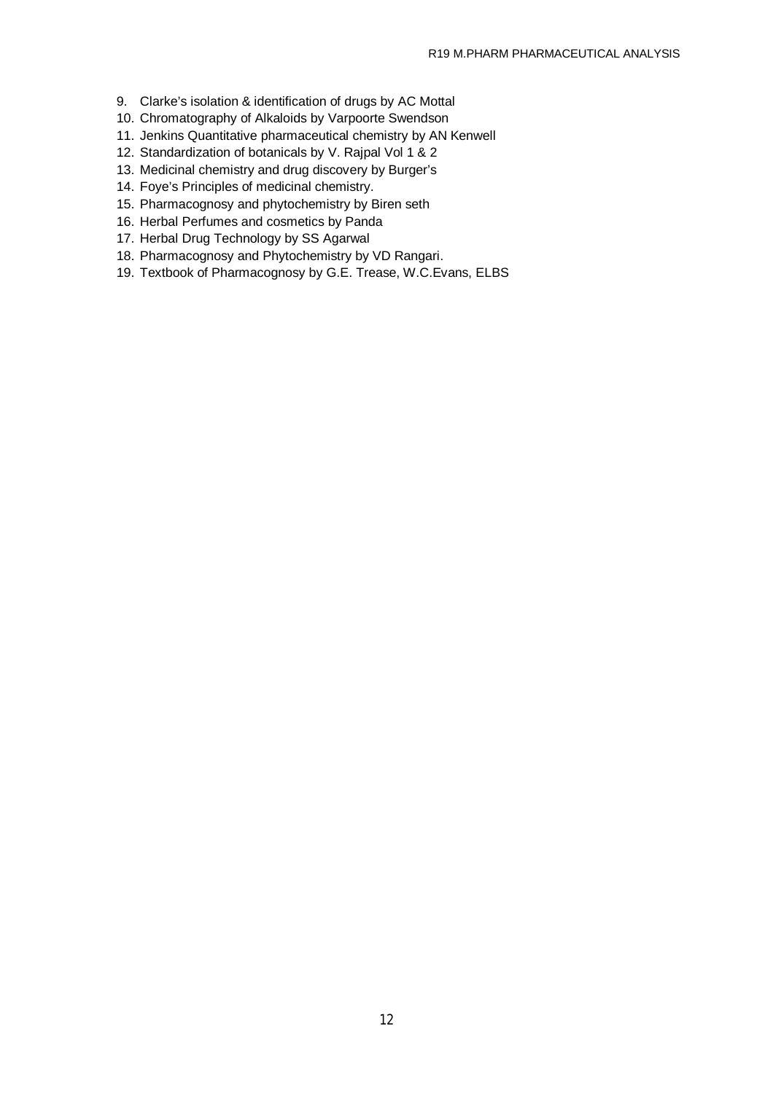- 9. Clarke's isolation & identification of drugs by AC Mottal
- 10. Chromatography of Alkaloids by Varpoorte Swendson
- 11. Jenkins Quantitative pharmaceutical chemistry by AN Kenwell
- 12. Standardization of botanicals by V. Rajpal Vol 1 & 2
- 13. Medicinal chemistry and drug discovery by Burger's
- 14. Foye's Principles of medicinal chemistry.
- 15. Pharmacognosy and phytochemistry by Biren seth
- 16. Herbal Perfumes and cosmetics by Panda
- 17. Herbal Drug Technology by SS Agarwal
- 18. Pharmacognosy and Phytochemistry by VD Rangari.
- 19. Textbook of Pharmacognosy by G.E. Trease, W.C.Evans, ELBS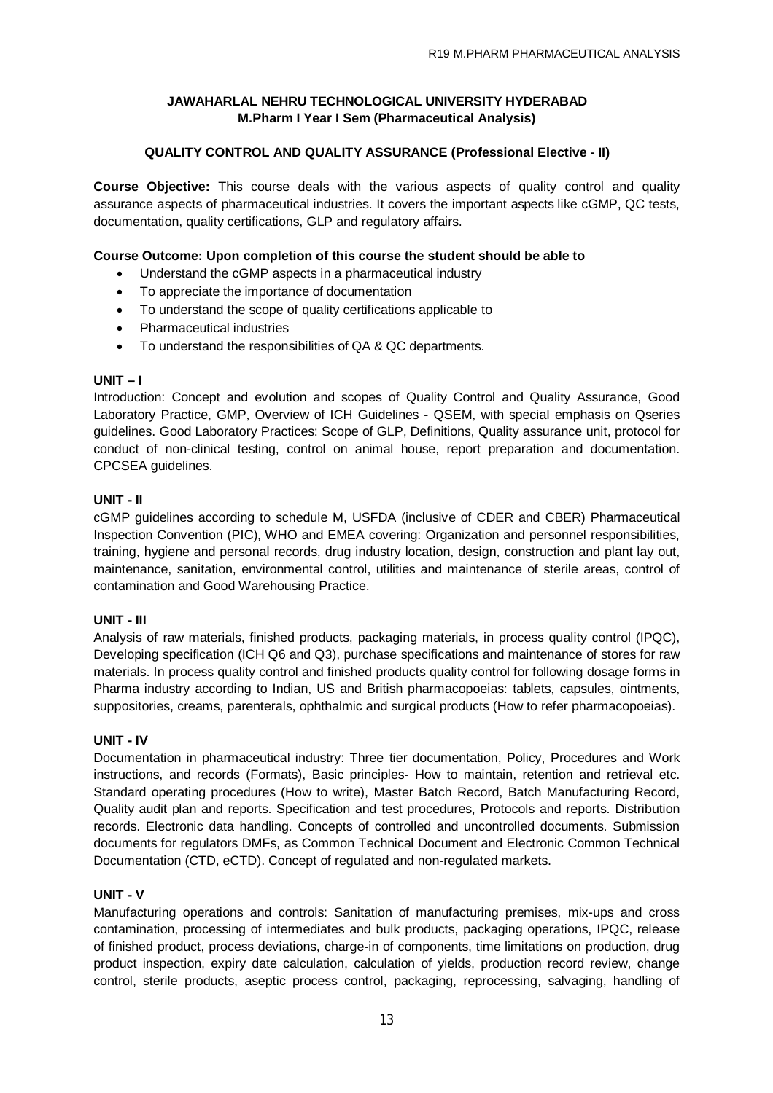# **QUALITY CONTROL AND QUALITY ASSURANCE (Professional Elective - II)**

**Course Objective:** This course deals with the various aspects of quality control and quality assurance aspects of pharmaceutical industries. It covers the important aspects like cGMP, QC tests, documentation, quality certifications, GLP and regulatory affairs.

## **Course Outcome: Upon completion of this course the student should be able to**

- Understand the cGMP aspects in a pharmaceutical industry
- To appreciate the importance of documentation
- To understand the scope of quality certifications applicable to
- Pharmaceutical industries
- To understand the responsibilities of QA & QC departments.

#### **UNIT – I**

Introduction: Concept and evolution and scopes of Quality Control and Quality Assurance, Good Laboratory Practice, GMP, Overview of ICH Guidelines - QSEM, with special emphasis on Qseries guidelines. Good Laboratory Practices: Scope of GLP, Definitions, Quality assurance unit, protocol for conduct of non-clinical testing, control on animal house, report preparation and documentation. CPCSEA guidelines.

### **UNIT - II**

cGMP guidelines according to schedule M, USFDA (inclusive of CDER and CBER) Pharmaceutical Inspection Convention (PIC), WHO and EMEA covering: Organization and personnel responsibilities, training, hygiene and personal records, drug industry location, design, construction and plant lay out, maintenance, sanitation, environmental control, utilities and maintenance of sterile areas, control of contamination and Good Warehousing Practice.

#### **UNIT - III**

Analysis of raw materials, finished products, packaging materials, in process quality control (IPQC), Developing specification (ICH Q6 and Q3), purchase specifications and maintenance of stores for raw materials. In process quality control and finished products quality control for following dosage forms in Pharma industry according to Indian, US and British pharmacopoeias: tablets, capsules, ointments, suppositories, creams, parenterals, ophthalmic and surgical products (How to refer pharmacopoeias).

#### **UNIT - IV**

Documentation in pharmaceutical industry: Three tier documentation, Policy, Procedures and Work instructions, and records (Formats), Basic principles- How to maintain, retention and retrieval etc. Standard operating procedures (How to write), Master Batch Record, Batch Manufacturing Record, Quality audit plan and reports. Specification and test procedures, Protocols and reports. Distribution records. Electronic data handling. Concepts of controlled and uncontrolled documents. Submission documents for regulators DMFs, as Common Technical Document and Electronic Common Technical Documentation (CTD, eCTD). Concept of regulated and non-regulated markets.

#### **UNIT - V**

Manufacturing operations and controls: Sanitation of manufacturing premises, mix-ups and cross contamination, processing of intermediates and bulk products, packaging operations, IPQC, release of finished product, process deviations, charge-in of components, time limitations on production, drug product inspection, expiry date calculation, calculation of yields, production record review, change control, sterile products, aseptic process control, packaging, reprocessing, salvaging, handling of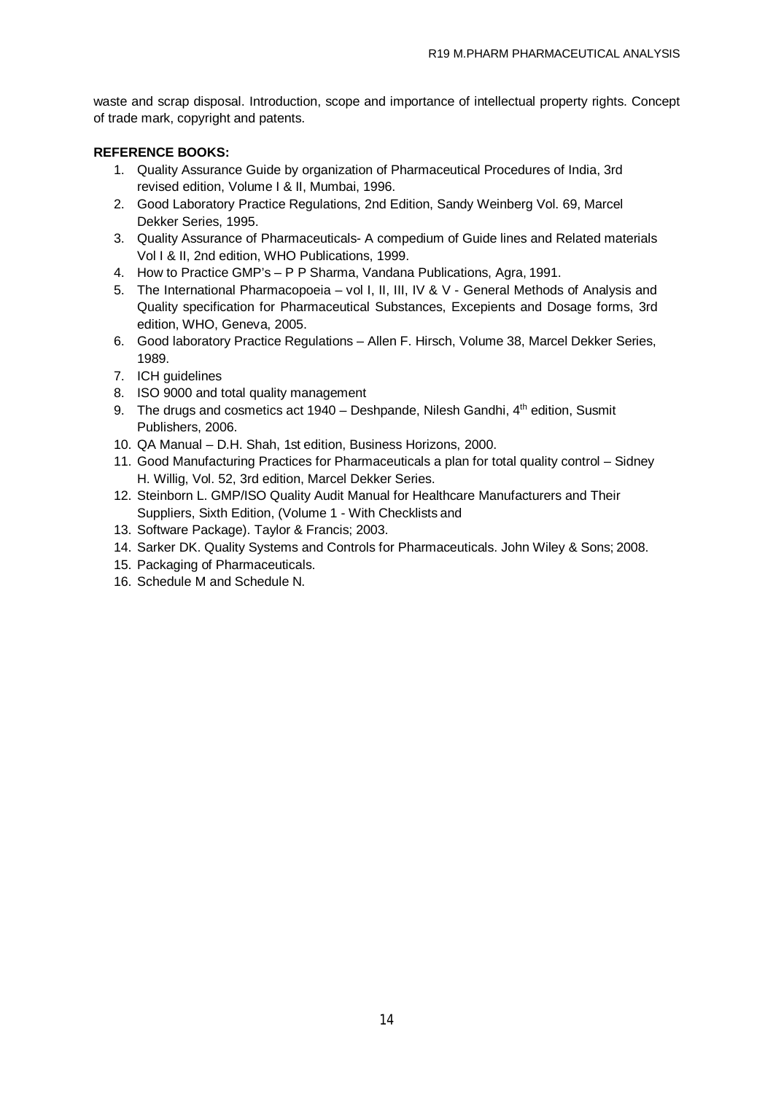waste and scrap disposal. Introduction, scope and importance of intellectual property rights. Concept of trade mark, copyright and patents.

### **REFERENCE BOOKS:**

- 1. Quality Assurance Guide by organization of Pharmaceutical Procedures of India, 3rd revised edition, Volume I & II, Mumbai, 1996.
- 2. Good Laboratory Practice Regulations, 2nd Edition, Sandy Weinberg Vol. 69, Marcel Dekker Series, 1995.
- 3. Quality Assurance of Pharmaceuticals- A compedium of Guide lines and Related materials Vol I & II, 2nd edition, WHO Publications, 1999.
- 4. How to Practice GMP's P P Sharma, Vandana Publications, Agra, 1991.
- 5. The International Pharmacopoeia vol I, II, III, IV & V General Methods of Analysis and Quality specification for Pharmaceutical Substances, Excepients and Dosage forms, 3rd edition, WHO, Geneva, 2005.
- 6. Good laboratory Practice Regulations Allen F. Hirsch, Volume 38, Marcel Dekker Series, 1989.
- 7. ICH guidelines
- 8. ISO 9000 and total quality management
- 9. The drugs and cosmetics act  $1940 -$  Deshpande, Nilesh Gandhi,  $4<sup>th</sup>$  edition, Susmit Publishers, 2006.
- 10. QA Manual D.H. Shah, 1st edition, Business Horizons, 2000.
- 11. Good Manufacturing Practices for Pharmaceuticals a plan for total quality control Sidney H. Willig, Vol. 52, 3rd edition, Marcel Dekker Series.
- 12. Steinborn L. GMP/ISO Quality Audit Manual for Healthcare Manufacturers and Their Suppliers, Sixth Edition, (Volume 1 - With Checklists and
- 13. Software Package). Taylor & Francis; 2003.
- 14. Sarker DK. Quality Systems and Controls for Pharmaceuticals. John Wiley & Sons; 2008.
- 15. Packaging of Pharmaceuticals.
- 16. Schedule M and Schedule N.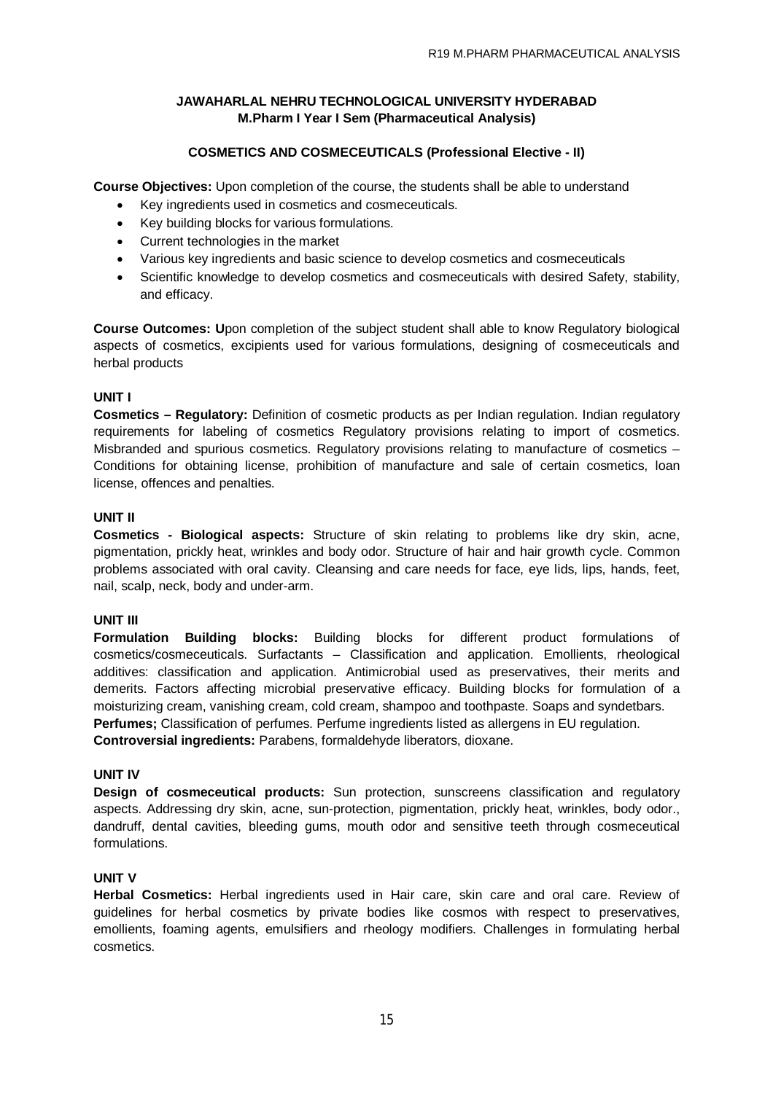# **COSMETICS AND COSMECEUTICALS (Professional Elective - II)**

**Course Objectives:** Upon completion of the course, the students shall be able to understand

- Key ingredients used in cosmetics and cosmeceuticals.
- Key building blocks for various formulations.
- Current technologies in the market
- Various key ingredients and basic science to develop cosmetics and cosmeceuticals
- Scientific knowledge to develop cosmetics and cosmeceuticals with desired Safety, stability, and efficacy.

**Course Outcomes: U**pon completion of the subject student shall able to know Regulatory biological aspects of cosmetics, excipients used for various formulations, designing of cosmeceuticals and herbal products

#### **UNIT I**

**Cosmetics – Regulatory:** Definition of cosmetic products as per Indian regulation. Indian regulatory requirements for labeling of cosmetics Regulatory provisions relating to import of cosmetics. Misbranded and spurious cosmetics. Regulatory provisions relating to manufacture of cosmetics – Conditions for obtaining license, prohibition of manufacture and sale of certain cosmetics, loan license, offences and penalties.

#### **UNIT II**

**Cosmetics - Biological aspects:** Structure of skin relating to problems like dry skin, acne, pigmentation, prickly heat, wrinkles and body odor. Structure of hair and hair growth cycle. Common problems associated with oral cavity. Cleansing and care needs for face, eye lids, lips, hands, feet, nail, scalp, neck, body and under-arm.

#### **UNIT III**

**Formulation Building blocks:** Building blocks for different product formulations of cosmetics/cosmeceuticals. Surfactants – Classification and application. Emollients, rheological additives: classification and application. Antimicrobial used as preservatives, their merits and demerits. Factors affecting microbial preservative efficacy. Building blocks for formulation of a moisturizing cream, vanishing cream, cold cream, shampoo and toothpaste. Soaps and syndetbars. **Perfumes;** Classification of perfumes. Perfume ingredients listed as allergens in EU regulation.

**Controversial ingredients:** Parabens, formaldehyde liberators, dioxane.

# **UNIT IV**

**Design of cosmeceutical products:** Sun protection, sunscreens classification and regulatory aspects. Addressing dry skin, acne, sun-protection, pigmentation, prickly heat, wrinkles, body odor., dandruff, dental cavities, bleeding gums, mouth odor and sensitive teeth through cosmeceutical formulations.

#### **UNIT V**

**Herbal Cosmetics:** Herbal ingredients used in Hair care, skin care and oral care. Review of guidelines for herbal cosmetics by private bodies like cosmos with respect to preservatives, emollients, foaming agents, emulsifiers and rheology modifiers. Challenges in formulating herbal cosmetics.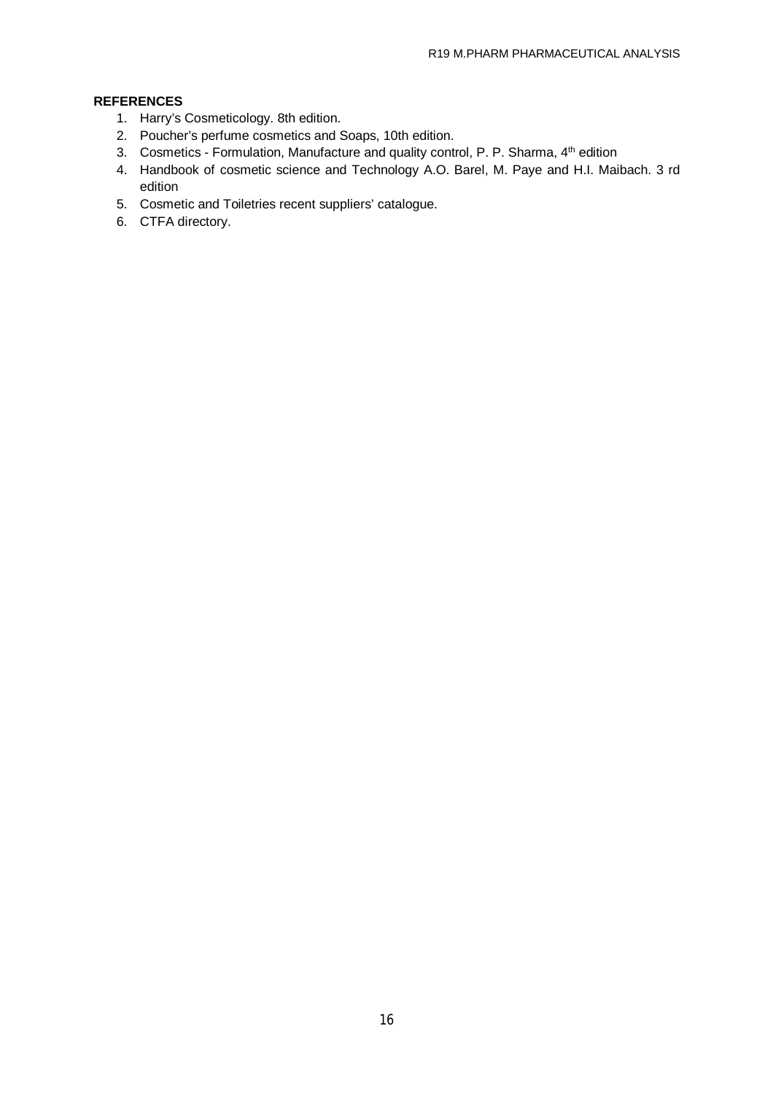- 1. Harry's Cosmeticology. 8th edition.
- 2. Poucher's perfume cosmetics and Soaps, 10th edition.
- 3. Cosmetics Formulation, Manufacture and quality control, P. P. Sharma, 4<sup>th</sup> edition
- 4. Handbook of cosmetic science and Technology A.O. Barel, M. Paye and H.I. Maibach. 3 rd edition
- 5. Cosmetic and Toiletries recent suppliers' catalogue.
- 6. CTFA directory.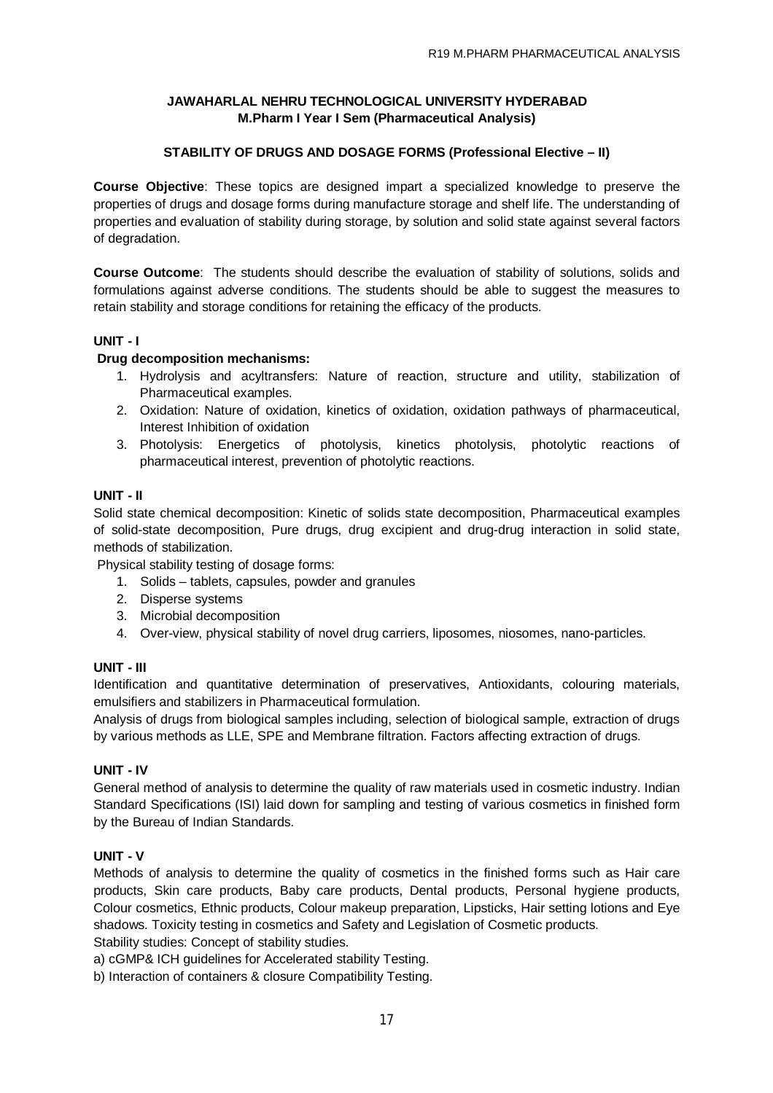# **STABILITY OF DRUGS AND DOSAGE FORMS (Professional Elective – II)**

**Course Objective**: These topics are designed impart a specialized knowledge to preserve the properties of drugs and dosage forms during manufacture storage and shelf life. The understanding of properties and evaluation of stability during storage, by solution and solid state against several factors of degradation.

**Course Outcome**: The students should describe the evaluation of stability of solutions, solids and formulations against adverse conditions. The students should be able to suggest the measures to retain stability and storage conditions for retaining the efficacy of the products.

# **UNIT - I**

### **Drug decomposition mechanisms:**

- 1. Hydrolysis and acyltransfers: Nature of reaction, structure and utility, stabilization of Pharmaceutical examples.
- 2. Oxidation: Nature of oxidation, kinetics of oxidation, oxidation pathways of pharmaceutical, Interest Inhibition of oxidation
- 3. Photolysis: Energetics of photolysis, kinetics photolysis, photolytic reactions of pharmaceutical interest, prevention of photolytic reactions.

### **UNIT - II**

Solid state chemical decomposition: Kinetic of solids state decomposition, Pharmaceutical examples of solid-state decomposition, Pure drugs, drug excipient and drug-drug interaction in solid state, methods of stabilization.

Physical stability testing of dosage forms:

- 1. Solids tablets, capsules, powder and granules
- 2. Disperse systems
- 3. Microbial decomposition
- 4. Over-view, physical stability of novel drug carriers, liposomes, niosomes, nano-particles.

#### **UNIT - III**

Identification and quantitative determination of preservatives, Antioxidants, colouring materials, emulsifiers and stabilizers in Pharmaceutical formulation.

Analysis of drugs from biological samples including, selection of biological sample, extraction of drugs by various methods as LLE, SPE and Membrane filtration. Factors affecting extraction of drugs.

#### **UNIT - IV**

General method of analysis to determine the quality of raw materials used in cosmetic industry. Indian Standard Specifications (ISI) laid down for sampling and testing of various cosmetics in finished form by the Bureau of Indian Standards.

#### **UNIT - V**

Methods of analysis to determine the quality of cosmetics in the finished forms such as Hair care products, Skin care products, Baby care products, Dental products, Personal hygiene products, Colour cosmetics, Ethnic products, Colour makeup preparation, Lipsticks, Hair setting lotions and Eye shadows. Toxicity testing in cosmetics and Safety and Legislation of Cosmetic products.

Stability studies: Concept of stability studies.

a) cGMP& ICH guidelines for Accelerated stability Testing.

b) Interaction of containers & closure Compatibility Testing.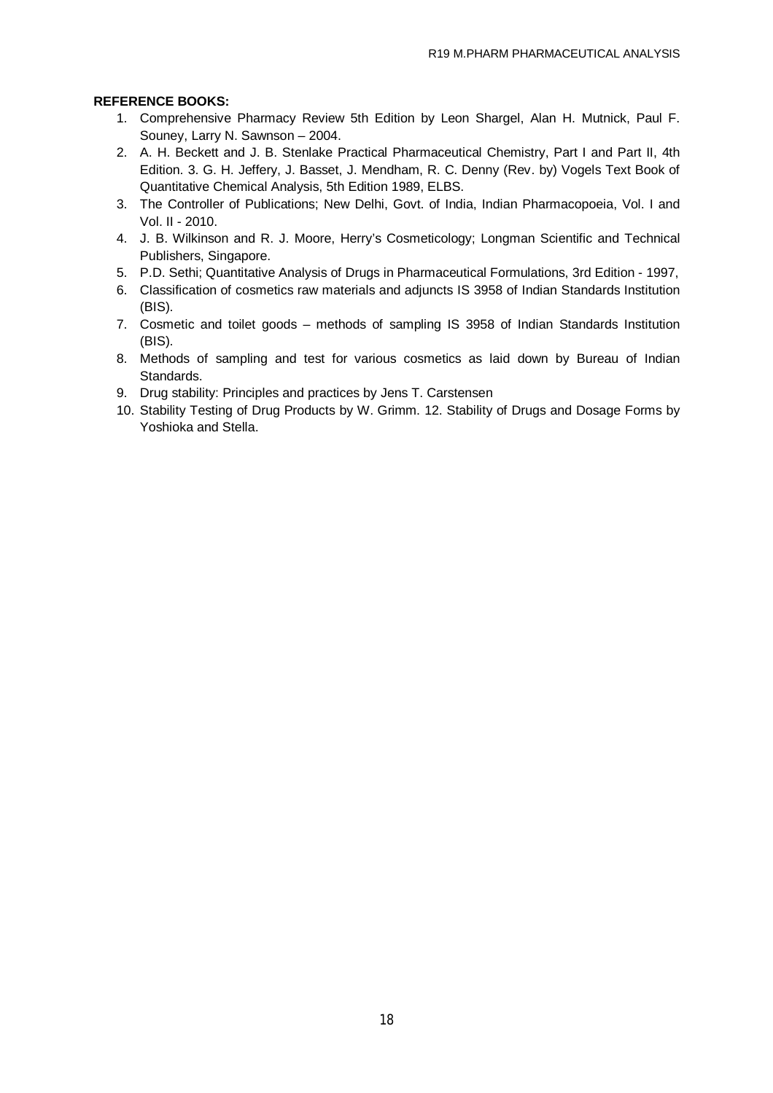### **REFERENCE BOOKS:**

- 1. Comprehensive Pharmacy Review 5th Edition by Leon Shargel, Alan H. Mutnick, Paul F. Souney, Larry N. Sawnson – 2004.
- 2. A. H. Beckett and J. B. Stenlake Practical Pharmaceutical Chemistry, Part I and Part II, 4th Edition. 3. G. H. Jeffery, J. Basset, J. Mendham, R. C. Denny (Rev. by) Vogels Text Book of Quantitative Chemical Analysis, 5th Edition 1989, ELBS.
- 3. The Controller of Publications; New Delhi, Govt. of India, Indian Pharmacopoeia, Vol. I and Vol. II - 2010.
- 4. J. B. Wilkinson and R. J. Moore, Herry's Cosmeticology; Longman Scientific and Technical Publishers, Singapore.
- 5. P.D. Sethi; Quantitative Analysis of Drugs in Pharmaceutical Formulations, 3rd Edition 1997,
- 6. Classification of cosmetics raw materials and adjuncts IS 3958 of Indian Standards Institution (BIS).
- 7. Cosmetic and toilet goods methods of sampling IS 3958 of Indian Standards Institution (BIS).
- 8. Methods of sampling and test for various cosmetics as laid down by Bureau of Indian Standards.
- 9. Drug stability: Principles and practices by Jens T. Carstensen
- 10. Stability Testing of Drug Products by W. Grimm. 12. Stability of Drugs and Dosage Forms by Yoshioka and Stella.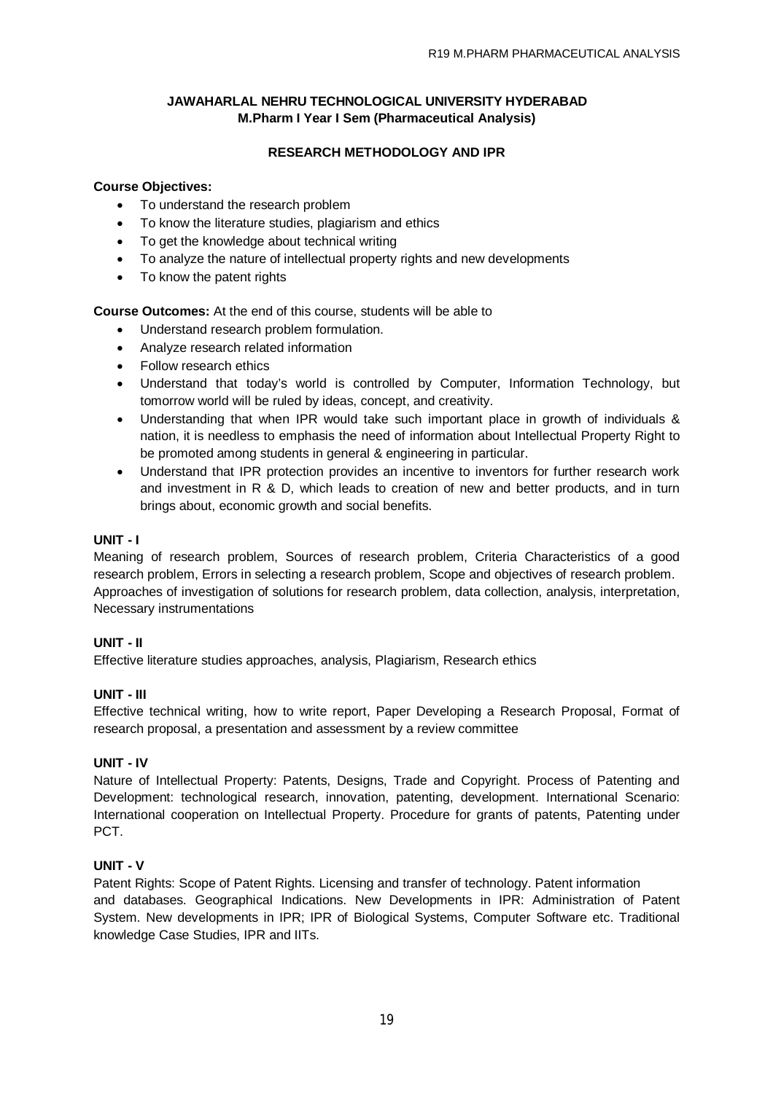## **RESEARCH METHODOLOGY AND IPR**

### **Course Objectives:**

- To understand the research problem
- To know the literature studies, plagiarism and ethics
- To get the knowledge about technical writing
- To analyze the nature of intellectual property rights and new developments
- To know the patent rights

**Course Outcomes:** At the end of this course, students will be able to

- Understand research problem formulation.
- Analyze research related information
- Follow research ethics
- Understand that today's world is controlled by Computer, Information Technology, but tomorrow world will be ruled by ideas, concept, and creativity.
- Understanding that when IPR would take such important place in growth of individuals & nation, it is needless to emphasis the need of information about Intellectual Property Right to be promoted among students in general & engineering in particular.
- Understand that IPR protection provides an incentive to inventors for further research work and investment in R & D, which leads to creation of new and better products, and in turn brings about, economic growth and social benefits.

#### **UNIT - I**

Meaning of research problem, Sources of research problem, Criteria Characteristics of a good research problem, Errors in selecting a research problem, Scope and objectives of research problem. Approaches of investigation of solutions for research problem, data collection, analysis, interpretation, Necessary instrumentations

#### **UNIT - II**

Effective literature studies approaches, analysis, Plagiarism, Research ethics

#### **UNIT - III**

Effective technical writing, how to write report, Paper Developing a Research Proposal, Format of research proposal, a presentation and assessment by a review committee

#### **UNIT - IV**

Nature of Intellectual Property: Patents, Designs, Trade and Copyright. Process of Patenting and Development: technological research, innovation, patenting, development. International Scenario: International cooperation on Intellectual Property. Procedure for grants of patents, Patenting under PCT.

### **UNIT - V**

Patent Rights: Scope of Patent Rights. Licensing and transfer of technology. Patent information and databases. Geographical Indications. New Developments in IPR: Administration of Patent System. New developments in IPR; IPR of Biological Systems, Computer Software etc. Traditional knowledge Case Studies, IPR and IITs.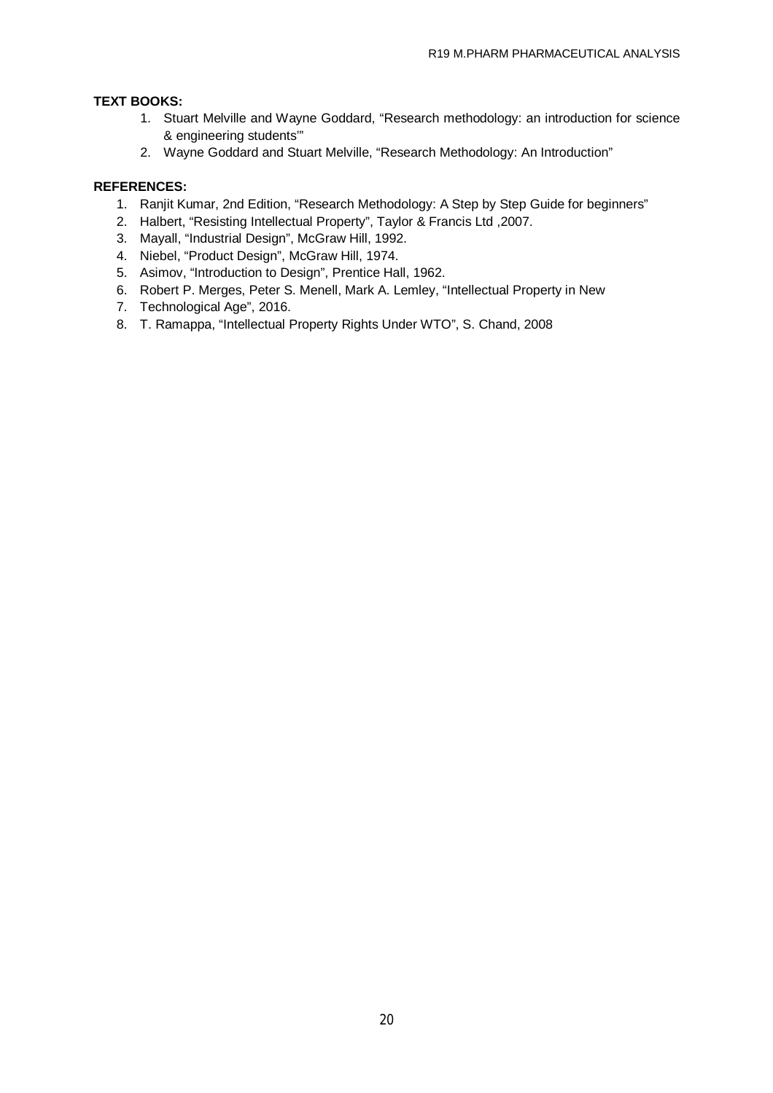## **TEXT BOOKS:**

- 1. Stuart Melville and Wayne Goddard, "Research methodology: an introduction for science & engineering students'"
- 2. Wayne Goddard and Stuart Melville, "Research Methodology: An Introduction"

- 1. Ranjit Kumar, 2nd Edition, "Research Methodology: A Step by Step Guide for beginners"
- 2. Halbert, "Resisting Intellectual Property", Taylor & Francis Ltd ,2007.
- 3. Mayall, "Industrial Design", McGraw Hill, 1992.
- 4. Niebel, "Product Design", McGraw Hill, 1974.
- 5. Asimov, "Introduction to Design", Prentice Hall, 1962.
- 6. Robert P. Merges, Peter S. Menell, Mark A. Lemley, "Intellectual Property in New
- 7. Technological Age", 2016.
- 8. T. Ramappa, "Intellectual Property Rights Under WTO", S. Chand, 2008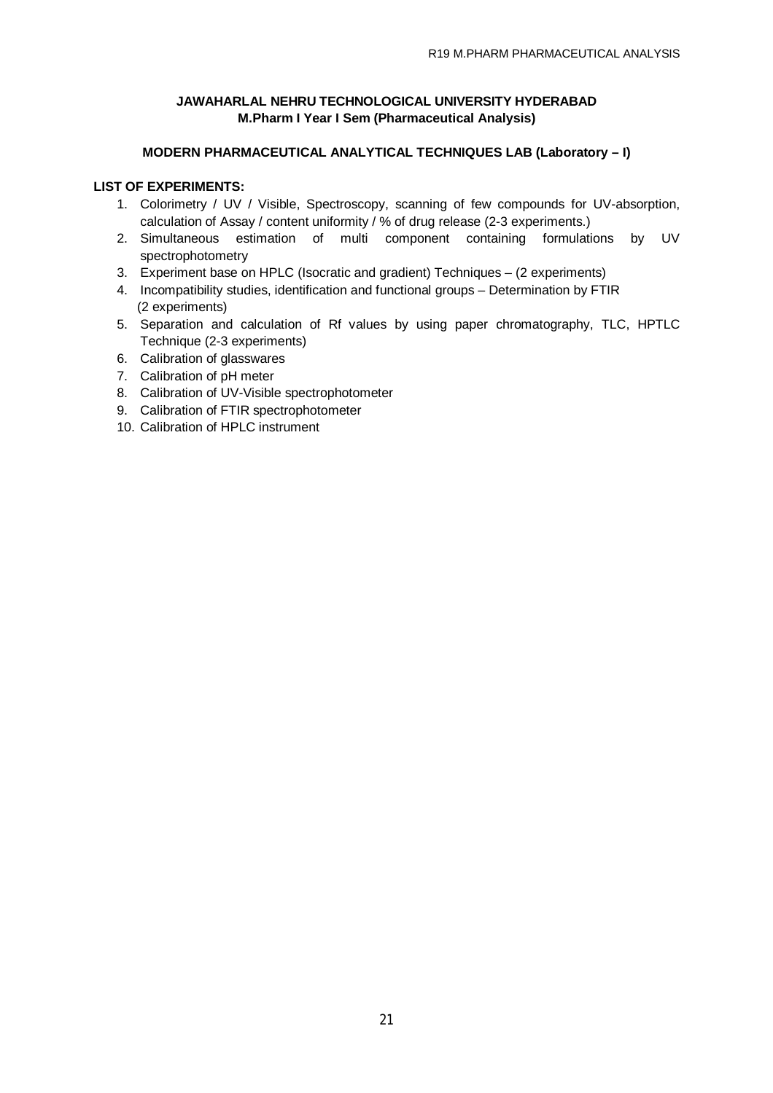## **MODERN PHARMACEUTICAL ANALYTICAL TECHNIQUES LAB (Laboratory – I)**

# **LIST OF EXPERIMENTS:**

- 1. Colorimetry / UV / Visible, Spectroscopy, scanning of few compounds for UV-absorption, calculation of Assay / content uniformity / % of drug release (2-3 experiments.)
- 2. Simultaneous estimation of multi component containing formulations by UV spectrophotometry
- 3. Experiment base on HPLC (Isocratic and gradient) Techniques (2 experiments)
- 4. Incompatibility studies, identification and functional groups Determination by FTIR (2 experiments)
- 5. Separation and calculation of Rf values by using paper chromatography, TLC, HPTLC Technique (2-3 experiments)
- 6. Calibration of glasswares
- 7. Calibration of pH meter
- 8. Calibration of UV-Visible spectrophotometer
- 9. Calibration of FTIR spectrophotometer
- 10. Calibration of HPLC instrument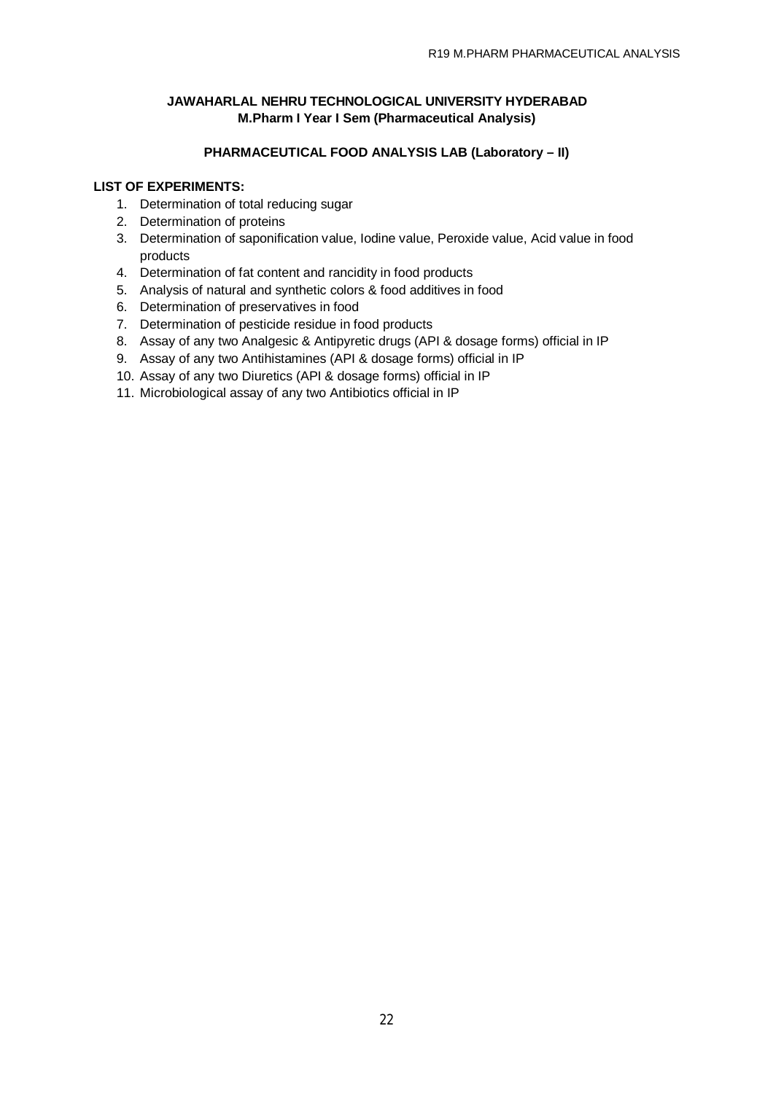# **PHARMACEUTICAL FOOD ANALYSIS LAB (Laboratory – II)**

# **LIST OF EXPERIMENTS:**

- 1. Determination of total reducing sugar
- 2. Determination of proteins
- 3. Determination of saponification value, Iodine value, Peroxide value, Acid value in food products
- 4. Determination of fat content and rancidity in food products
- 5. Analysis of natural and synthetic colors & food additives in food
- 6. Determination of preservatives in food
- 7. Determination of pesticide residue in food products
- 8. Assay of any two Analgesic & Antipyretic drugs (API & dosage forms) official in IP
- 9. Assay of any two Antihistamines (API & dosage forms) official in IP
- 10. Assay of any two Diuretics (API & dosage forms) official in IP
- 11. Microbiological assay of any two Antibiotics official in IP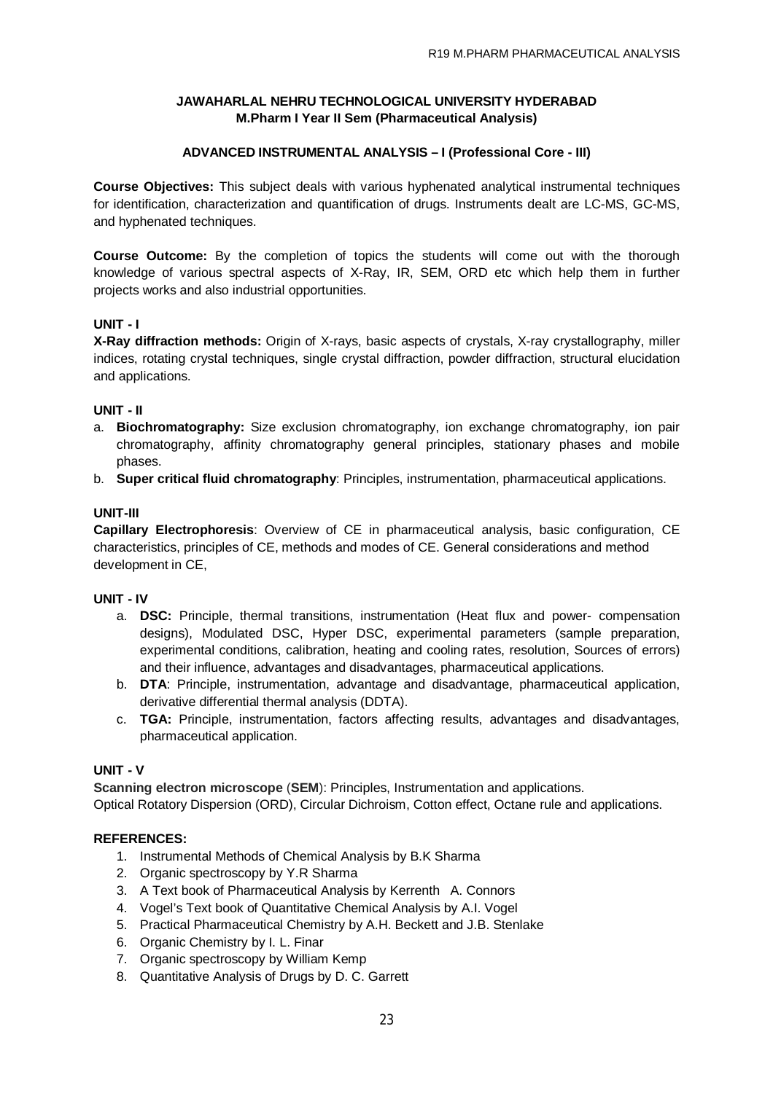# **ADVANCED INSTRUMENTAL ANALYSIS – I (Professional Core - III)**

**Course Objectives:** This subject deals with various hyphenated analytical instrumental techniques for identification, characterization and quantification of drugs. Instruments dealt are LC-MS, GC-MS, and hyphenated techniques.

**Course Outcome:** By the completion of topics the students will come out with the thorough knowledge of various spectral aspects of X-Ray, IR, SEM, ORD etc which help them in further projects works and also industrial opportunities.

# **UNIT - I**

**X-Ray diffraction methods:** Origin of X-rays, basic aspects of crystals, X-ray crystallography, miller indices, rotating crystal techniques, single crystal diffraction, powder diffraction, structural elucidation and applications.

### **UNIT - II**

- a. **Biochromatography:** Size exclusion chromatography, ion exchange chromatography, ion pair chromatography, affinity chromatography general principles, stationary phases and mobile phases.
- b. **Super critical fluid chromatography**: Principles, instrumentation, pharmaceutical applications.

### **UNIT-III**

**Capillary Electrophoresis**: Overview of CE in pharmaceutical analysis, basic configuration, CE characteristics, principles of CE, methods and modes of CE. General considerations and method development in CE,

#### **UNIT - IV**

- a. **DSC:** Principle, thermal transitions, instrumentation (Heat flux and power- compensation designs), Modulated DSC, Hyper DSC, experimental parameters (sample preparation, experimental conditions, calibration, heating and cooling rates, resolution, Sources of errors) and their influence, advantages and disadvantages, pharmaceutical applications.
- b. **DTA**: Principle, instrumentation, advantage and disadvantage, pharmaceutical application, derivative differential thermal analysis (DDTA).
- c. **TGA:** Principle, instrumentation, factors affecting results, advantages and disadvantages, pharmaceutical application.

#### **UNIT - V**

**Scanning electron microscope** (**SEM**): Principles, Instrumentation and applications. Optical Rotatory Dispersion (ORD), Circular Dichroism, Cotton effect, Octane rule and applications.

- 1. Instrumental Methods of Chemical Analysis by B.K Sharma
- 2. Organic spectroscopy by Y.R Sharma
- 3. A Text book of Pharmaceutical Analysis by Kerrenth A. Connors
- 4. Vogel's Text book of Quantitative Chemical Analysis by A.I. Vogel
- 5. Practical Pharmaceutical Chemistry by A.H. Beckett and J.B. Stenlake
- 6. Organic Chemistry by I. L. Finar
- 7. Organic spectroscopy by William Kemp
- 8. Quantitative Analysis of Drugs by D. C. Garrett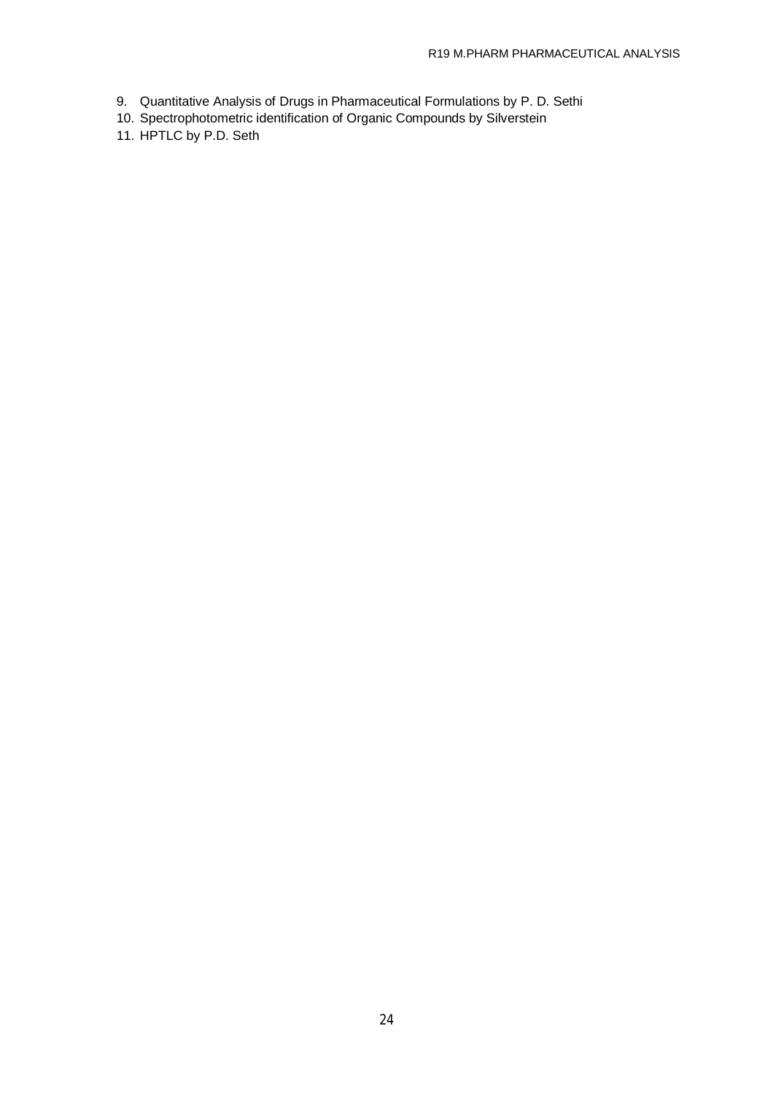- 9. Quantitative Analysis of Drugs in Pharmaceutical Formulations by P. D. Sethi
- 10. Spectrophotometric identification of Organic Compounds by Silverstein
- 11. HPTLC by P.D. Seth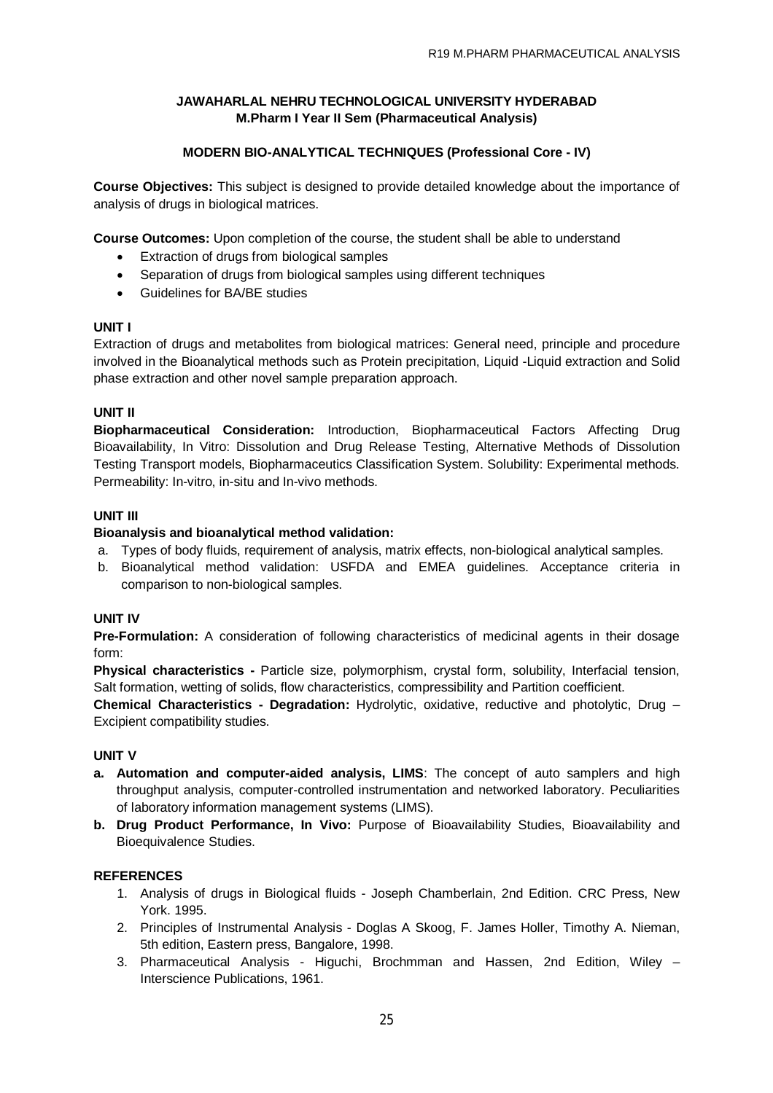# **MODERN BIO-ANALYTICAL TECHNIQUES (Professional Core - IV)**

**Course Objectives:** This subject is designed to provide detailed knowledge about the importance of analysis of drugs in biological matrices.

**Course Outcomes:** Upon completion of the course, the student shall be able to understand

- Extraction of drugs from biological samples
- Separation of drugs from biological samples using different techniques
- Guidelines for BA/BE studies

#### **UNIT I**

Extraction of drugs and metabolites from biological matrices: General need, principle and procedure involved in the Bioanalytical methods such as Protein precipitation, Liquid -Liquid extraction and Solid phase extraction and other novel sample preparation approach.

### **UNIT II**

**Biopharmaceutical Consideration:** Introduction, Biopharmaceutical Factors Affecting Drug Bioavailability, In Vitro: Dissolution and Drug Release Testing, Alternative Methods of Dissolution Testing Transport models, Biopharmaceutics Classification System. Solubility: Experimental methods. Permeability: In-vitro, in-situ and In-vivo methods.

### **UNIT III**

### **Bioanalysis and bioanalytical method validation:**

- a. Types of body fluids, requirement of analysis, matrix effects, non-biological analytical samples.
- b. Bioanalytical method validation: USFDA and EMEA guidelines. Acceptance criteria in comparison to non-biological samples.

# **UNIT IV**

**Pre-Formulation:** A consideration of following characteristics of medicinal agents in their dosage form:

**Physical characteristics -** Particle size, polymorphism, crystal form, solubility, Interfacial tension, Salt formation, wetting of solids, flow characteristics, compressibility and Partition coefficient.

**Chemical Characteristics - Degradation:** Hydrolytic, oxidative, reductive and photolytic, Drug – Excipient compatibility studies.

#### **UNIT V**

- **a. Automation and computer-aided analysis, LIMS**: The concept of auto samplers and high throughput analysis, computer-controlled instrumentation and networked laboratory. Peculiarities of laboratory information management systems (LIMS).
- **b. Drug Product Performance, In Vivo:** Purpose of Bioavailability Studies, Bioavailability and Bioequivalence Studies.

- 1. Analysis of drugs in Biological fluids Joseph Chamberlain, 2nd Edition. CRC Press, New York. 1995.
- 2. Principles of Instrumental Analysis Doglas A Skoog, F. James Holler, Timothy A. Nieman, 5th edition, Eastern press, Bangalore, 1998.
- 3. Pharmaceutical Analysis Higuchi, Brochmman and Hassen, 2nd Edition, Wiley Interscience Publications, 1961.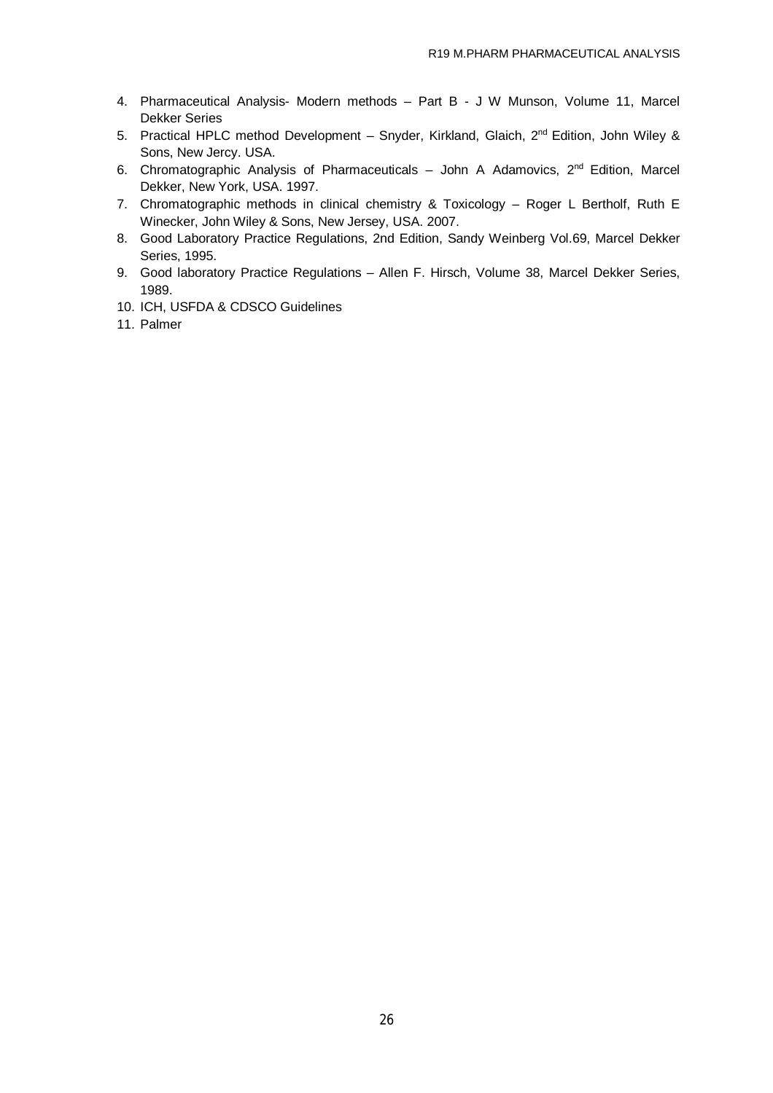- 4. Pharmaceutical Analysis- Modern methods Part B J W Munson, Volume 11, Marcel Dekker Series
- 5. Practical HPLC method Development Snyder, Kirkland, Glaich, 2<sup>nd</sup> Edition, John Wiley & Sons, New Jercy. USA.
- 6. Chromatographic Analysis of Pharmaceuticals  $-$  John A Adamovics,  $2<sup>nd</sup>$  Edition, Marcel Dekker, New York, USA. 1997.
- 7. Chromatographic methods in clinical chemistry & Toxicology Roger L Bertholf, Ruth E Winecker, John Wiley & Sons, New Jersey, USA. 2007.
- 8. Good Laboratory Practice Regulations, 2nd Edition, Sandy Weinberg Vol.69, Marcel Dekker Series, 1995.
- 9. Good laboratory Practice Regulations Allen F. Hirsch, Volume 38, Marcel Dekker Series, 1989.
- 10. ICH, USFDA & CDSCO Guidelines
- 11. Palmer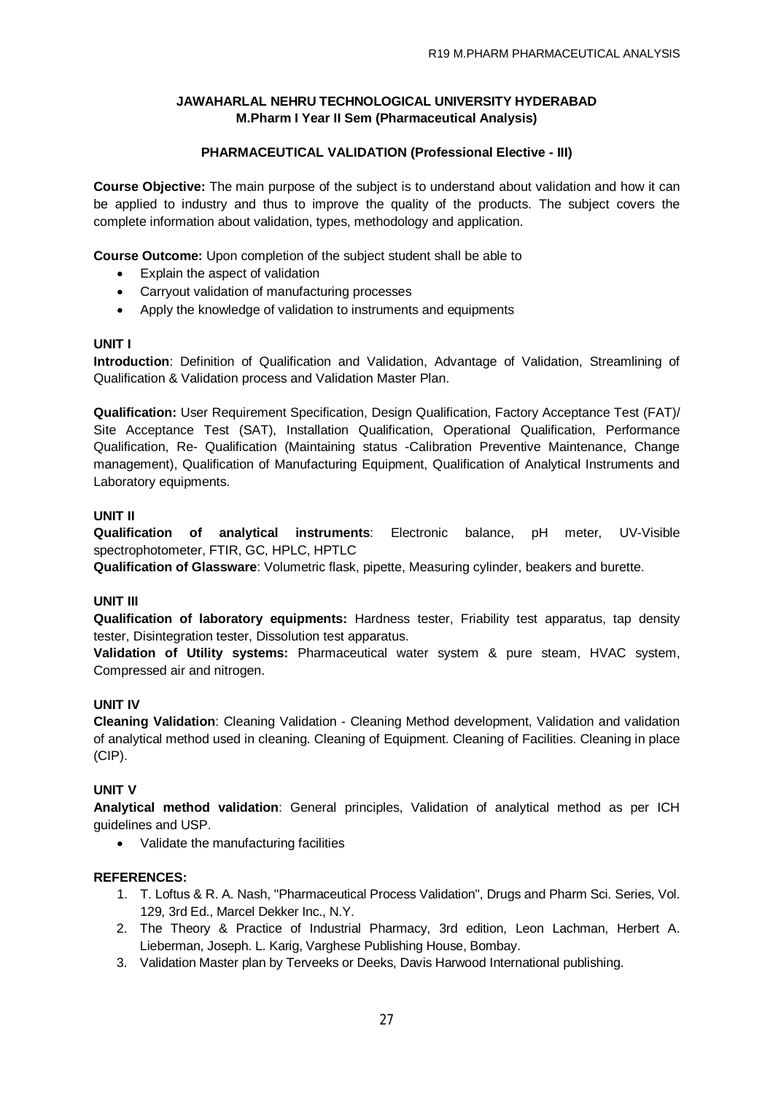# **PHARMACEUTICAL VALIDATION (Professional Elective - III)**

**Course Objective:** The main purpose of the subject is to understand about validation and how it can be applied to industry and thus to improve the quality of the products. The subject covers the complete information about validation, types, methodology and application.

**Course Outcome:** Upon completion of the subject student shall be able to

- Explain the aspect of validation
- Carryout validation of manufacturing processes
- Apply the knowledge of validation to instruments and equipments

#### **UNIT I**

**Introduction**: Definition of Qualification and Validation, Advantage of Validation, Streamlining of Qualification & Validation process and Validation Master Plan.

**Qualification:** User Requirement Specification, Design Qualification, Factory Acceptance Test (FAT)/ Site Acceptance Test (SAT), Installation Qualification, Operational Qualification, Performance Qualification, Re- Qualification (Maintaining status -Calibration Preventive Maintenance, Change management), Qualification of Manufacturing Equipment, Qualification of Analytical Instruments and Laboratory equipments.

### **UNIT II**

**Qualification of analytical instruments**: Electronic balance, pH meter, UV-Visible spectrophotometer, FTIR, GC, HPLC, HPTLC

**Qualification of Glassware**: Volumetric flask, pipette, Measuring cylinder, beakers and burette.

#### **UNIT III**

**Qualification of laboratory equipments:** Hardness tester, Friability test apparatus, tap density tester, Disintegration tester, Dissolution test apparatus.

**Validation of Utility systems:** Pharmaceutical water system & pure steam, HVAC system, Compressed air and nitrogen.

# **UNIT IV**

**Cleaning Validation**: Cleaning Validation - Cleaning Method development, Validation and validation of analytical method used in cleaning. Cleaning of Equipment. Cleaning of Facilities. Cleaning in place (CIP).

#### **UNIT V**

**Analytical method validation**: General principles, Validation of analytical method as per ICH guidelines and USP.

Validate the manufacturing facilities

- 1. T. Loftus & R. A. Nash, "Pharmaceutical Process Validation", Drugs and Pharm Sci. Series, Vol. 129, 3rd Ed., Marcel Dekker Inc., N.Y.
- 2. The Theory & Practice of Industrial Pharmacy, 3rd edition, Leon Lachman, Herbert A. Lieberman, Joseph. L. Karig, Varghese Publishing House, Bombay.
- 3. Validation Master plan by Terveeks or Deeks, Davis Harwood International publishing.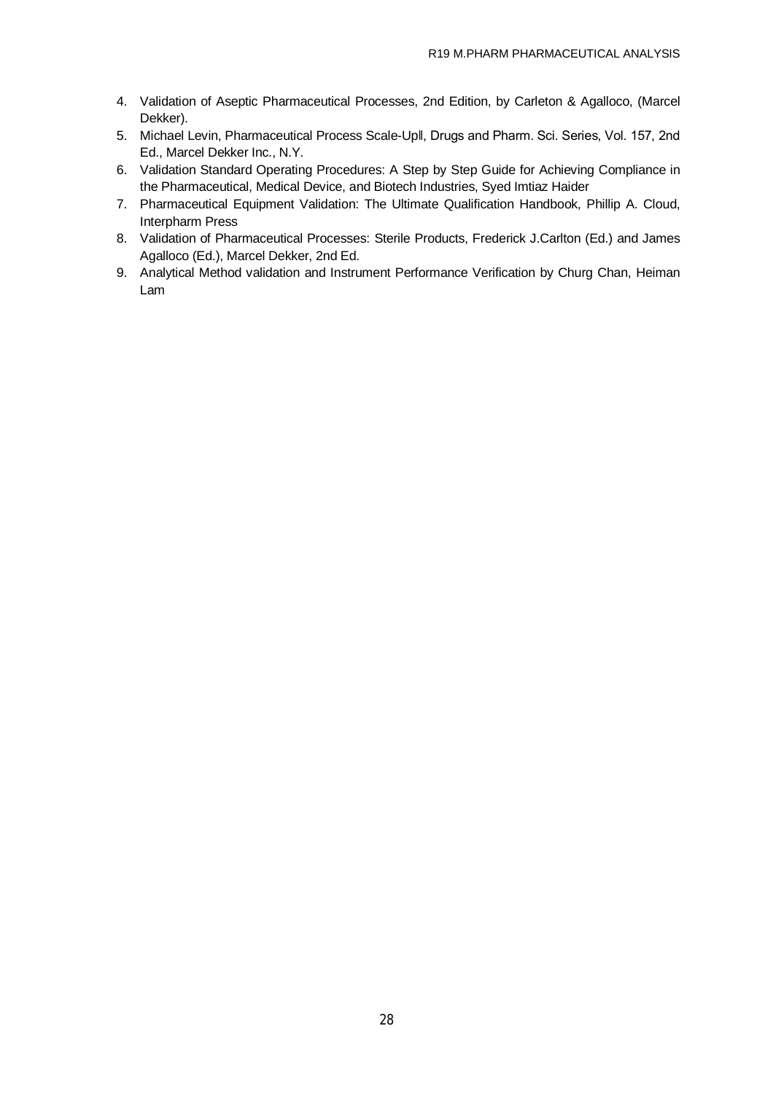- 4. Validation of Aseptic Pharmaceutical Processes, 2nd Edition, by Carleton & Agalloco, (Marcel Dekker).
- 5. Michael Levin, Pharmaceutical Process Scale-Up‖, Drugs and Pharm. Sci. Series, Vol. 157, 2nd Ed., Marcel Dekker Inc., N.Y.
- 6. Validation Standard Operating Procedures: A Step by Step Guide for Achieving Compliance in the Pharmaceutical, Medical Device, and Biotech Industries, Syed Imtiaz Haider
- 7. Pharmaceutical Equipment Validation: The Ultimate Qualification Handbook, Phillip A. Cloud, Interpharm Press
- 8. Validation of Pharmaceutical Processes: Sterile Products, Frederick J.Carlton (Ed.) and James Agalloco (Ed.), Marcel Dekker, 2nd Ed.
- 9. Analytical Method validation and Instrument Performance Verification by Churg Chan, Heiman Lam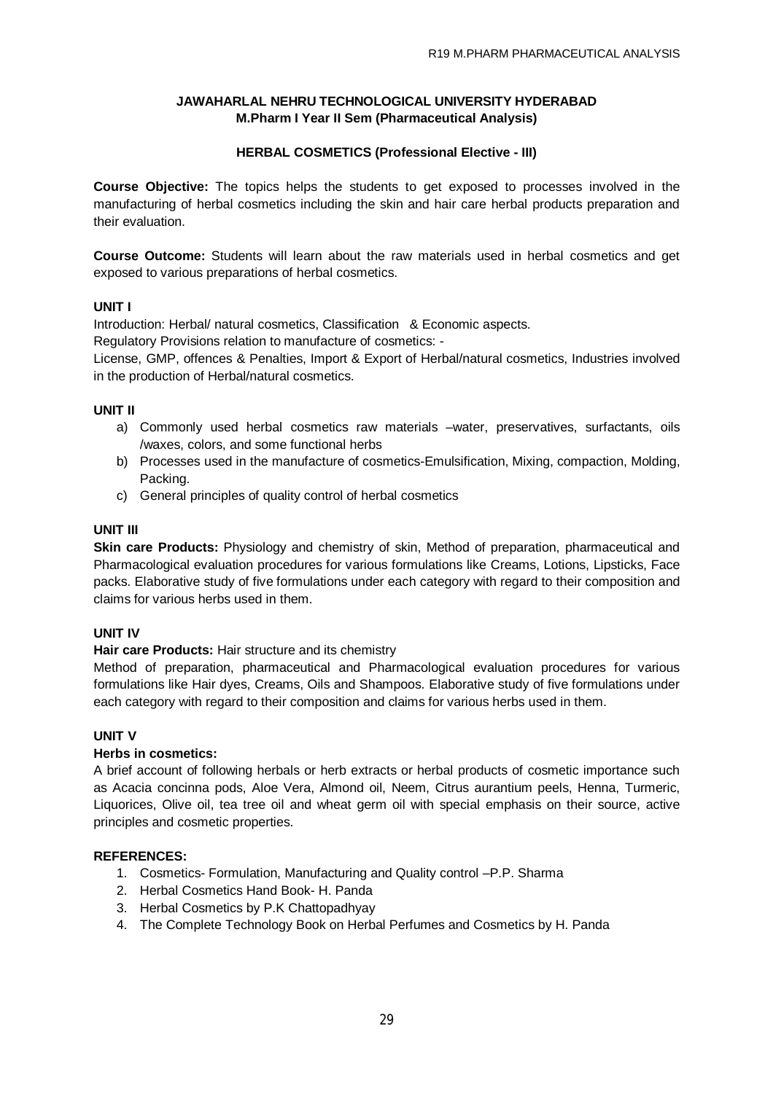# **HERBAL COSMETICS (Professional Elective - III)**

**Course Objective:** The topics helps the students to get exposed to processes involved in the manufacturing of herbal cosmetics including the skin and hair care herbal products preparation and their evaluation.

**Course Outcome:** Students will learn about the raw materials used in herbal cosmetics and get exposed to various preparations of herbal cosmetics.

### **UNIT I**

Introduction: Herbal/ natural cosmetics, Classification & Economic aspects.

Regulatory Provisions relation to manufacture of cosmetics: -

License, GMP, offences & Penalties, Import & Export of Herbal/natural cosmetics, Industries involved in the production of Herbal/natural cosmetics.

### **UNIT II**

- a) Commonly used herbal cosmetics raw materials –water, preservatives, surfactants, oils /waxes, colors, and some functional herbs
- b) Processes used in the manufacture of cosmetics-Emulsification, Mixing, compaction, Molding, Packing.
- c) General principles of quality control of herbal cosmetics

#### **UNIT III**

**Skin care Products:** Physiology and chemistry of skin, Method of preparation, pharmaceutical and Pharmacological evaluation procedures for various formulations like Creams, Lotions, Lipsticks, Face packs. Elaborative study of five formulations under each category with regard to their composition and claims for various herbs used in them.

# **UNIT IV**

#### **Hair care Products:** Hair structure and its chemistry

Method of preparation, pharmaceutical and Pharmacological evaluation procedures for various formulations like Hair dyes, Creams, Oils and Shampoos. Elaborative study of five formulations under each category with regard to their composition and claims for various herbs used in them.

#### **UNIT V**

#### **Herbs in cosmetics:**

A brief account of following herbals or herb extracts or herbal products of cosmetic importance such as Acacia concinna pods, Aloe Vera, Almond oil, Neem, Citrus aurantium peels, Henna, Turmeric, Liquorices, Olive oil, tea tree oil and wheat germ oil with special emphasis on their source, active principles and cosmetic properties.

- 1. Cosmetics- Formulation, Manufacturing and Quality control –P.P. Sharma
- 2. Herbal Cosmetics Hand Book- H. Panda
- 3. Herbal Cosmetics by P.K Chattopadhyay
- 4. The Complete Technology Book on Herbal Perfumes and Cosmetics by H. Panda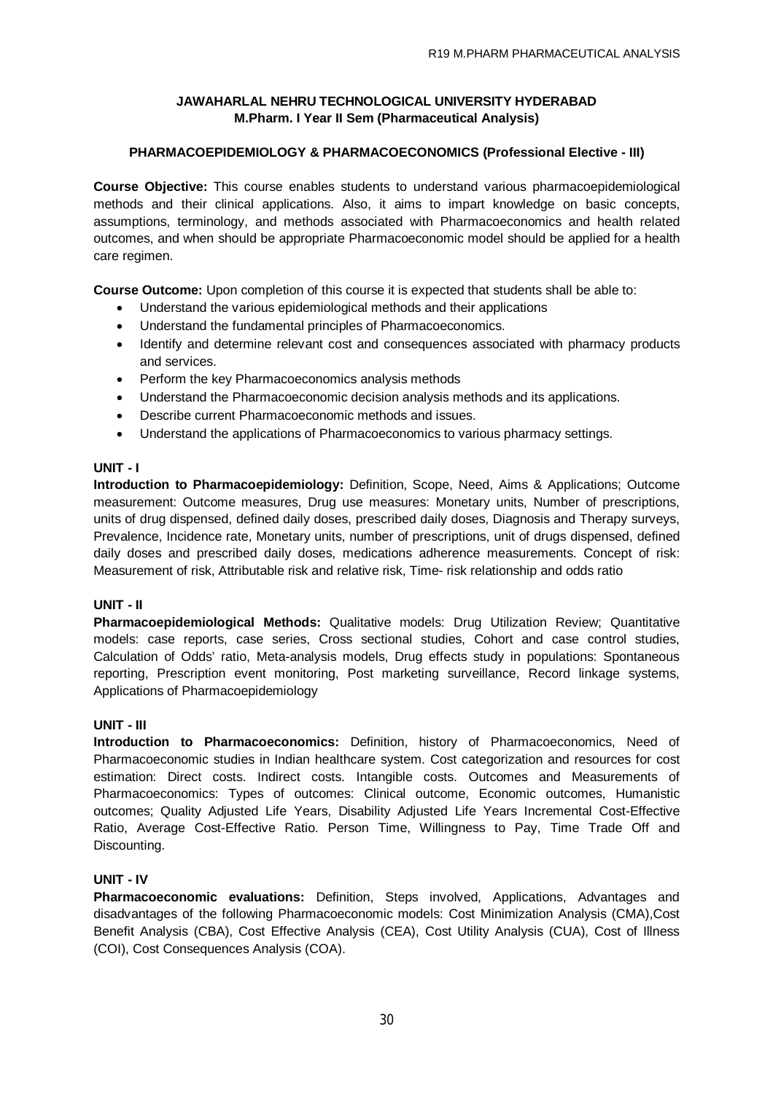## **PHARMACOEPIDEMIOLOGY & PHARMACOECONOMICS (Professional Elective - III)**

**Course Objective:** This course enables students to understand various pharmacoepidemiological methods and their clinical applications. Also, it aims to impart knowledge on basic concepts, assumptions, terminology, and methods associated with Pharmacoeconomics and health related outcomes, and when should be appropriate Pharmacoeconomic model should be applied for a health care regimen.

**Course Outcome:** Upon completion of this course it is expected that students shall be able to:

- Understand the various epidemiological methods and their applications
- Understand the fundamental principles of Pharmacoeconomics.
- Identify and determine relevant cost and consequences associated with pharmacy products and services.
- Perform the key Pharmacoeconomics analysis methods
- Understand the Pharmacoeconomic decision analysis methods and its applications.
- Describe current Pharmacoeconomic methods and issues.
- Understand the applications of Pharmacoeconomics to various pharmacy settings.

### **UNIT - I**

**Introduction to Pharmacoepidemiology:** Definition, Scope, Need, Aims & Applications; Outcome measurement: Outcome measures, Drug use measures: Monetary units, Number of prescriptions, units of drug dispensed, defined daily doses, prescribed daily doses, Diagnosis and Therapy surveys, Prevalence, Incidence rate, Monetary units, number of prescriptions, unit of drugs dispensed, defined daily doses and prescribed daily doses, medications adherence measurements. Concept of risk: Measurement of risk, Attributable risk and relative risk, Time- risk relationship and odds ratio

#### **UNIT - II**

**Pharmacoepidemiological Methods:** Qualitative models: Drug Utilization Review; Quantitative models: case reports, case series, Cross sectional studies, Cohort and case control studies, Calculation of Odds' ratio, Meta-analysis models, Drug effects study in populations: Spontaneous reporting, Prescription event monitoring, Post marketing surveillance, Record linkage systems, Applications of Pharmacoepidemiology

#### **UNIT - III**

**Introduction to Pharmacoeconomics:** Definition, history of Pharmacoeconomics, Need of Pharmacoeconomic studies in Indian healthcare system. Cost categorization and resources for cost estimation: Direct costs. Indirect costs. Intangible costs. Outcomes and Measurements of Pharmacoeconomics: Types of outcomes: Clinical outcome, Economic outcomes, Humanistic outcomes; Quality Adjusted Life Years, Disability Adjusted Life Years Incremental Cost-Effective Ratio, Average Cost-Effective Ratio. Person Time, Willingness to Pay, Time Trade Off and Discounting.

#### **UNIT - IV**

**Pharmacoeconomic evaluations:** Definition, Steps involved, Applications, Advantages and disadvantages of the following Pharmacoeconomic models: Cost Minimization Analysis (CMA),Cost Benefit Analysis (CBA), Cost Effective Analysis (CEA), Cost Utility Analysis (CUA), Cost of Illness (COI), Cost Consequences Analysis (COA).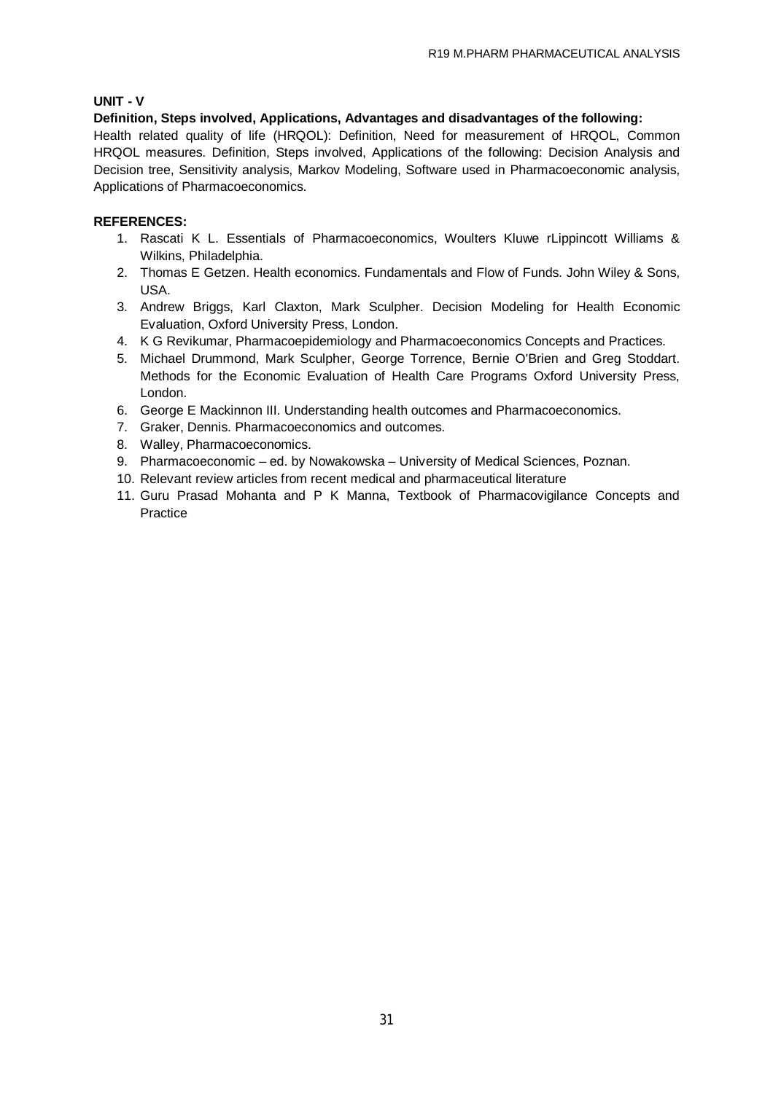## **UNIT - V**

**Definition, Steps involved, Applications, Advantages and disadvantages of the following:**

Health related quality of life (HRQOL): Definition, Need for measurement of HRQOL, Common HRQOL measures. Definition, Steps involved, Applications of the following: Decision Analysis and Decision tree, Sensitivity analysis, Markov Modeling, Software used in Pharmacoeconomic analysis, Applications of Pharmacoeconomics.

- 1. Rascati K L. Essentials of Pharmacoeconomics, Woulters Kluwe rLippincott Williams & Wilkins, Philadelphia.
- 2. Thomas E Getzen. Health economics. Fundamentals and Flow of Funds. John Wiley & Sons, USA.
- 3. Andrew Briggs, Karl Claxton, Mark Sculpher. Decision Modeling for Health Economic Evaluation, Oxford University Press, London.
- 4. K G Revikumar, Pharmacoepidemiology and Pharmacoeconomics Concepts and Practices.
- 5. Michael Drummond, Mark Sculpher, George Torrence, Bernie O'Brien and Greg Stoddart. Methods for the Economic Evaluation of Health Care Programs Oxford University Press, London.
- 6. George E Mackinnon III. Understanding health outcomes and Pharmacoeconomics.
- 7. Graker, Dennis. Pharmacoeconomics and outcomes.
- 8. Walley, Pharmacoeconomics.
- 9. Pharmacoeconomic ed. by Nowakowska University of Medical Sciences, Poznan.
- 10. Relevant review articles from recent medical and pharmaceutical literature
- 11. Guru Prasad Mohanta and P K Manna, Textbook of Pharmacovigilance Concepts and Practice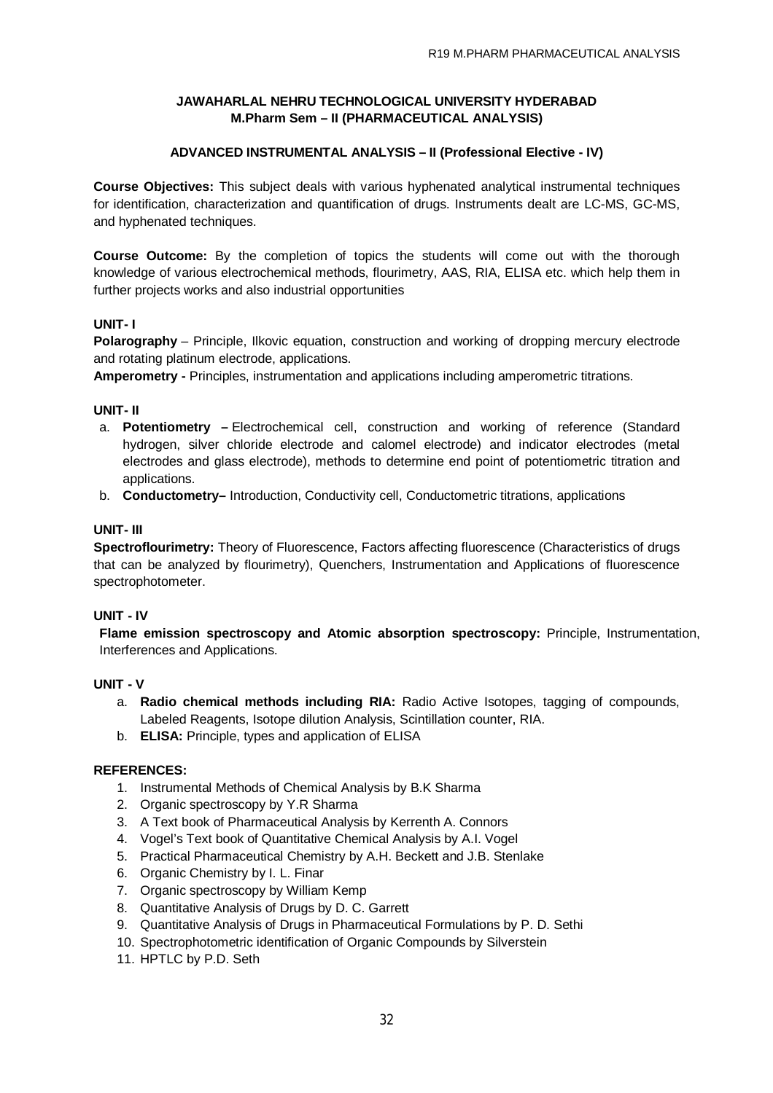## **JAWAHARLAL NEHRU TECHNOLOGICAL UNIVERSITY HYDERABAD M.Pharm Sem – II (PHARMACEUTICAL ANALYSIS)**

## **ADVANCED INSTRUMENTAL ANALYSIS – II (Professional Elective - IV)**

**Course Objectives:** This subject deals with various hyphenated analytical instrumental techniques for identification, characterization and quantification of drugs. Instruments dealt are LC-MS, GC-MS, and hyphenated techniques.

**Course Outcome:** By the completion of topics the students will come out with the thorough knowledge of various electrochemical methods, flourimetry, AAS, RIA, ELISA etc. which help them in further projects works and also industrial opportunities

### **UNIT- I**

**Polarography** – Principle, Ilkovic equation, construction and working of dropping mercury electrode and rotating platinum electrode, applications.

**Amperometry -** Principles, instrumentation and applications including amperometric titrations.

### **UNIT- II**

- a. **Potentiometry –** Electrochemical cell, construction and working of reference (Standard hydrogen, silver chloride electrode and calomel electrode) and indicator electrodes (metal electrodes and glass electrode), methods to determine end point of potentiometric titration and applications.
- b. **Conductometry–** Introduction, Conductivity cell, Conductometric titrations, applications

### **UNIT- III**

**Spectroflourimetry:** Theory of Fluorescence, Factors affecting fluorescence (Characteristics of drugs that can be analyzed by flourimetry), Quenchers, Instrumentation and Applications of fluorescence spectrophotometer.

# **UNIT - IV**

**Flame emission spectroscopy and Atomic absorption spectroscopy:** Principle, Instrumentation, Interferences and Applications.

#### **UNIT - V**

- a. **Radio chemical methods including RIA:** Radio Active Isotopes, tagging of compounds, Labeled Reagents, Isotope dilution Analysis, Scintillation counter, RIA.
- b. **ELISA:** Principle, types and application of ELISA

- 1. Instrumental Methods of Chemical Analysis by B.K Sharma
- 2. Organic spectroscopy by Y.R Sharma
- 3. A Text book of Pharmaceutical Analysis by Kerrenth A. Connors
- 4. Vogel's Text book of Quantitative Chemical Analysis by A.I. Vogel
- 5. Practical Pharmaceutical Chemistry by A.H. Beckett and J.B. Stenlake
- 6. Organic Chemistry by I. L. Finar
- 7. Organic spectroscopy by William Kemp
- 8. Quantitative Analysis of Drugs by D. C. Garrett
- 9. Quantitative Analysis of Drugs in Pharmaceutical Formulations by P. D. Sethi
- 10. Spectrophotometric identification of Organic Compounds by Silverstein
- 11. HPTLC by P.D. Seth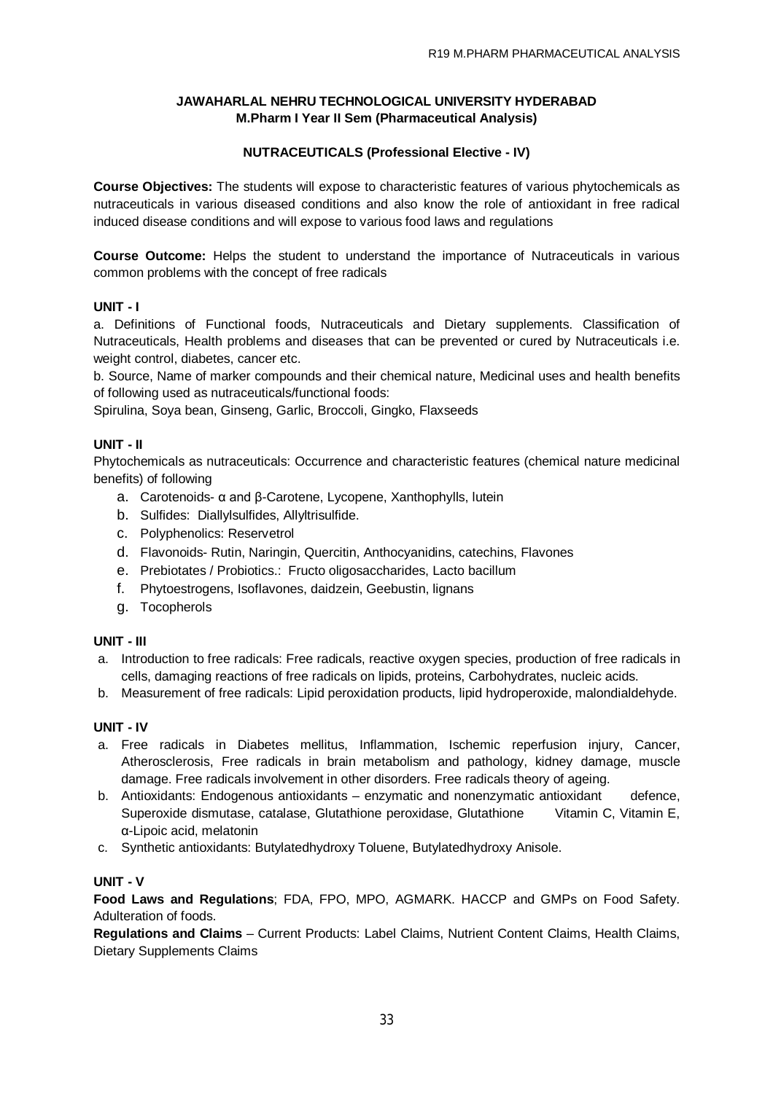# **NUTRACEUTICALS (Professional Elective - IV)**

**Course Objectives:** The students will expose to characteristic features of various phytochemicals as nutraceuticals in various diseased conditions and also know the role of antioxidant in free radical induced disease conditions and will expose to various food laws and regulations

**Course Outcome:** Helps the student to understand the importance of Nutraceuticals in various common problems with the concept of free radicals

### **UNIT - I**

a. Definitions of Functional foods, Nutraceuticals and Dietary supplements. Classification of Nutraceuticals, Health problems and diseases that can be prevented or cured by Nutraceuticals i.e. weight control, diabetes, cancer etc.

b. Source, Name of marker compounds and their chemical nature, Medicinal uses and health benefits of following used as nutraceuticals/functional foods:

Spirulina, Soya bean, Ginseng, Garlic, Broccoli, Gingko, Flaxseeds

### **UNIT - II**

Phytochemicals as nutraceuticals: Occurrence and characteristic features (chemical nature medicinal benefits) of following

- a. Carotenoids- α and β-Carotene, Lycopene, Xanthophylls, lutein
- b. Sulfides: Diallylsulfides, Allyltrisulfide.
- c. Polyphenolics: Reservetrol
- d. Flavonoids- Rutin, Naringin, Quercitin, Anthocyanidins, catechins, Flavones
- e. Prebiotates / Probiotics.: Fructo oligosaccharides, Lacto bacillum
- f. Phytoestrogens, Isoflavones, daidzein, Geebustin, lignans
- g. Tocopherols

#### **UNIT - III**

- a. Introduction to free radicals: Free radicals, reactive oxygen species, production of free radicals in cells, damaging reactions of free radicals on lipids, proteins, Carbohydrates, nucleic acids.
- b. Measurement of free radicals: Lipid peroxidation products, lipid hydroperoxide, malondialdehyde.

#### **UNIT - IV**

- a. Free radicals in Diabetes mellitus, Inflammation, Ischemic reperfusion injury, Cancer, Atherosclerosis, Free radicals in brain metabolism and pathology, kidney damage, muscle damage. Free radicals involvement in other disorders. Free radicals theory of ageing.
- b. Antioxidants: Endogenous antioxidants enzymatic and nonenzymatic antioxidant defence, Superoxide dismutase, catalase, Glutathione peroxidase, Glutathione Vitamin C, Vitamin E, α-Lipoic acid, melatonin
- c. Synthetic antioxidants: Butylatedhydroxy Toluene, Butylatedhydroxy Anisole.

#### **UNIT - V**

**Food Laws and Regulations**; FDA, FPO, MPO, AGMARK. HACCP and GMPs on Food Safety. Adulteration of foods.

**Regulations and Claims** – Current Products: Label Claims, Nutrient Content Claims, Health Claims, Dietary Supplements Claims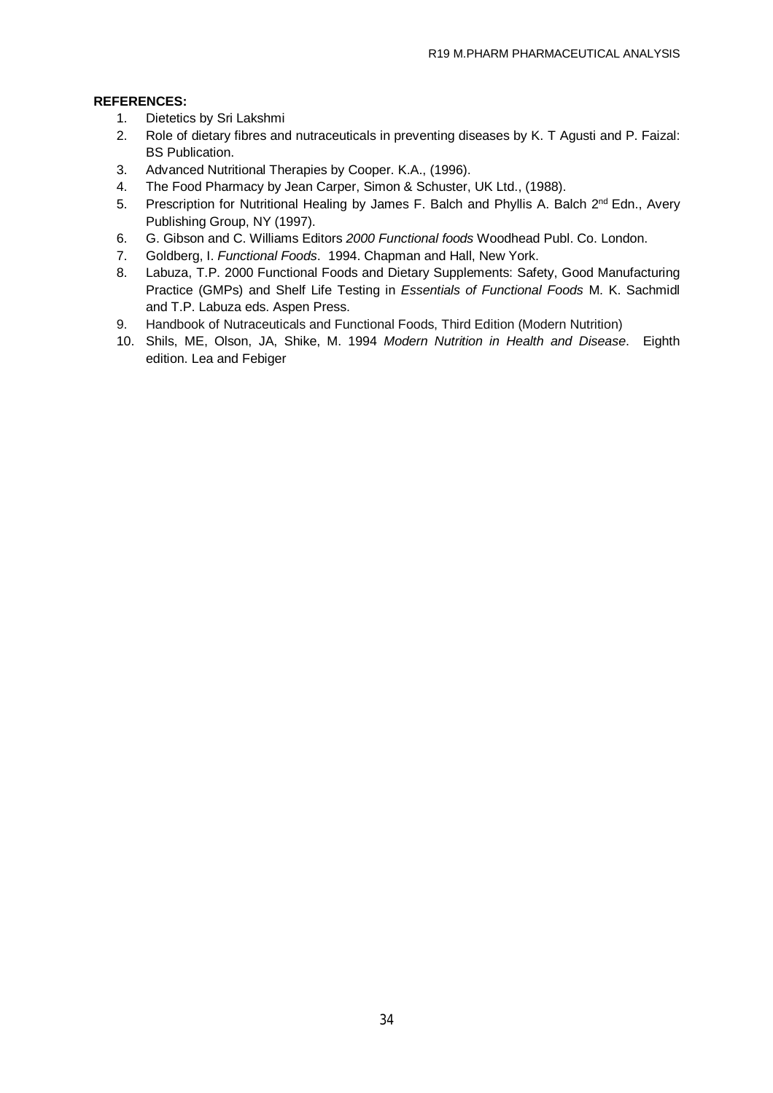- 1. Dietetics by Sri Lakshmi
- 2. Role of dietary fibres and nutraceuticals in preventing diseases by K. T Agusti and P. Faizal: BS Publication.
- 3. Advanced Nutritional Therapies by Cooper. K.A., (1996).
- 4. The Food Pharmacy by Jean Carper, Simon & Schuster, UK Ltd., (1988).
- 5. Prescription for Nutritional Healing by James F. Balch and Phyllis A. Balch  $2^{nd}$  Edn., Avery Publishing Group, NY (1997).
- 6. G. Gibson and C. Williams Editors *2000 Functional foods* Woodhead Publ. Co. London.
- 7. Goldberg, I. *Functional Foods*. 1994. Chapman and Hall, New York.
- 8. Labuza, T.P. 2000 Functional Foods and Dietary Supplements: Safety, Good Manufacturing Practice (GMPs) and Shelf Life Testing in *Essentials of Functional Foods* M. K. Sachmidl and T.P. Labuza eds. Aspen Press.
- 9. Handbook of Nutraceuticals and Functional Foods, Third Edition (Modern Nutrition)
- 10. Shils, ME, Olson, JA, Shike, M. 1994 *Modern Nutrition in Health and Disease*. Eighth edition. Lea and Febiger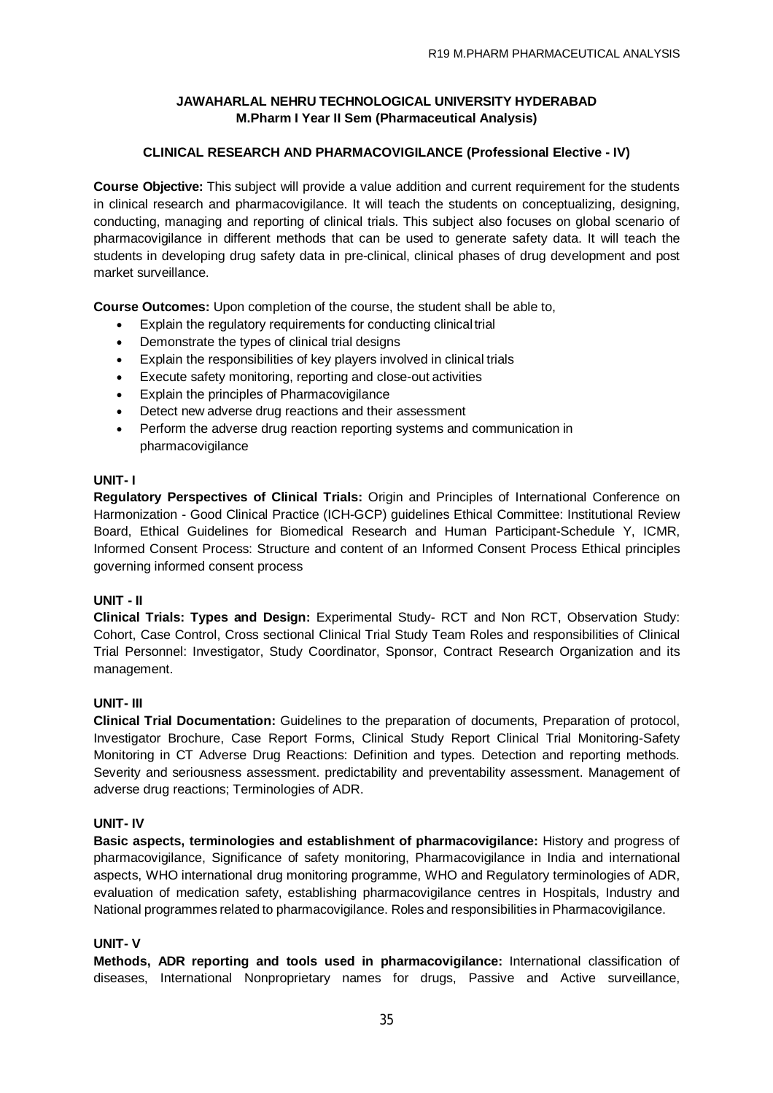# **CLINICAL RESEARCH AND PHARMACOVIGILANCE (Professional Elective - IV)**

**Course Objective:** This subject will provide a value addition and current requirement for the students in clinical research and pharmacovigilance. It will teach the students on conceptualizing, designing, conducting, managing and reporting of clinical trials. This subject also focuses on global scenario of pharmacovigilance in different methods that can be used to generate safety data. It will teach the students in developing drug safety data in pre-clinical, clinical phases of drug development and post market surveillance.

**Course Outcomes:** Upon completion of the course, the student shall be able to,

- Explain the regulatory requirements for conducting clinical trial
- Demonstrate the types of clinical trial designs
- Explain the responsibilities of key players involved in clinical trials
- Execute safety monitoring, reporting and close-out activities
- Explain the principles of Pharmacovigilance
- Detect new adverse drug reactions and their assessment
- Perform the adverse drug reaction reporting systems and communication in pharmacovigilance

### **UNIT- I**

**Regulatory Perspectives of Clinical Trials:** Origin and Principles of International Conference on Harmonization - Good Clinical Practice (ICH-GCP) guidelines Ethical Committee: Institutional Review Board, Ethical Guidelines for Biomedical Research and Human Participant-Schedule Y, ICMR, Informed Consent Process: Structure and content of an Informed Consent Process Ethical principles governing informed consent process

#### **UNIT - II**

**Clinical Trials: Types and Design:** Experimental Study- RCT and Non RCT, Observation Study: Cohort, Case Control, Cross sectional Clinical Trial Study Team Roles and responsibilities of Clinical Trial Personnel: Investigator, Study Coordinator, Sponsor, Contract Research Organization and its management.

#### **UNIT- III**

**Clinical Trial Documentation:** Guidelines to the preparation of documents, Preparation of protocol, Investigator Brochure, Case Report Forms, Clinical Study Report Clinical Trial Monitoring-Safety Monitoring in CT Adverse Drug Reactions: Definition and types. Detection and reporting methods. Severity and seriousness assessment. predictability and preventability assessment. Management of adverse drug reactions; Terminologies of ADR.

#### **UNIT- IV**

**Basic aspects, terminologies and establishment of pharmacovigilance:** History and progress of pharmacovigilance, Significance of safety monitoring, Pharmacovigilance in India and international aspects, WHO international drug monitoring programme, WHO and Regulatory terminologies of ADR, evaluation of medication safety, establishing pharmacovigilance centres in Hospitals, Industry and National programmes related to pharmacovigilance. Roles and responsibilities in Pharmacovigilance.

#### **UNIT- V**

**Methods, ADR reporting and tools used in pharmacovigilance:** International classification of diseases, International Nonproprietary names for drugs, Passive and Active surveillance,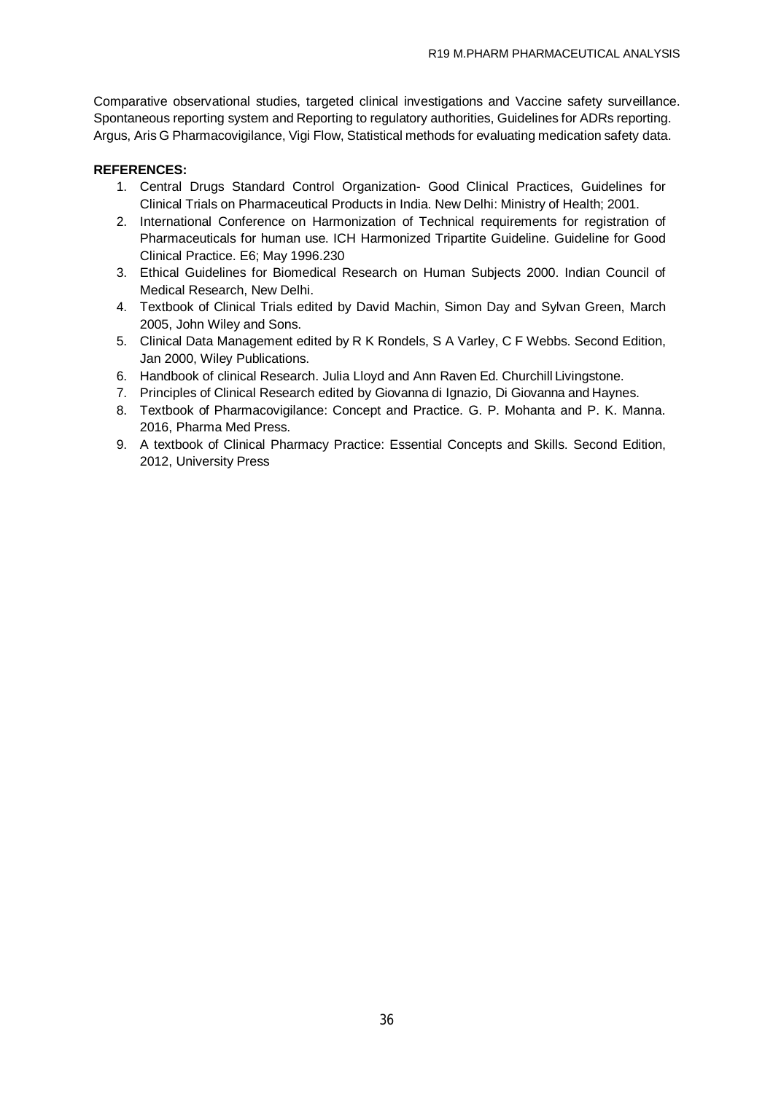Comparative observational studies, targeted clinical investigations and Vaccine safety surveillance. Spontaneous reporting system and Reporting to regulatory authorities, Guidelines for ADRs reporting. Argus, Aris G Pharmacovigilance, Vigi Flow, Statistical methods for evaluating medication safety data.

- 1. Central Drugs Standard Control Organization- Good Clinical Practices, Guidelines for Clinical Trials on Pharmaceutical Products in India. New Delhi: Ministry of Health; 2001.
- 2. International Conference on Harmonization of Technical requirements for registration of Pharmaceuticals for human use. ICH Harmonized Tripartite Guideline. Guideline for Good Clinical Practice. E6; May 1996.230
- 3. Ethical Guidelines for Biomedical Research on Human Subjects 2000. Indian Council of Medical Research, New Delhi.
- 4. Textbook of Clinical Trials edited by David Machin, Simon Day and Sylvan Green, March 2005, John Wiley and Sons.
- 5. Clinical Data Management edited by R K Rondels, S A Varley, C F Webbs. Second Edition, Jan 2000, Wiley Publications.
- 6. Handbook of clinical Research. Julia Lloyd and Ann Raven Ed. Churchill Livingstone.
- 7. Principles of Clinical Research edited by Giovanna di Ignazio, Di Giovanna and Haynes.
- 8. Textbook of Pharmacovigilance: Concept and Practice. G. P. Mohanta and P. K. Manna. 2016, Pharma Med Press.
- 9. A textbook of Clinical Pharmacy Practice: Essential Concepts and Skills. Second Edition, 2012, University Press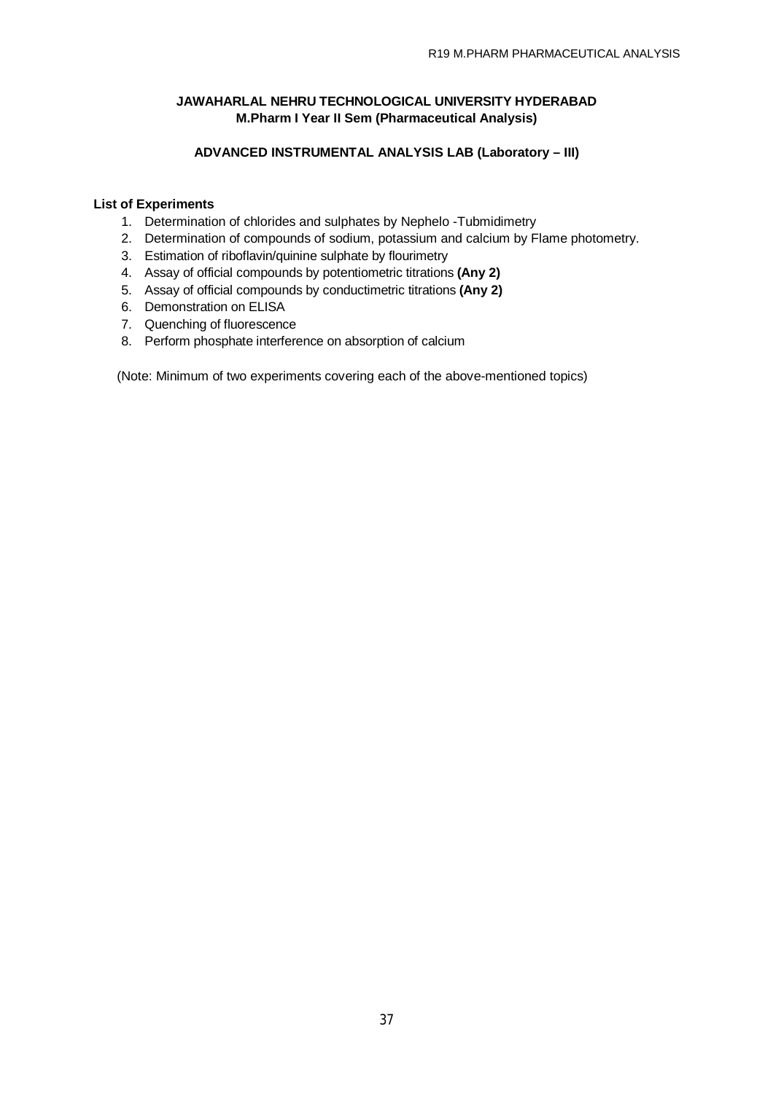# **ADVANCED INSTRUMENTAL ANALYSIS LAB (Laboratory – III)**

## **List of Experiments**

- 1. Determination of chlorides and sulphates by Nephelo -Tubmidimetry
- 2. Determination of compounds of sodium, potassium and calcium by Flame photometry.
- 3. Estimation of riboflavin/quinine sulphate by flourimetry
- 4. Assay of official compounds by potentiometric titrations **(Any 2)**
- 5. Assay of official compounds by conductimetric titrations **(Any 2)**
- 6. Demonstration on ELISA
- 7. Quenching of fluorescence
- 8. Perform phosphate interference on absorption of calcium

(Note: Minimum of two experiments covering each of the above-mentioned topics)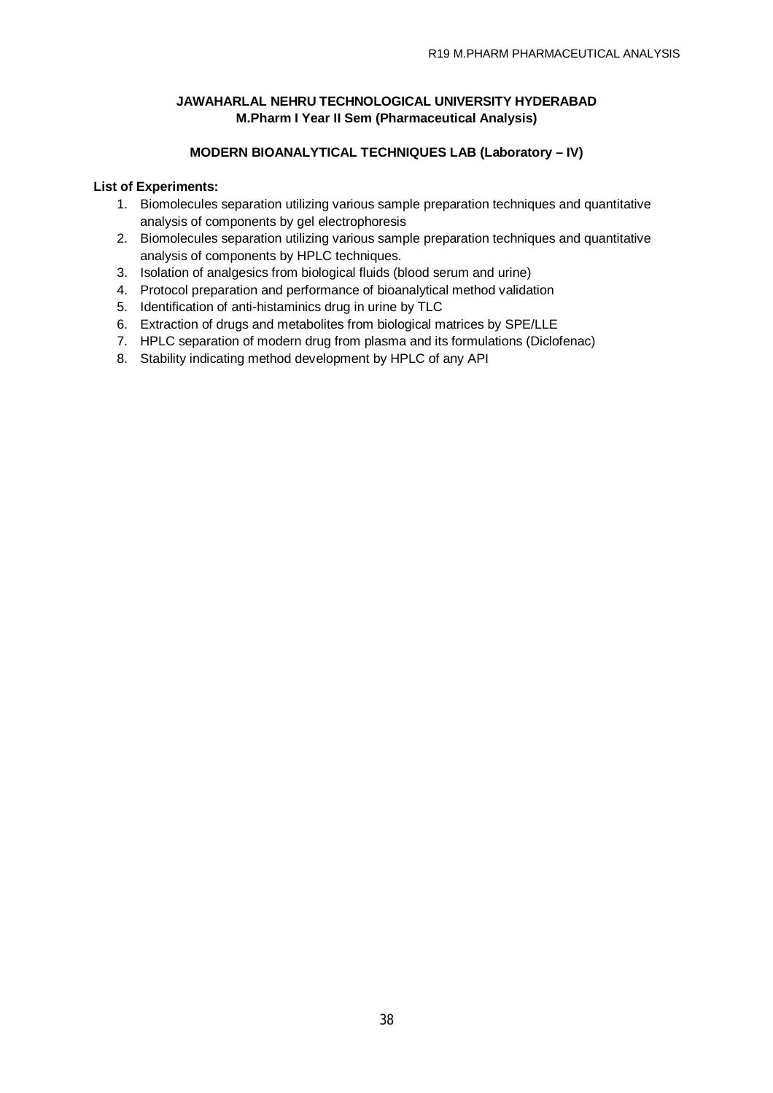# **MODERN BIOANALYTICAL TECHNIQUES LAB (Laboratory – IV)**

# **List of Experiments:**

- 1. Biomolecules separation utilizing various sample preparation techniques and quantitative analysis of components by gel electrophoresis
- 2. Biomolecules separation utilizing various sample preparation techniques and quantitative analysis of components by HPLC techniques.
- 3. Isolation of analgesics from biological fluids (blood serum and urine)
- 4. Protocol preparation and performance of bioanalytical method validation
- 5. Identification of anti-histaminics drug in urine by TLC
- 6. Extraction of drugs and metabolites from biological matrices by SPE/LLE
- 7. HPLC separation of modern drug from plasma and its formulations (Diclofenac)
- 8. Stability indicating method development by HPLC of any API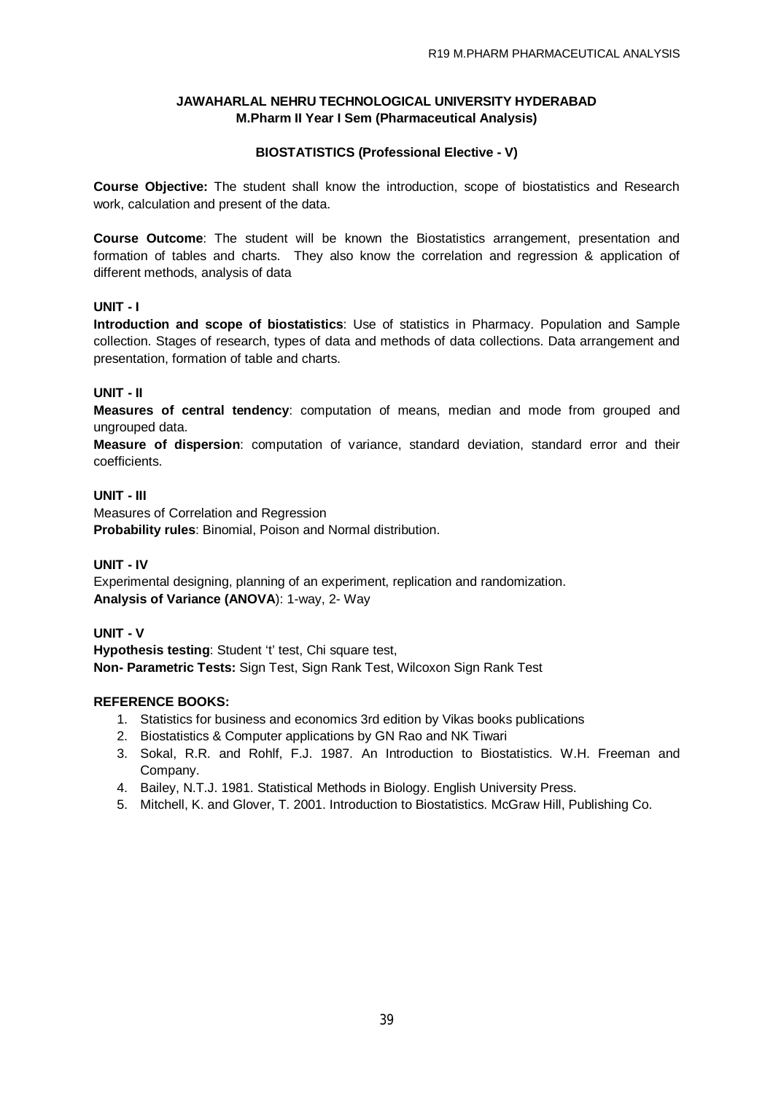# **BIOSTATISTICS (Professional Elective - V)**

**Course Objective:** The student shall know the introduction, scope of biostatistics and Research work, calculation and present of the data.

**Course Outcome**: The student will be known the Biostatistics arrangement, presentation and formation of tables and charts. They also know the correlation and regression & application of different methods, analysis of data

### **UNIT - I**

**Introduction and scope of biostatistics**: Use of statistics in Pharmacy. Population and Sample collection. Stages of research, types of data and methods of data collections. Data arrangement and presentation, formation of table and charts.

### **UNIT - II**

**Measures of central tendency**: computation of means, median and mode from grouped and ungrouped data.

**Measure of dispersion**: computation of variance, standard deviation, standard error and their coefficients.

### **UNIT - III**

Measures of Correlation and Regression **Probability rules**: Binomial, Poison and Normal distribution.

#### **UNIT - IV**

Experimental designing, planning of an experiment, replication and randomization. **Analysis of Variance (ANOVA**): 1-way, 2- Way

# **UNIT - V**

**Hypothesis testing**: Student 't' test, Chi square test, **Non- Parametric Tests:** Sign Test, Sign Rank Test, Wilcoxon Sign Rank Test

#### **REFERENCE BOOKS:**

- 1. Statistics for business and economics 3rd edition by Vikas books publications
- 2. Biostatistics & Computer applications by GN Rao and NK Tiwari
- 3. Sokal, R.R. and Rohlf, F.J. 1987. An Introduction to Biostatistics. W.H. Freeman and Company.
- 4. Bailey, N.T.J. 1981. Statistical Methods in Biology. English University Press.
- 5. Mitchell, K. and Glover, T. 2001. Introduction to Biostatistics. McGraw Hill, Publishing Co.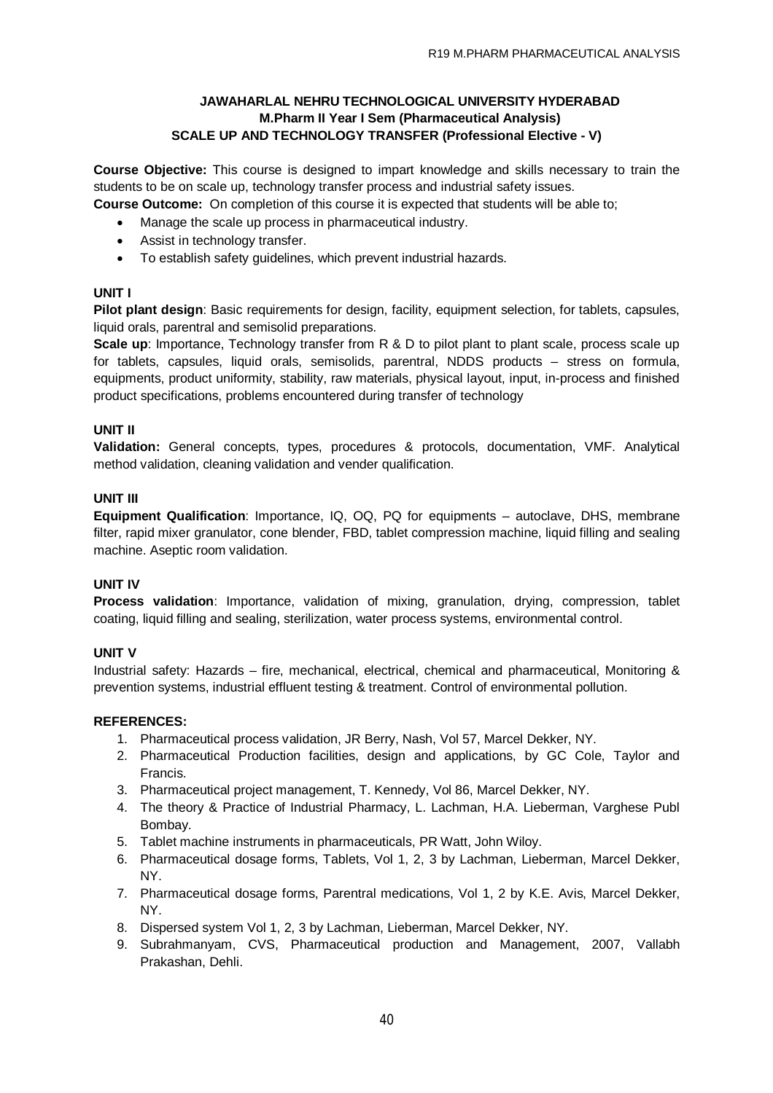# **JAWAHARLAL NEHRU TECHNOLOGICAL UNIVERSITY HYDERABAD M.Pharm II Year I Sem (Pharmaceutical Analysis) SCALE UP AND TECHNOLOGY TRANSFER (Professional Elective - V)**

**Course Objective:** This course is designed to impart knowledge and skills necessary to train the students to be on scale up, technology transfer process and industrial safety issues.

- **Course Outcome:** On completion of this course it is expected that students will be able to;
	- Manage the scale up process in pharmaceutical industry.
	- Assist in technology transfer.
	- To establish safety guidelines, which prevent industrial hazards.

# **UNIT I**

**Pilot plant design**: Basic requirements for design, facility, equipment selection, for tablets, capsules, liquid orals, parentral and semisolid preparations.

**Scale up:** Importance, Technology transfer from R & D to pilot plant to plant scale, process scale up for tablets, capsules, liquid orals, semisolids, parentral, NDDS products – stress on formula, equipments, product uniformity, stability, raw materials, physical layout, input, in-process and finished product specifications, problems encountered during transfer of technology

### **UNIT II**

**Validation:** General concepts, types, procedures & protocols, documentation, VMF. Analytical method validation, cleaning validation and vender qualification.

### **UNIT III**

**Equipment Qualification**: Importance, IQ, OQ, PQ for equipments – autoclave, DHS, membrane filter, rapid mixer granulator, cone blender, FBD, tablet compression machine, liquid filling and sealing machine. Aseptic room validation.

#### **UNIT IV**

**Process validation**: Importance, validation of mixing, granulation, drying, compression, tablet coating, liquid filling and sealing, sterilization, water process systems, environmental control.

# **UNIT V**

Industrial safety: Hazards – fire, mechanical, electrical, chemical and pharmaceutical, Monitoring & prevention systems, industrial effluent testing & treatment. Control of environmental pollution.

- 1. Pharmaceutical process validation, JR Berry, Nash, Vol 57, Marcel Dekker, NY.
- 2. Pharmaceutical Production facilities, design and applications, by GC Cole, Taylor and Francis.
- 3. Pharmaceutical project management, T. Kennedy, Vol 86, Marcel Dekker, NY.
- 4. The theory & Practice of Industrial Pharmacy, L. Lachman, H.A. Lieberman, Varghese Publ Bombay.
- 5. Tablet machine instruments in pharmaceuticals, PR Watt, John Wiloy.
- 6. Pharmaceutical dosage forms, Tablets, Vol 1, 2, 3 by Lachman, Lieberman, Marcel Dekker, NY.
- 7. Pharmaceutical dosage forms, Parentral medications, Vol 1, 2 by K.E. Avis, Marcel Dekker, NY.
- 8. Dispersed system Vol 1, 2, 3 by Lachman, Lieberman, Marcel Dekker, NY.
- 9. Subrahmanyam, CVS, Pharmaceutical production and Management, 2007, Vallabh Prakashan, Dehli.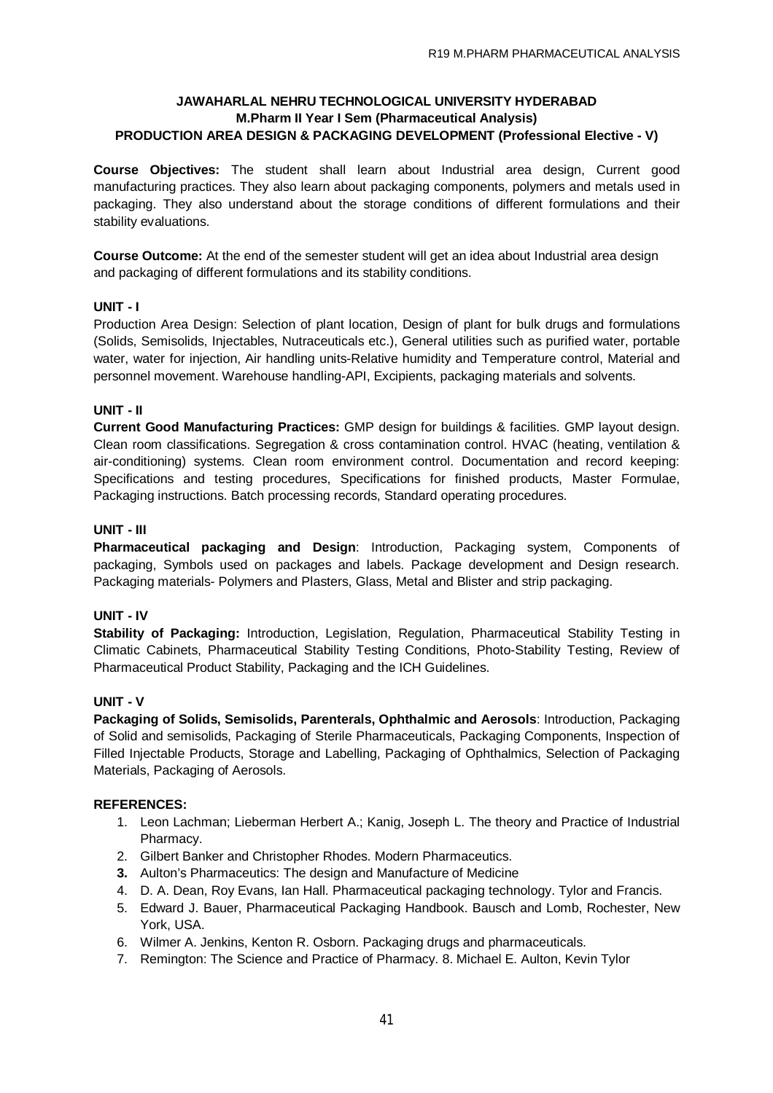# **JAWAHARLAL NEHRU TECHNOLOGICAL UNIVERSITY HYDERABAD M.Pharm II Year I Sem (Pharmaceutical Analysis) PRODUCTION AREA DESIGN & PACKAGING DEVELOPMENT (Professional Elective - V)**

**Course Objectives:** The student shall learn about Industrial area design, Current good manufacturing practices. They also learn about packaging components, polymers and metals used in packaging. They also understand about the storage conditions of different formulations and their stability evaluations.

**Course Outcome:** At the end of the semester student will get an idea about Industrial area design and packaging of different formulations and its stability conditions.

### **UNIT - I**

Production Area Design: Selection of plant location, Design of plant for bulk drugs and formulations (Solids, Semisolids, Injectables, Nutraceuticals etc.), General utilities such as purified water, portable water, water for injection, Air handling units-Relative humidity and Temperature control, Material and personnel movement. Warehouse handling-API, Excipients, packaging materials and solvents.

### **UNIT - II**

**Current Good Manufacturing Practices:** GMP design for buildings & facilities. GMP layout design. Clean room classifications. Segregation & cross contamination control. HVAC (heating, ventilation & air-conditioning) systems. Clean room environment control. Documentation and record keeping: Specifications and testing procedures, Specifications for finished products, Master Formulae, Packaging instructions. Batch processing records, Standard operating procedures.

#### **UNIT - III**

**Pharmaceutical packaging and Design**: Introduction, Packaging system, Components of packaging, Symbols used on packages and labels. Package development and Design research. Packaging materials- Polymers and Plasters, Glass, Metal and Blister and strip packaging.

# **UNIT - IV**

**Stability of Packaging:** Introduction, Legislation, Regulation, Pharmaceutical Stability Testing in Climatic Cabinets, Pharmaceutical Stability Testing Conditions, Photo-Stability Testing, Review of Pharmaceutical Product Stability, Packaging and the ICH Guidelines.

#### **UNIT - V**

**Packaging of Solids, Semisolids, Parenterals, Ophthalmic and Aerosols**: Introduction, Packaging of Solid and semisolids, Packaging of Sterile Pharmaceuticals, Packaging Components, Inspection of Filled Injectable Products, Storage and Labelling, Packaging of Ophthalmics, Selection of Packaging Materials, Packaging of Aerosols.

- 1. Leon Lachman; Lieberman Herbert A.; Kanig, Joseph L. The theory and Practice of Industrial Pharmacy.
- 2. Gilbert Banker and Christopher Rhodes. Modern Pharmaceutics.
- **3.** Aulton's Pharmaceutics: The design and Manufacture of Medicine
- 4. D. A. Dean, Roy Evans, Ian Hall. Pharmaceutical packaging technology. Tylor and Francis.
- 5. Edward J. Bauer, Pharmaceutical Packaging Handbook. Bausch and Lomb, Rochester, New York, USA.
- 6. Wilmer A. Jenkins, Kenton R. Osborn. Packaging drugs and pharmaceuticals.
- 7. Remington: The Science and Practice of Pharmacy. 8. Michael E. Aulton, Kevin Tylor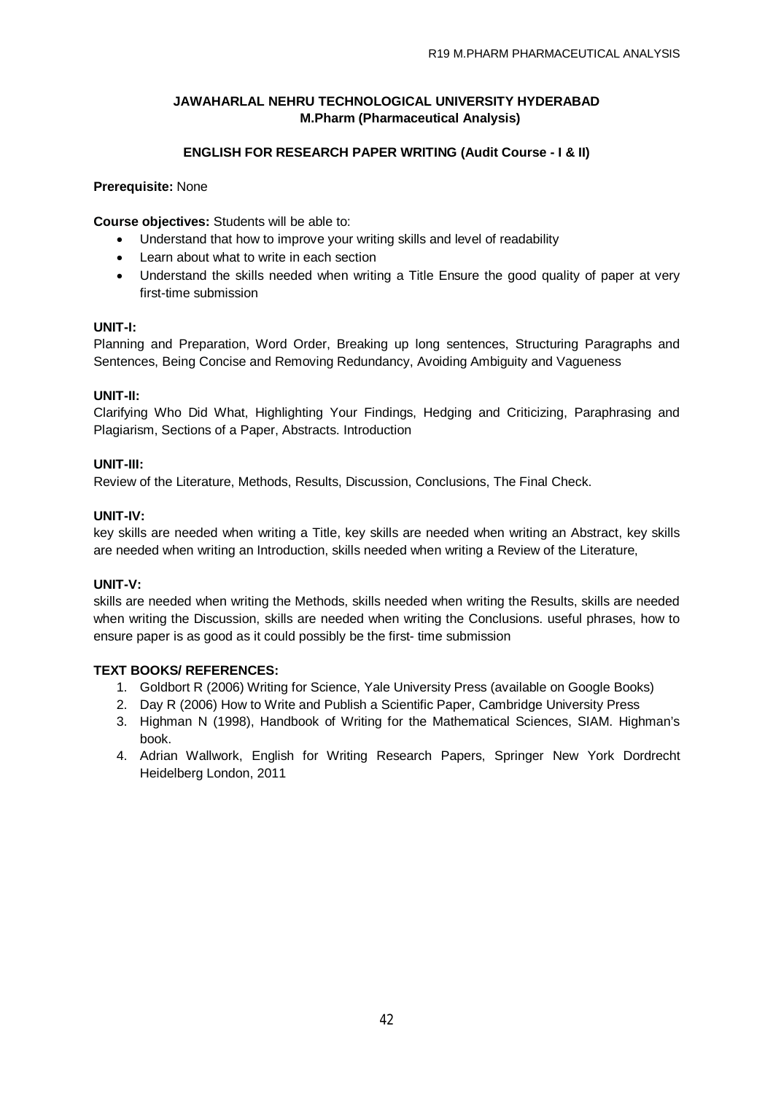## **ENGLISH FOR RESEARCH PAPER WRITING (Audit Course - I & II)**

### **Prerequisite:** None

**Course objectives:** Students will be able to:

- Understand that how to improve your writing skills and level of readability
- Learn about what to write in each section
- Understand the skills needed when writing a Title Ensure the good quality of paper at very first-time submission

#### **UNIT-I:**

Planning and Preparation, Word Order, Breaking up long sentences, Structuring Paragraphs and Sentences, Being Concise and Removing Redundancy, Avoiding Ambiguity and Vagueness

## **UNIT-II:**

Clarifying Who Did What, Highlighting Your Findings, Hedging and Criticizing, Paraphrasing and Plagiarism, Sections of a Paper, Abstracts. Introduction

### **UNIT-III:**

Review of the Literature, Methods, Results, Discussion, Conclusions, The Final Check.

### **UNIT-IV:**

key skills are needed when writing a Title, key skills are needed when writing an Abstract, key skills are needed when writing an Introduction, skills needed when writing a Review of the Literature,

# **UNIT-V:**

skills are needed when writing the Methods, skills needed when writing the Results, skills are needed when writing the Discussion, skills are needed when writing the Conclusions. useful phrases, how to ensure paper is as good as it could possibly be the first- time submission

- 1. Goldbort R (2006) Writing for Science, Yale University Press (available on Google Books)
- 2. Day R (2006) How to Write and Publish a Scientific Paper, Cambridge University Press
- 3. Highman N (1998), Handbook of Writing for the Mathematical Sciences, SIAM. Highman's book.
- 4. Adrian Wallwork, English for Writing Research Papers, Springer New York Dordrecht Heidelberg London, 2011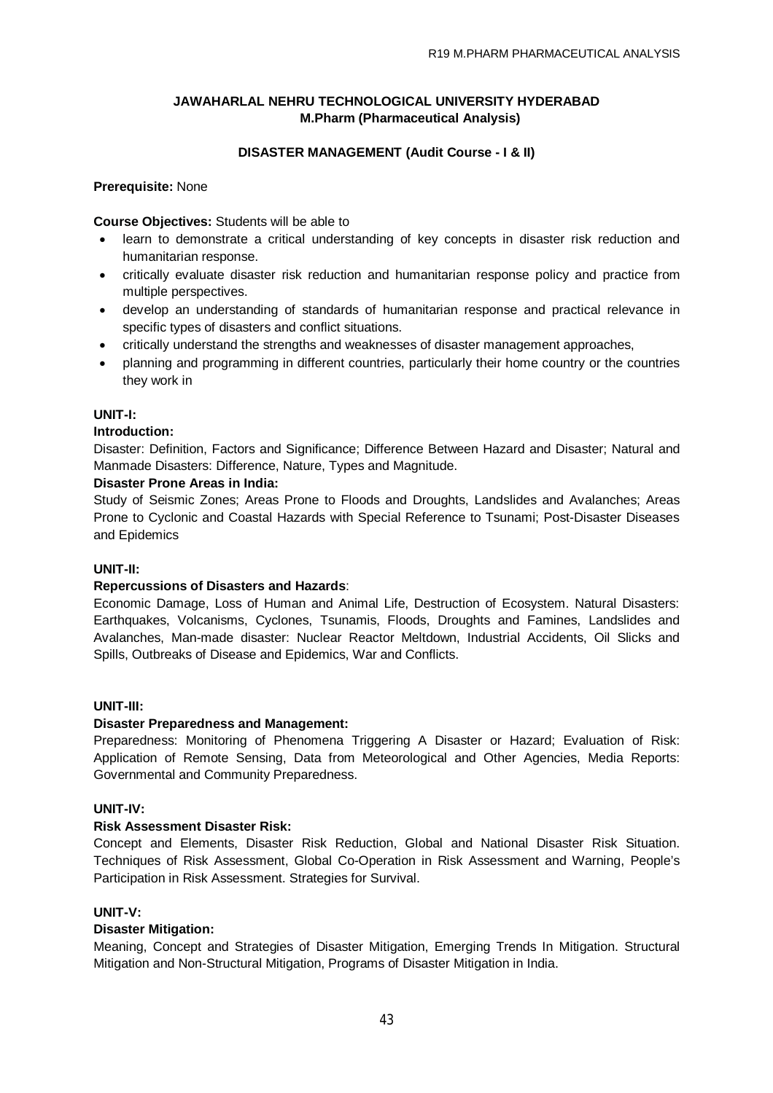## **DISASTER MANAGEMENT (Audit Course - I & II)**

### **Prerequisite:** None

#### **Course Objectives:** Students will be able to

- learn to demonstrate a critical understanding of key concepts in disaster risk reduction and humanitarian response.
- critically evaluate disaster risk reduction and humanitarian response policy and practice from multiple perspectives.
- develop an understanding of standards of humanitarian response and practical relevance in specific types of disasters and conflict situations.
- critically understand the strengths and weaknesses of disaster management approaches,
- planning and programming in different countries, particularly their home country or the countries they work in

### **UNIT-I:**

#### **Introduction:**

Disaster: Definition, Factors and Significance; Difference Between Hazard and Disaster; Natural and Manmade Disasters: Difference, Nature, Types and Magnitude.

#### **Disaster Prone Areas in India:**

Study of Seismic Zones; Areas Prone to Floods and Droughts, Landslides and Avalanches; Areas Prone to Cyclonic and Coastal Hazards with Special Reference to Tsunami; Post-Disaster Diseases and Epidemics

#### **UNIT-II:**

#### **Repercussions of Disasters and Hazards**:

Economic Damage, Loss of Human and Animal Life, Destruction of Ecosystem. Natural Disasters: Earthquakes, Volcanisms, Cyclones, Tsunamis, Floods, Droughts and Famines, Landslides and Avalanches, Man-made disaster: Nuclear Reactor Meltdown, Industrial Accidents, Oil Slicks and Spills, Outbreaks of Disease and Epidemics, War and Conflicts.

#### **UNIT-III:**

#### **Disaster Preparedness and Management:**

Preparedness: Monitoring of Phenomena Triggering A Disaster or Hazard; Evaluation of Risk: Application of Remote Sensing, Data from Meteorological and Other Agencies, Media Reports: Governmental and Community Preparedness.

#### **UNIT-IV:**

#### **Risk Assessment Disaster Risk:**

Concept and Elements, Disaster Risk Reduction, Global and National Disaster Risk Situation. Techniques of Risk Assessment, Global Co-Operation in Risk Assessment and Warning, People's Participation in Risk Assessment. Strategies for Survival.

#### **UNIT-V:**

#### **Disaster Mitigation:**

Meaning, Concept and Strategies of Disaster Mitigation, Emerging Trends In Mitigation. Structural Mitigation and Non-Structural Mitigation, Programs of Disaster Mitigation in India.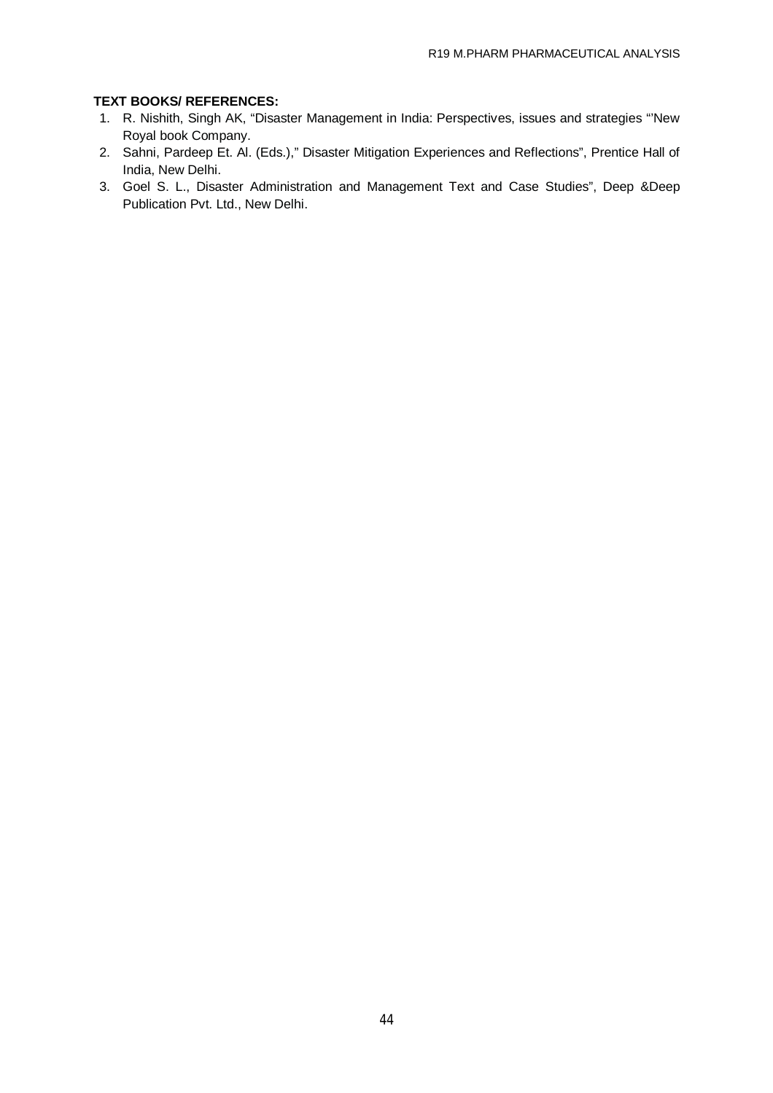- 1. R. Nishith, Singh AK, "Disaster Management in India: Perspectives, issues and strategies "'New Royal book Company.
- 2. Sahni, Pardeep Et. Al. (Eds.)," Disaster Mitigation Experiences and Reflections", Prentice Hall of India, New Delhi.
- 3. Goel S. L., Disaster Administration and Management Text and Case Studies", Deep &Deep Publication Pvt. Ltd., New Delhi.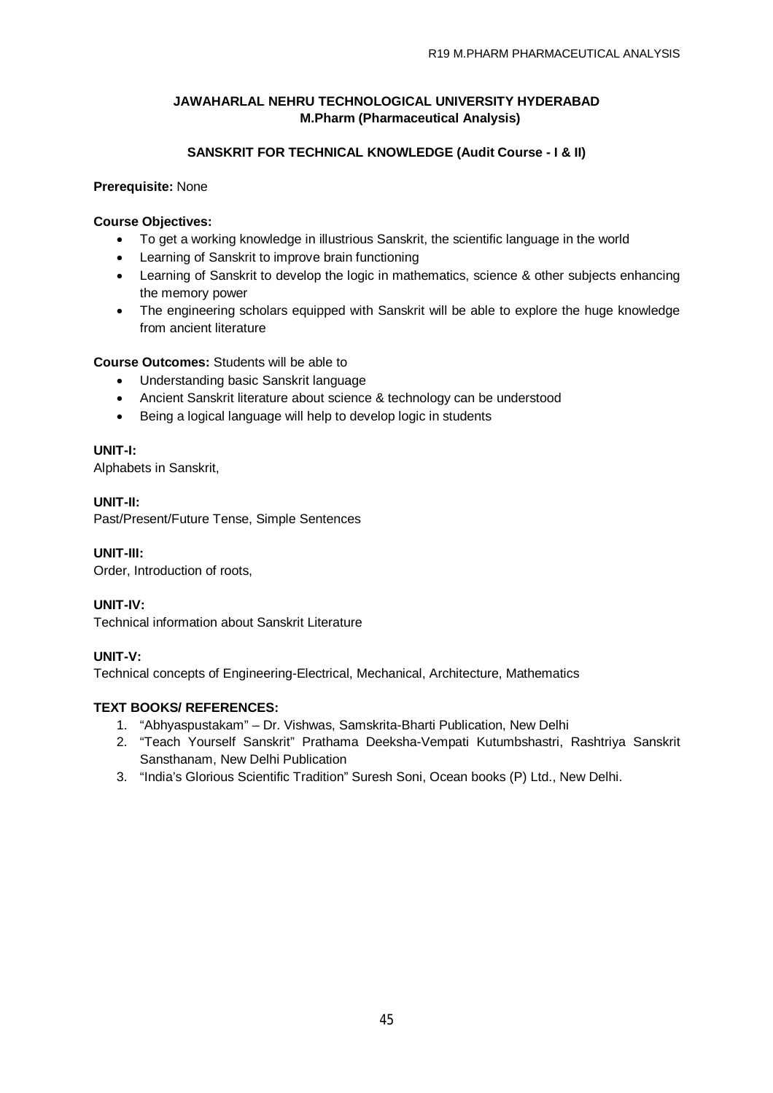# **SANSKRIT FOR TECHNICAL KNOWLEDGE (Audit Course - I & II)**

## **Prerequisite:** None

### **Course Objectives:**

- To get a working knowledge in illustrious Sanskrit, the scientific language in the world
- Learning of Sanskrit to improve brain functioning
- Learning of Sanskrit to develop the logic in mathematics, science & other subjects enhancing the memory power
- The engineering scholars equipped with Sanskrit will be able to explore the huge knowledge from ancient literature

# **Course Outcomes:** Students will be able to

- Understanding basic Sanskrit language
- Ancient Sanskrit literature about science & technology can be understood
- Being a logical language will help to develop logic in students

# **UNIT-I:**

Alphabets in Sanskrit,

# **UNIT-II:**

Past/Present/Future Tense, Simple Sentences

# **UNIT-III:**

Order, Introduction of roots,

# **UNIT-IV:**

Technical information about Sanskrit Literature

# **UNIT-V:**

Technical concepts of Engineering-Electrical, Mechanical, Architecture, Mathematics

- 1. "Abhyaspustakam" Dr. Vishwas, Samskrita-Bharti Publication, New Delhi
- 2. "Teach Yourself Sanskrit" Prathama Deeksha-Vempati Kutumbshastri, Rashtriya Sanskrit Sansthanam, New Delhi Publication
- 3. "India's Glorious Scientific Tradition" Suresh Soni, Ocean books (P) Ltd., New Delhi.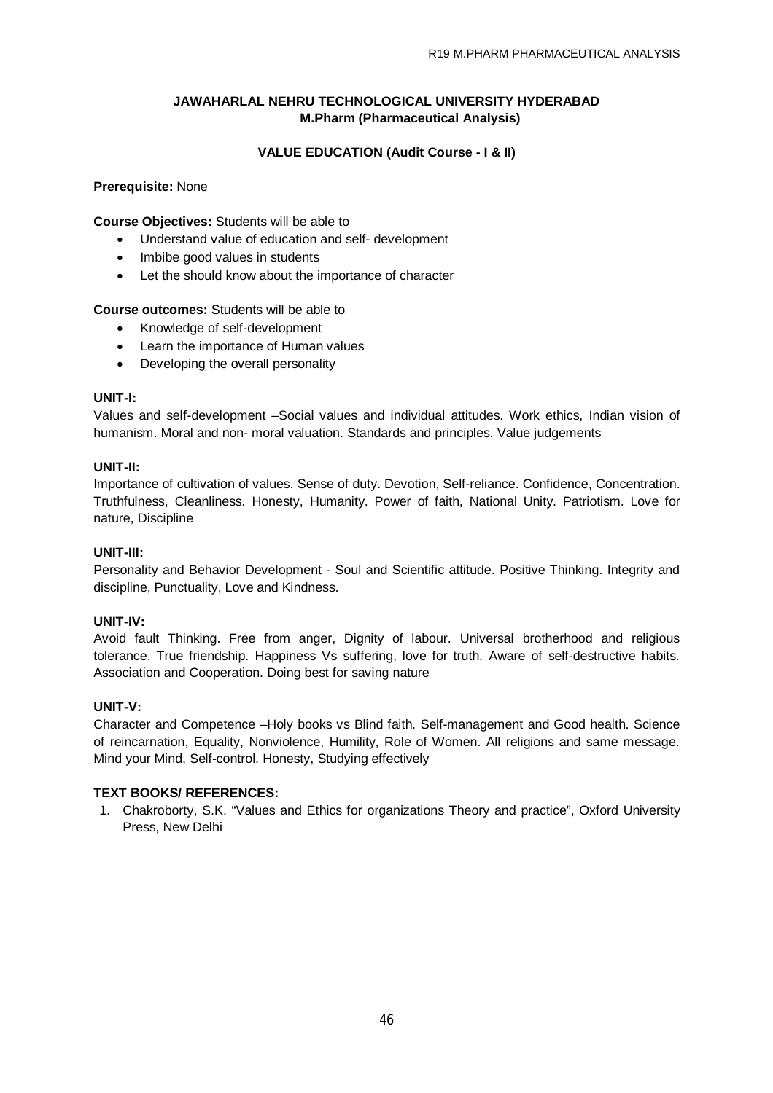# **VALUE EDUCATION (Audit Course - I & II)**

### **Prerequisite:** None

**Course Objectives:** Students will be able to

- Understand value of education and self- development
- Imbibe good values in students
- Let the should know about the importance of character

### **Course outcomes:** Students will be able to

- Knowledge of self-development
- Learn the importance of Human values
- Developing the overall personality

#### **UNIT-I:**

Values and self-development –Social values and individual attitudes. Work ethics, Indian vision of humanism. Moral and non- moral valuation. Standards and principles. Value judgements

#### **UNIT-II:**

Importance of cultivation of values. Sense of duty. Devotion, Self-reliance. Confidence, Concentration. Truthfulness, Cleanliness. Honesty, Humanity. Power of faith, National Unity. Patriotism. Love for nature, Discipline

#### **UNIT-III:**

Personality and Behavior Development - Soul and Scientific attitude. Positive Thinking. Integrity and discipline, Punctuality, Love and Kindness.

#### **UNIT-IV:**

Avoid fault Thinking. Free from anger, Dignity of labour. Universal brotherhood and religious tolerance. True friendship. Happiness Vs suffering, love for truth. Aware of self-destructive habits. Association and Cooperation. Doing best for saving nature

#### **UNIT-V:**

Character and Competence –Holy books vs Blind faith. Self-management and Good health. Science of reincarnation, Equality, Nonviolence, Humility, Role of Women. All religions and same message. Mind your Mind, Self-control. Honesty, Studying effectively

#### **TEXT BOOKS/ REFERENCES:**

1. Chakroborty, S.K. "Values and Ethics for organizations Theory and practice", Oxford University Press, New Delhi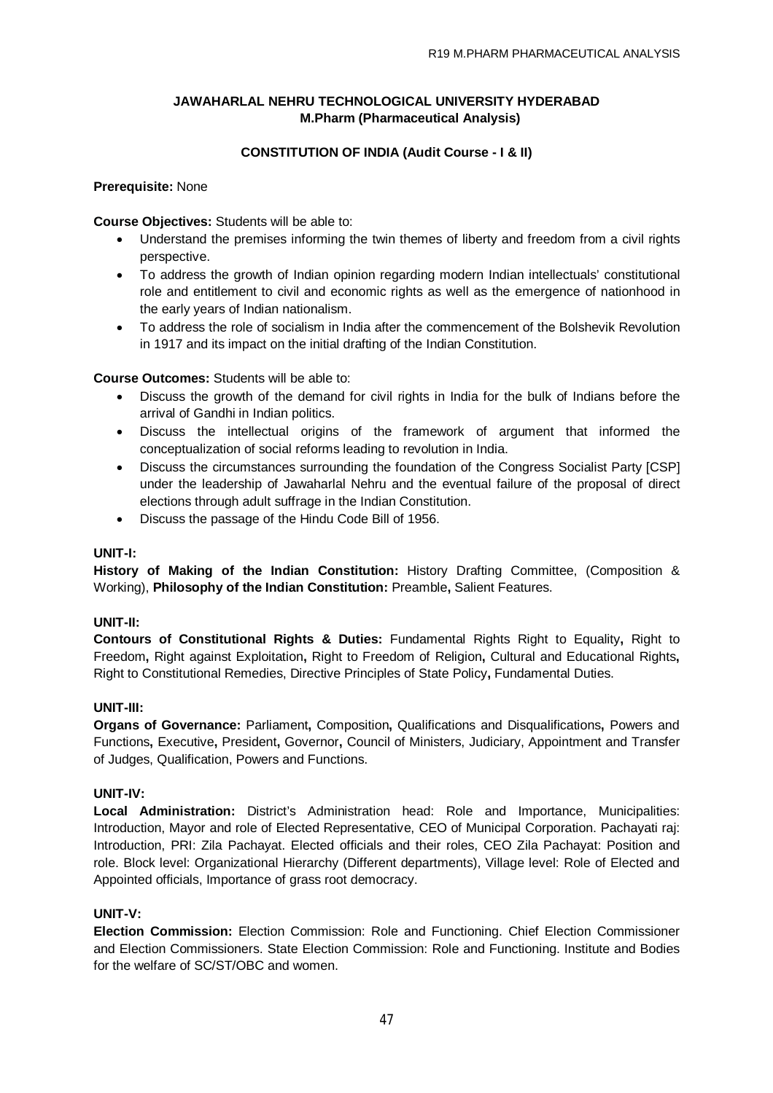## **CONSTITUTION OF INDIA (Audit Course - I & II)**

### **Prerequisite:** None

**Course Objectives:** Students will be able to:

- Understand the premises informing the twin themes of liberty and freedom from a civil rights perspective.
- To address the growth of Indian opinion regarding modern Indian intellectuals' constitutional role and entitlement to civil and economic rights as well as the emergence of nationhood in the early years of Indian nationalism.
- To address the role of socialism in India after the commencement of the Bolshevik Revolution in 1917 and its impact on the initial drafting of the Indian Constitution.

**Course Outcomes:** Students will be able to:

- Discuss the growth of the demand for civil rights in India for the bulk of Indians before the arrival of Gandhi in Indian politics.
- Discuss the intellectual origins of the framework of argument that informed the conceptualization of social reforms leading to revolution in India.
- Discuss the circumstances surrounding the foundation of the Congress Socialist Party [CSP] under the leadership of Jawaharlal Nehru and the eventual failure of the proposal of direct elections through adult suffrage in the Indian Constitution.
- Discuss the passage of the Hindu Code Bill of 1956.

### **UNIT-I:**

**History of Making of the Indian Constitution:** History Drafting Committee, (Composition & Working), **Philosophy of the Indian Constitution:** Preamble**,** Salient Features.

# **UNIT-II:**

**Contours of Constitutional Rights & Duties:** Fundamental Rights Right to Equality**,** Right to Freedom**,** Right against Exploitation**,** Right to Freedom of Religion**,** Cultural and Educational Rights**,**  Right to Constitutional Remedies, Directive Principles of State Policy**,** Fundamental Duties.

# **UNIT-III:**

**Organs of Governance:** Parliament**,** Composition**,** Qualifications and Disqualifications**,** Powers and Functions**,** Executive**,** President**,** Governor**,** Council of Ministers, Judiciary, Appointment and Transfer of Judges, Qualification, Powers and Functions.

#### **UNIT-IV:**

**Local Administration:** District's Administration head: Role and Importance, Municipalities: Introduction, Mayor and role of Elected Representative, CEO of Municipal Corporation. Pachayati raj: Introduction, PRI: Zila Pachayat. Elected officials and their roles, CEO Zila Pachayat: Position and role. Block level: Organizational Hierarchy (Different departments), Village level: Role of Elected and Appointed officials, Importance of grass root democracy.

# **UNIT-V:**

**Election Commission:** Election Commission: Role and Functioning. Chief Election Commissioner and Election Commissioners. State Election Commission: Role and Functioning. Institute and Bodies for the welfare of SC/ST/OBC and women.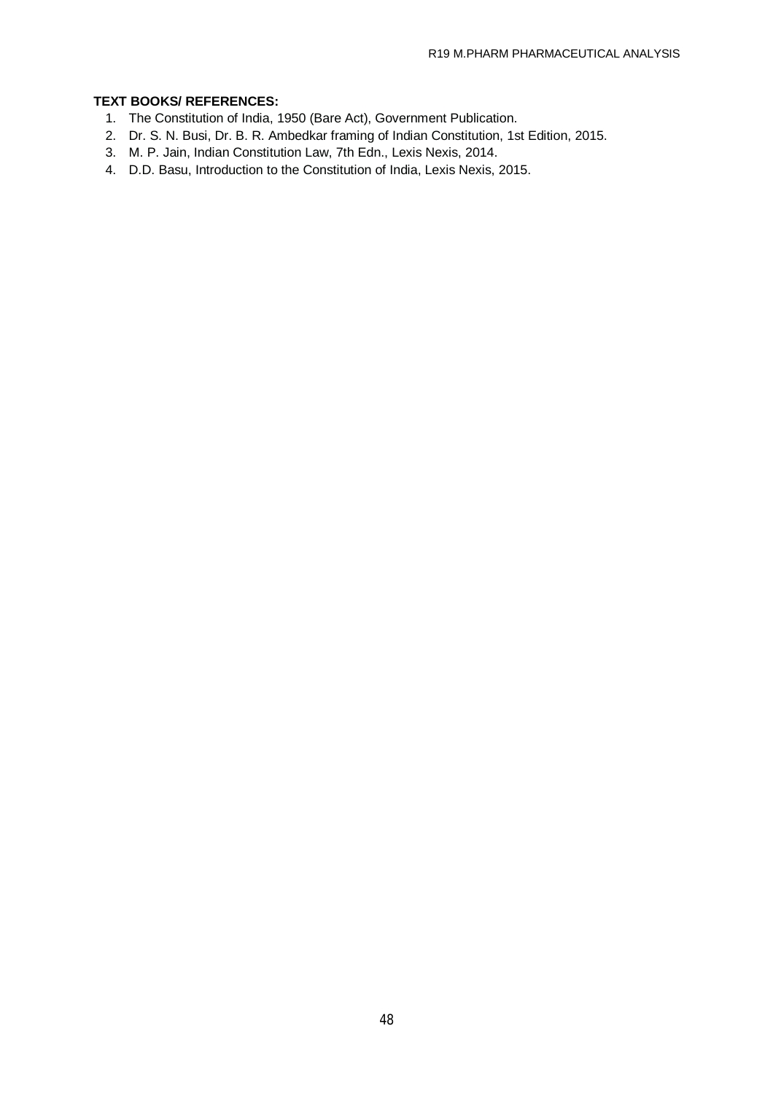- 1. The Constitution of India, 1950 (Bare Act), Government Publication.
- 2. Dr. S. N. Busi, Dr. B. R. Ambedkar framing of Indian Constitution, 1st Edition, 2015.
- 3. M. P. Jain, Indian Constitution Law, 7th Edn., Lexis Nexis, 2014.
- 4. D.D. Basu, Introduction to the Constitution of India, Lexis Nexis, 2015.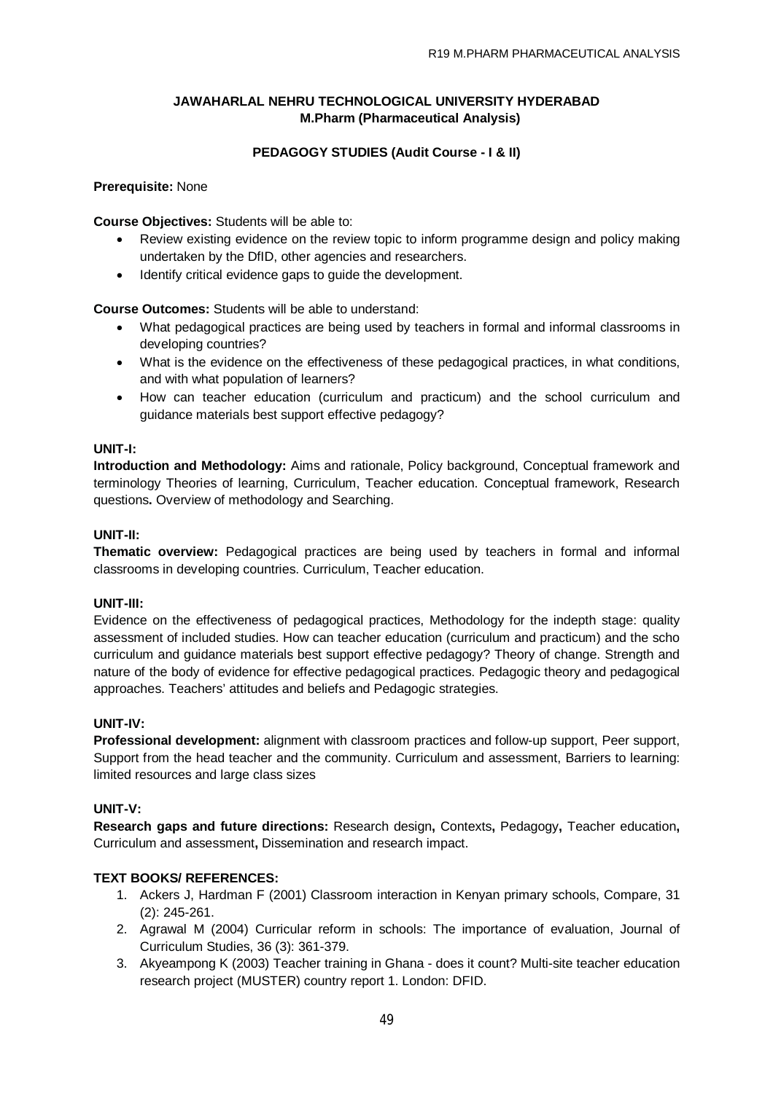# **PEDAGOGY STUDIES (Audit Course - I & II)**

#### **Prerequisite:** None

**Course Objectives:** Students will be able to:

- Review existing evidence on the review topic to inform programme design and policy making undertaken by the DfID, other agencies and researchers.
- Identify critical evidence gaps to guide the development.

**Course Outcomes:** Students will be able to understand:

- What pedagogical practices are being used by teachers in formal and informal classrooms in developing countries?
- What is the evidence on the effectiveness of these pedagogical practices, in what conditions, and with what population of learners?
- How can teacher education (curriculum and practicum) and the school curriculum and guidance materials best support effective pedagogy?

#### **UNIT-I:**

**Introduction and Methodology:** Aims and rationale, Policy background, Conceptual framework and terminology Theories of learning, Curriculum, Teacher education. Conceptual framework, Research questions**.** Overview of methodology and Searching.

### **UNIT-II:**

**Thematic overview:** Pedagogical practices are being used by teachers in formal and informal classrooms in developing countries. Curriculum, Teacher education.

#### **UNIT-III:**

Evidence on the effectiveness of pedagogical practices, Methodology for the indepth stage: quality assessment of included studies. How can teacher education (curriculum and practicum) and the scho curriculum and guidance materials best support effective pedagogy? Theory of change. Strength and nature of the body of evidence for effective pedagogical practices. Pedagogic theory and pedagogical approaches. Teachers' attitudes and beliefs and Pedagogic strategies.

#### **UNIT-IV:**

**Professional development:** alignment with classroom practices and follow-up support, Peer support, Support from the head teacher and the community. Curriculum and assessment, Barriers to learning: limited resources and large class sizes

#### **UNIT-V:**

**Research gaps and future directions:** Research design**,** Contexts**,** Pedagogy**,** Teacher education**,**  Curriculum and assessment**,** Dissemination and research impact.

- 1. Ackers J, Hardman F (2001) Classroom interaction in Kenyan primary schools, Compare, 31 (2): 245-261.
- 2. Agrawal M (2004) Curricular reform in schools: The importance of evaluation, Journal of Curriculum Studies, 36 (3): 361-379.
- 3. Akyeampong K (2003) Teacher training in Ghana does it count? Multi-site teacher education research project (MUSTER) country report 1. London: DFID.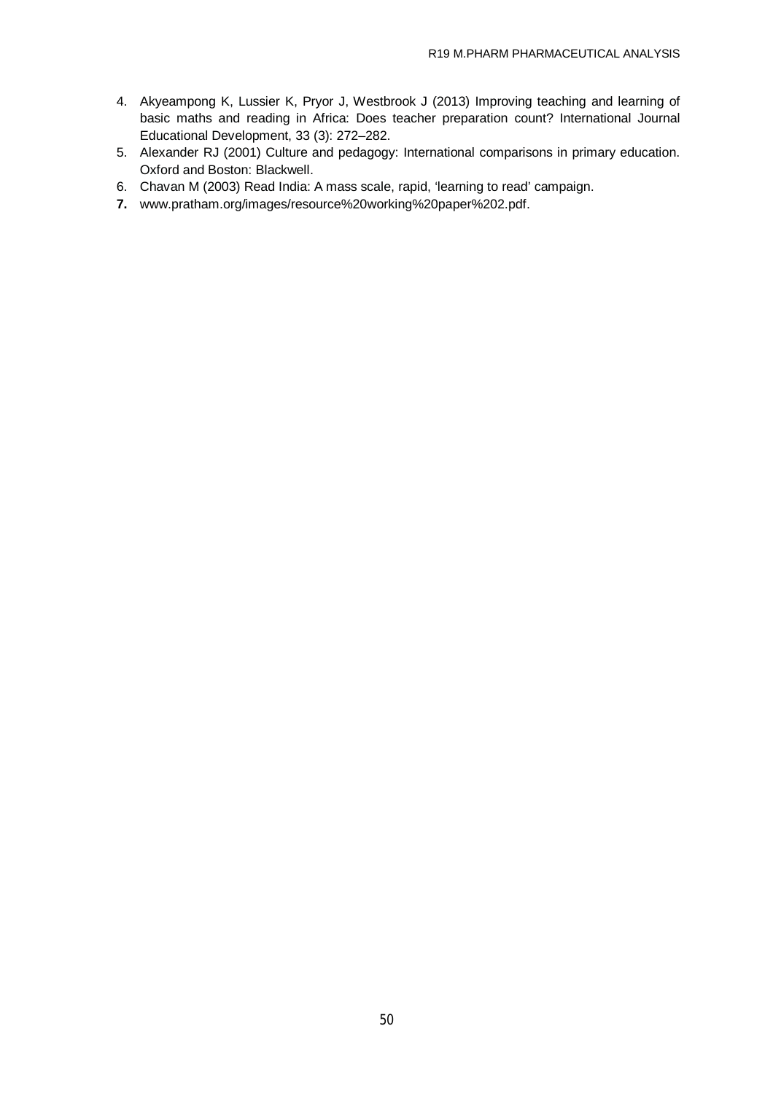- 4. Akyeampong K, Lussier K, Pryor J, Westbrook J (2013) Improving teaching and learning of basic maths and reading in Africa: Does teacher preparation count? International Journal Educational Development, 33 (3): 272–282.
- 5. Alexander RJ (2001) Culture and pedagogy: International comparisons in primary education. Oxford and Boston: Blackwell.
- 6. Chavan M (2003) Read India: A mass scale, rapid, 'learning to read' campaign.
- **7.** [www.pratham.org/images/resource%20working%20paper%202.pdf.](http://www.pratham.org/images/resource%20working%20paper%202.pdf.)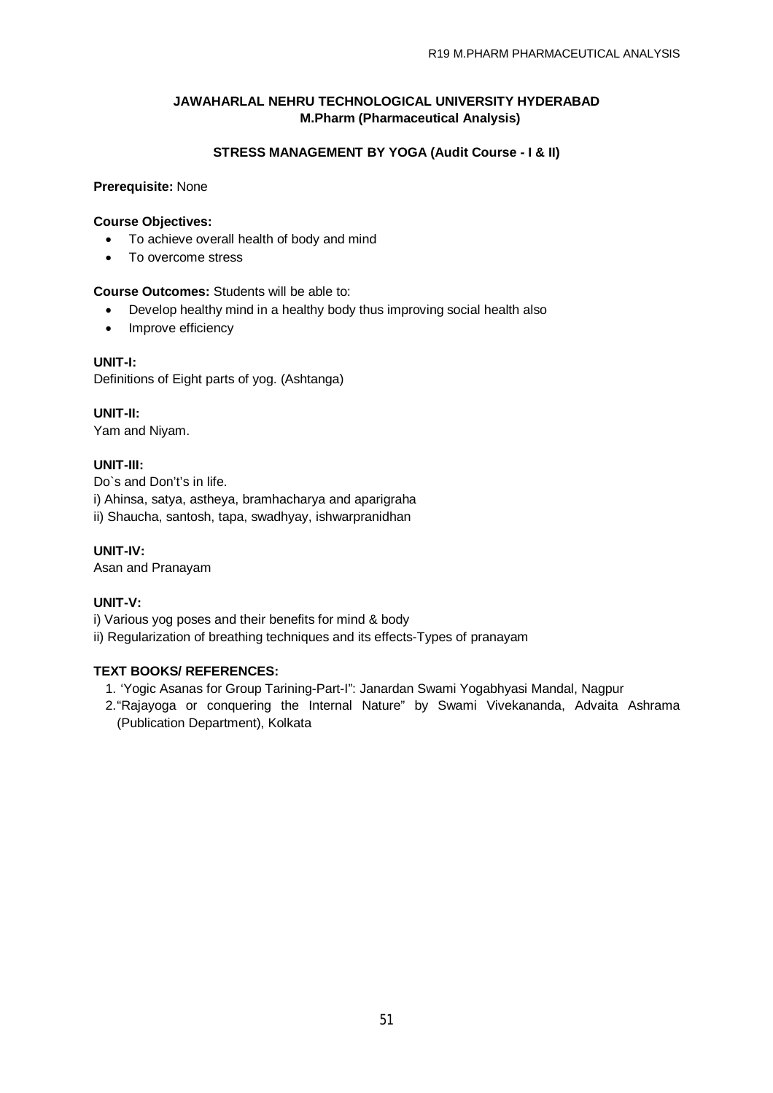# **STRESS MANAGEMENT BY YOGA (Audit Course - I & II)**

#### **Prerequisite:** None

#### **Course Objectives:**

- To achieve overall health of body and mind
- To overcome stress

# **Course Outcomes:** Students will be able to:

- Develop healthy mind in a healthy body thus improving social health also
- Improve efficiency

## **UNIT-I:**

Definitions of Eight parts of yog. (Ashtanga)

**UNIT-II:**  Yam and Niyam.

# **UNIT-III:**

Do`s and Don't's in life. i) Ahinsa, satya, astheya, bramhacharya and aparigraha ii) Shaucha, santosh, tapa, swadhyay, ishwarpranidhan

**UNIT-IV:** 

Asan and Pranayam

#### **UNIT-V:**

i) Various yog poses and their benefits for mind & body

ii) Regularization of breathing techniques and its effects-Types of pranayam

- 1. 'Yogic Asanas for Group Tarining-Part-I": Janardan Swami Yogabhyasi Mandal, Nagpur
- 2."Rajayoga or conquering the Internal Nature" by Swami Vivekananda, Advaita Ashrama (Publication Department), Kolkata